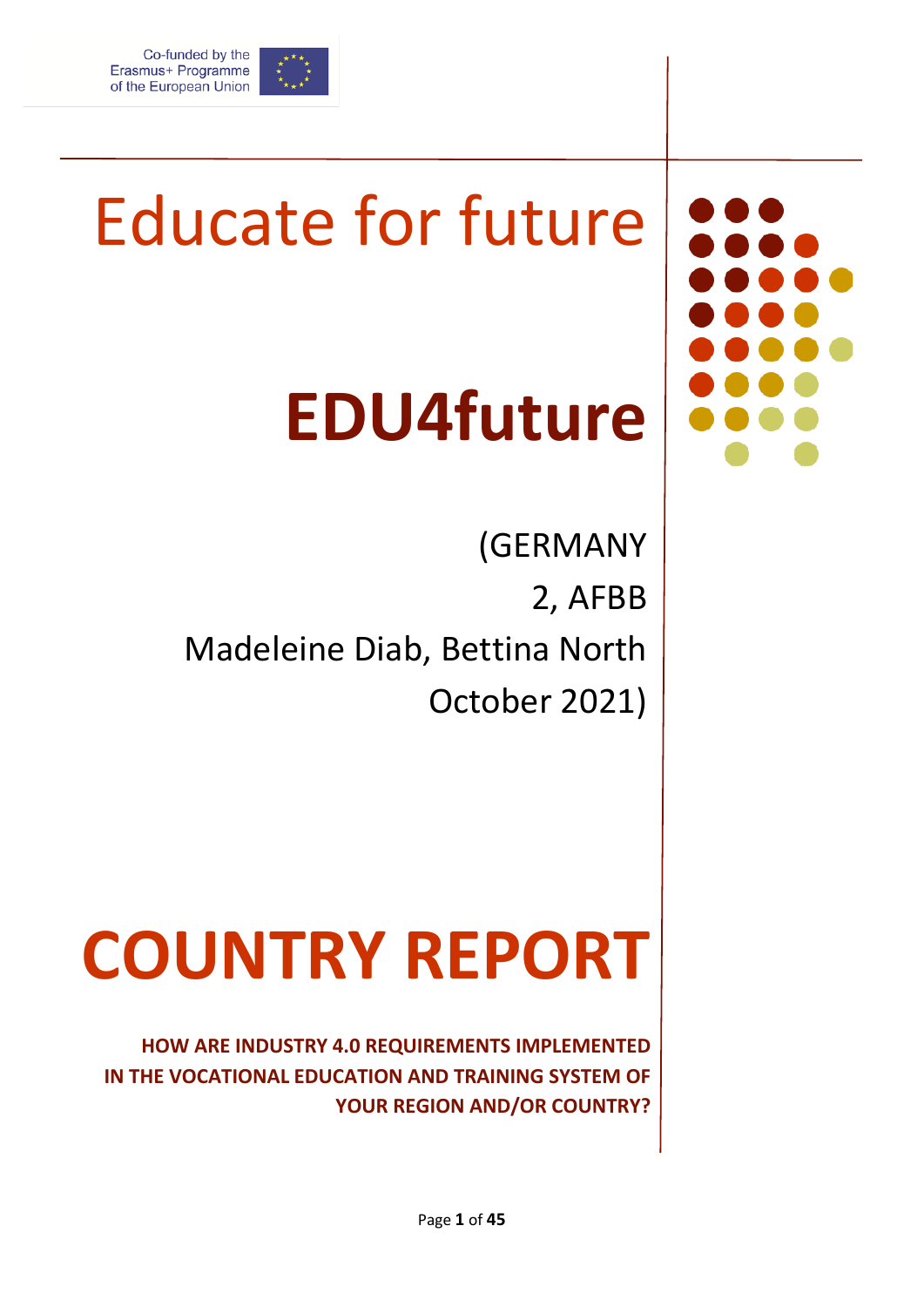

# Educate for future

## **EDU4future**

(GERMANY 2, AFBB Madeleine Diab, Bettina North October 2021)

# **COUNTRY REPORT**

**HOW ARE INDUSTRY 4.0 REQUIREMENTS IMPLEMENTED IN THE VOCATIONAL EDUCATION AND TRAINING SYSTEM OF YOUR REGION AND/OR COUNTRY?**

Page **1** of **45**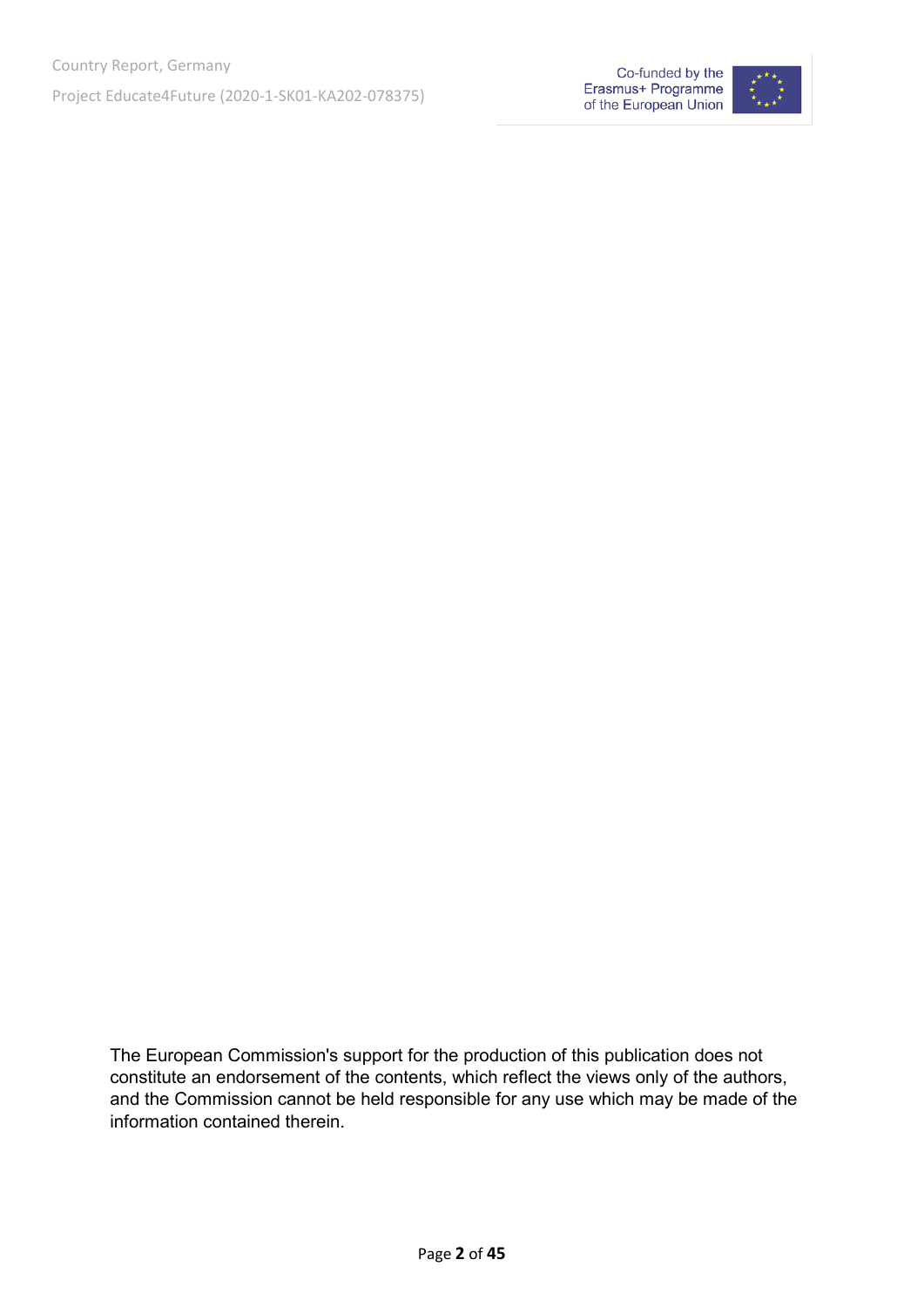



The European Commission's support for the production of this publication does not constitute an endorsement of the contents, which reflect the views only of the authors, and the Commission cannot be held responsible for any use which may be made of the information contained therein.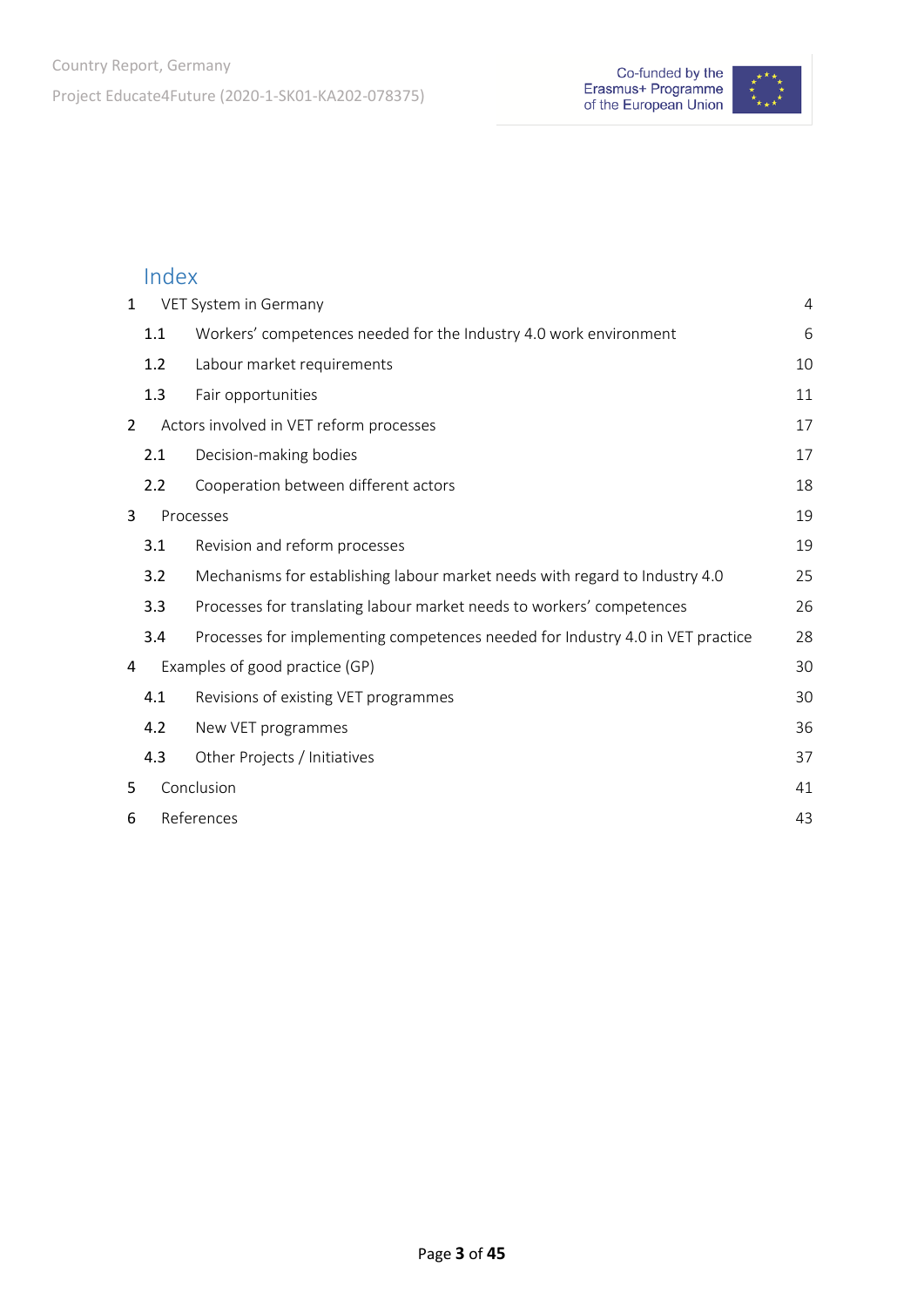

## Index

| $\mathbf{1}$   | VET System in Germany<br>4 |                                                                                |    |
|----------------|----------------------------|--------------------------------------------------------------------------------|----|
|                | 1.1                        | Workers' competences needed for the Industry 4.0 work environment              | 6  |
|                | 1.2                        | Labour market requirements                                                     | 10 |
|                | 1.3                        | Fair opportunities                                                             | 11 |
| 2              |                            | Actors involved in VET reform processes                                        | 17 |
|                | 2.1                        | Decision-making bodies                                                         | 17 |
|                | 2.2                        | Cooperation between different actors                                           | 18 |
| 3<br>Processes |                            | 19                                                                             |    |
|                | 3.1                        | Revision and reform processes                                                  | 19 |
|                | 3.2                        | Mechanisms for establishing labour market needs with regard to Industry 4.0    | 25 |
|                | 3.3                        | Processes for translating labour market needs to workers' competences          | 26 |
|                | 3.4                        | Processes for implementing competences needed for Industry 4.0 in VET practice | 28 |
| 4              |                            | Examples of good practice (GP)                                                 | 30 |
|                | 4.1                        | Revisions of existing VET programmes                                           | 30 |
|                | 4.2                        | New VET programmes                                                             | 36 |
|                | 4.3                        | Other Projects / Initiatives                                                   | 37 |
| 5              |                            | Conclusion                                                                     | 41 |
| 6              | References                 |                                                                                | 43 |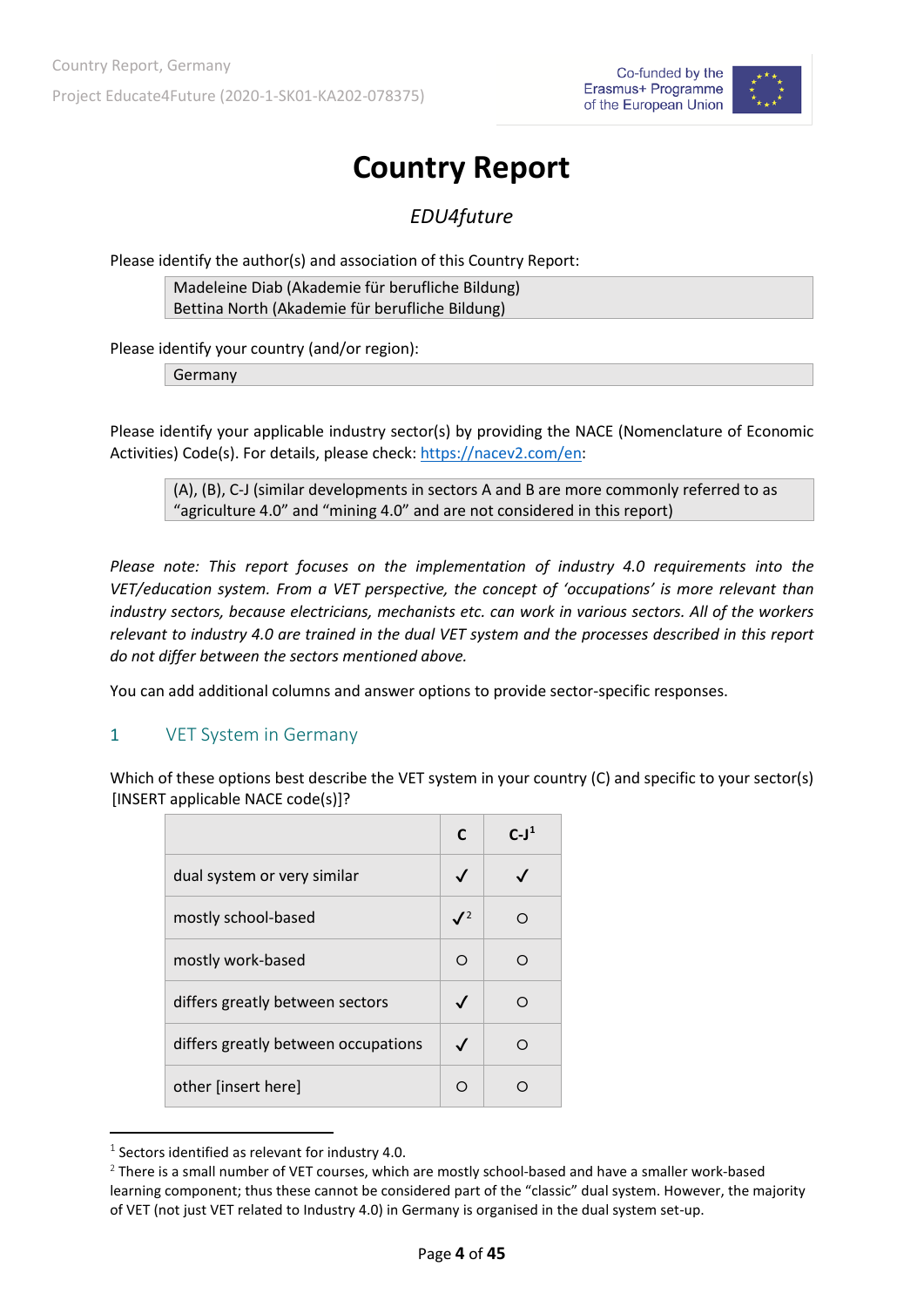

## **Country Report**

*EDU4future* 

Please identify the author(s) and association of this Country Report:

Madeleine Diab (Akademie für berufliche Bildung) Bettina North (Akademie für berufliche Bildung)

Please identify your country (and/or region):

Germany

Please identify your applicable industry sector(s) by providing the NACE (Nomenclature of Economic Activities) Code(s). For details, please check: [https://nacev2.com/en:](https://nacev2.com/en)

(A), (B), C-J (similar developments in sectors A and B are more commonly referred to as "agriculture 4.0" and "mining 4.0" and are not considered in this report)

*Please note: This report focuses on the implementation of industry 4.0 requirements into the VET/education system. From a VET perspective, the concept of 'occupations' is more relevant than industry sectors, because electricians, mechanists etc. can work in various sectors. All of the workers relevant to industry 4.0 are trained in the dual VET system and the processes described in this report do not differ between the sectors mentioned above.* 

You can add additional columns and answer options to provide sector-specific responses.

#### <span id="page-3-0"></span>1 VET System in Germany

Which of these options best describe the VET system in your country (C) and specific to your sector(s) [INSERT applicable NACE code(s)]?

|                                     | C              | $C-11$ |
|-------------------------------------|----------------|--------|
| dual system or very similar         | $\checkmark$   |        |
| mostly school-based                 | J <sup>2</sup> | ∩      |
| mostly work-based                   | ∩              |        |
| differs greatly between sectors     |                |        |
| differs greatly between occupations | $\checkmark$   |        |
| other [insert here]                 |                |        |

<span id="page-3-1"></span> $1$  Sectors identified as relevant for industry 4.0.

<span id="page-3-2"></span> $2$  There is a small number of VET courses, which are mostly school-based and have a smaller work-based learning component; thus these cannot be considered part of the "classic" dual system. However, the majority of VET (not just VET related to Industry 4.0) in Germany is organised in the dual system set-up.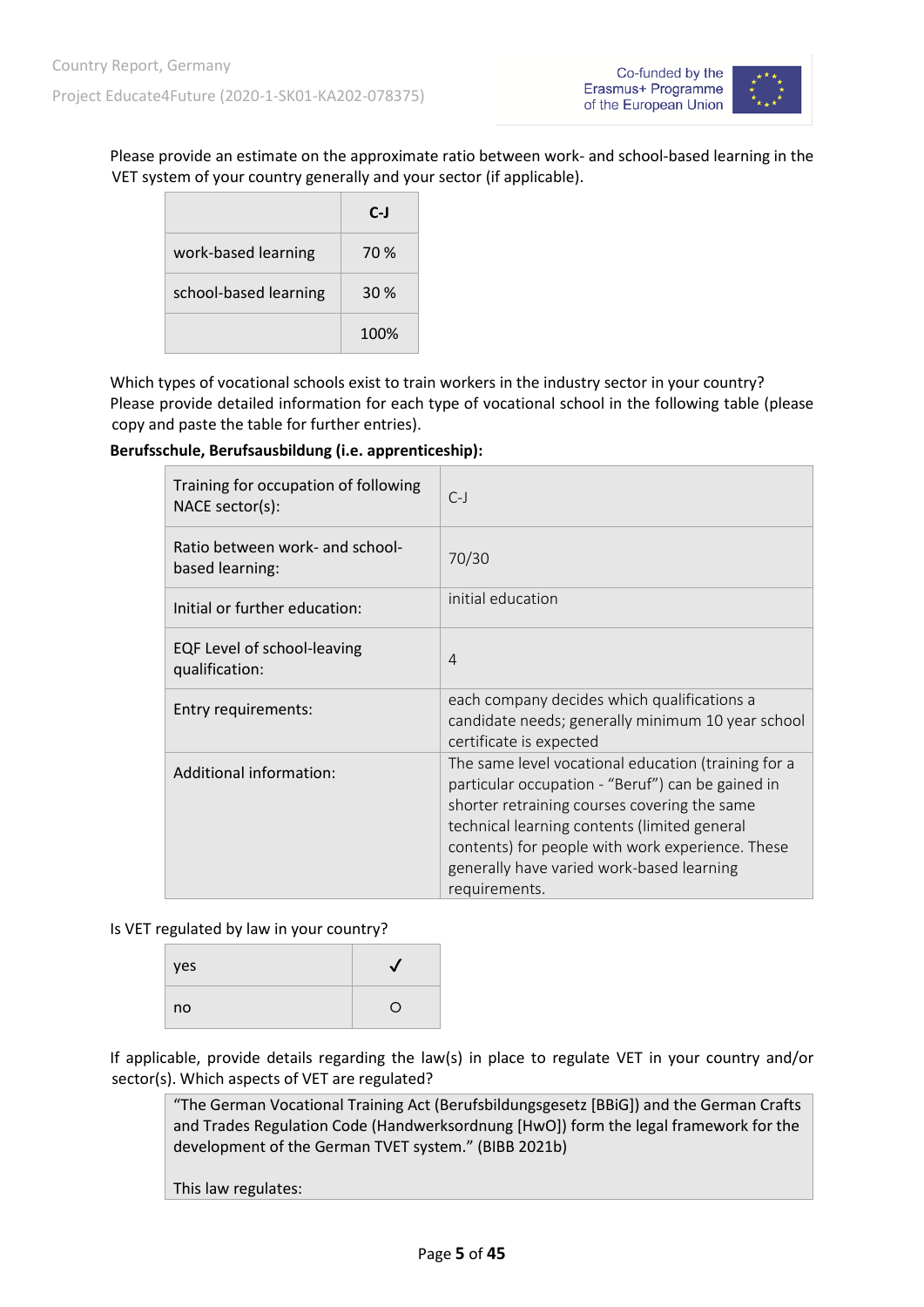

Please provide an estimate on the approximate ratio between work- and school-based learning in the VET system of your country generally and your sector (if applicable).

|                       | $C-J$ |
|-----------------------|-------|
| work-based learning   | 70 %  |
| school-based learning | 30%   |
|                       | 100%  |

Which types of vocational schools exist to train workers in the industry sector in your country? Please provide detailed information for each type of vocational school in the following table (please copy and paste the table for further entries).

#### **Berufsschule, Berufsausbildung (i.e. apprenticeship):**

| Training for occupation of following<br>NACE sector(s): | $C-1$                                                                                                                                                                                                                                                                                                                      |
|---------------------------------------------------------|----------------------------------------------------------------------------------------------------------------------------------------------------------------------------------------------------------------------------------------------------------------------------------------------------------------------------|
| Ratio between work- and school-<br>based learning:      | 70/30                                                                                                                                                                                                                                                                                                                      |
| Initial or further education:                           | initial education                                                                                                                                                                                                                                                                                                          |
| EQF Level of school-leaving<br>qualification:           | $\overline{4}$                                                                                                                                                                                                                                                                                                             |
| Entry requirements:                                     | each company decides which qualifications a<br>candidate needs; generally minimum 10 year school<br>certificate is expected                                                                                                                                                                                                |
| Additional information:                                 | The same level vocational education (training for a<br>particular occupation - "Beruf") can be gained in<br>shorter retraining courses covering the same<br>technical learning contents (limited general<br>contents) for people with work experience. These<br>generally have varied work-based learning<br>requirements. |

Is VET regulated by law in your country?

| yes |    |
|-----|----|
| no  | T. |

If applicable, provide details regarding the law(s) in place to regulate VET in your country and/or sector(s). Which aspects of VET are regulated?

"The German Vocational Training Act (Berufsbildungsgesetz [BBiG]) and the German Crafts and Trades Regulation Code (Handwerksordnung [HwO]) form the legal framework for the development of the German TVET system." (BIBB 2021b)

This law regulates: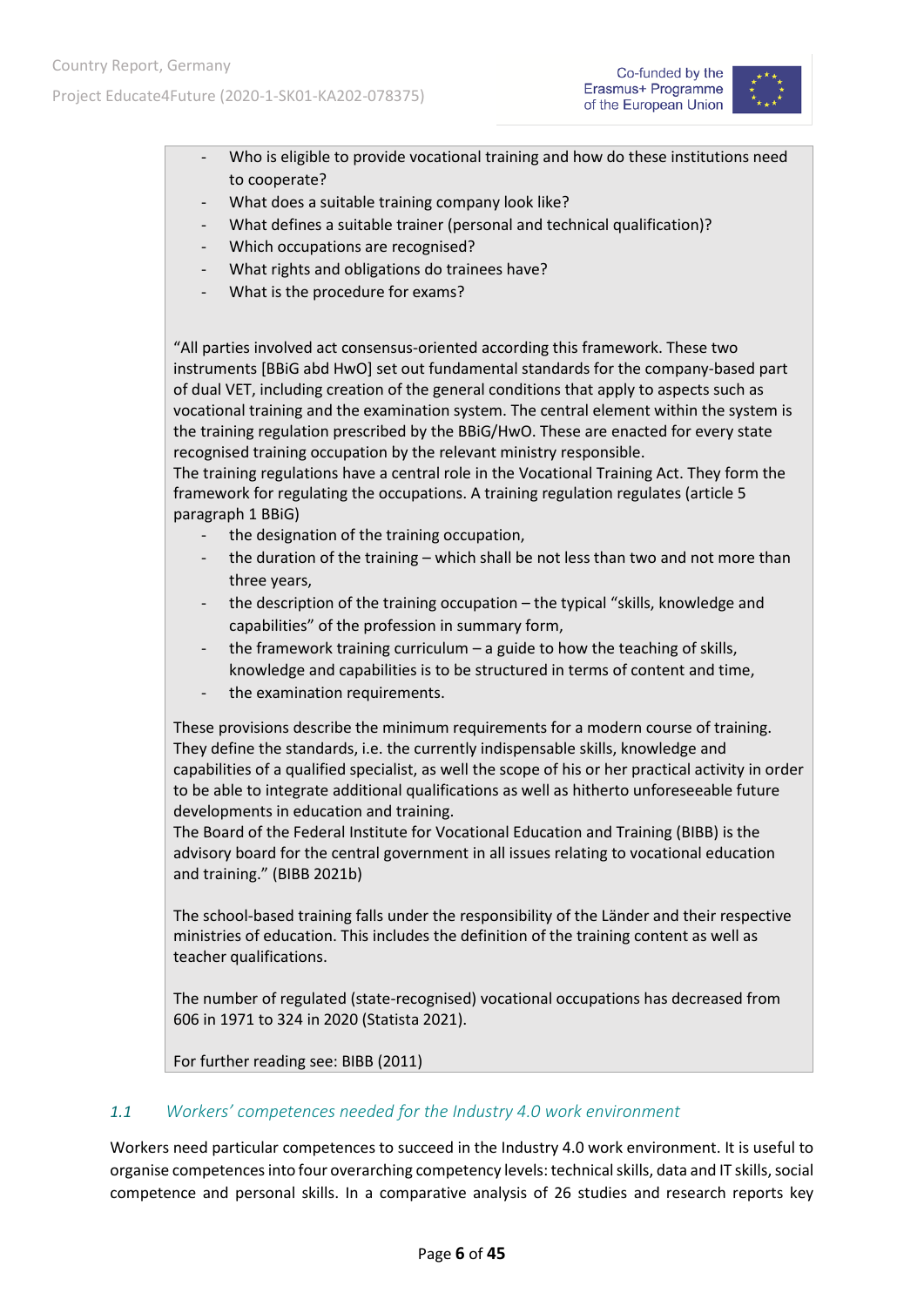



- Who is eligible to provide vocational training and how do these institutions need to cooperate?
- What does a suitable training company look like?
- What defines a suitable trainer (personal and technical qualification)?
- Which occupations are recognised?
- What rights and obligations do trainees have?
- What is the procedure for exams?

"All parties involved act consensus-oriented according this framework. These two instruments [BBiG abd HwO] set out fundamental standards for the company-based part of dual VET, including creation of the general conditions that apply to aspects such as vocational training and the examination system. The central element within the system is the training regulation prescribed by the BBiG/HwO. These are enacted for every state recognised training occupation by the relevant ministry responsible.

The training regulations have a central role in the Vocational Training Act. They form the framework for regulating the occupations. A training regulation regulates (article 5 paragraph 1 BBiG)

- the designation of the training occupation,
- the duration of the training which shall be not less than two and not more than three years,
- the description of the training occupation the typical "skills, knowledge and capabilities" of the profession in summary form,
- the framework training curriculum  $-$  a guide to how the teaching of skills, knowledge and capabilities is to be structured in terms of content and time,
- the examination requirements.

These provisions describe the minimum requirements for a modern course of training. They define the standards, i.e. the currently indispensable skills, knowledge and capabilities of a qualified specialist, as well the scope of his or her practical activity in order to be able to integrate additional qualifications as well as hitherto unforeseeable future developments in education and training.

The Board of the Federal Institute for Vocational Education and Training (BIBB) is the advisory board for the central government in all issues relating to vocational education and training." (BIBB 2021b)

The school-based training falls under the responsibility of the Länder and their respective ministries of education. This includes the definition of the training content as well as teacher qualifications.

The number of regulated (state-recognised) vocational occupations has decreased from 606 in 1971 to 324 in 2020 (Statista 2021).

For further reading see: BIBB (2011)

#### <span id="page-5-0"></span>*1.1 Workers' competences needed for the Industry 4.0 work environment*

Workers need particular competences to succeed in the Industry 4.0 work environment. It is useful to organise competences into four overarching competency levels: technical skills, data and IT skills, social competence and personal skills. In a comparative analysis of 26 studies and research reports key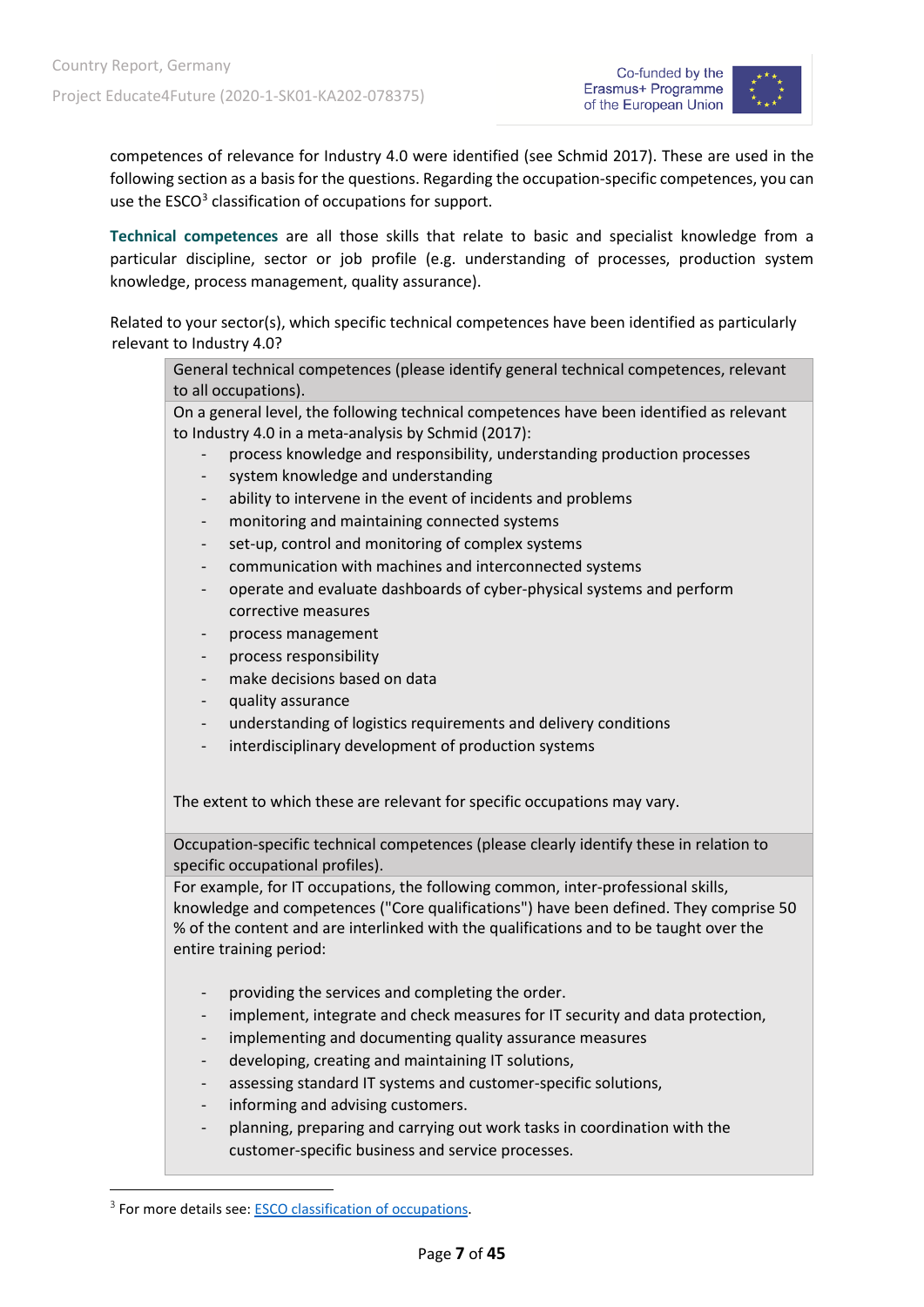

competences of relevance for Industry 4.0 were identified (see Schmid 2017). These are used in the following section as a basis for the questions. Regarding the occupation-specific competences, you can use the ESCO<sup>3</sup> classification of occupations for support.

**Technical competences** are all those skills that relate to basic and specialist knowledge from a particular discipline, sector or job profile (e.g. understanding of processes, production system knowledge, process management, quality assurance).

Related to your sector(s), which specific technical competences have been identified as particularly relevant to Industry 4.0?

General technical competences (please identify general technical competences, relevant to all occupations).

On a general level, the following technical competences have been identified as relevant to Industry 4.0 in a meta-analysis by Schmid (2017):

- process knowledge and responsibility, understanding production processes
- system knowledge and understanding
- ability to intervene in the event of incidents and problems
- monitoring and maintaining connected systems
- set-up, control and monitoring of complex systems
- communication with machines and interconnected systems
- operate and evaluate dashboards of cyber-physical systems and perform corrective measures
- process management
- process responsibility
- make decisions based on data
- quality assurance
- understanding of logistics requirements and delivery conditions
- interdisciplinary development of production systems

The extent to which these are relevant for specific occupations may vary.

Occupation-specific technical competences (please clearly identify these in relation to specific occupational profiles).

For example, for IT occupations, the following common, inter-professional skills, knowledge and competences ("Core qualifications") have been defined. They comprise 50 % of the content and are interlinked with the qualifications and to be taught over the entire training period:

- providing the services and completing the order.
- implement, integrate and check measures for IT security and data protection,
- implementing and documenting quality assurance measures
- developing, creating and maintaining IT solutions,
- assessing standard IT systems and customer-specific solutions,
- informing and advising customers.
- planning, preparing and carrying out work tasks in coordination with the customer-specific business and service processes.

<span id="page-6-0"></span><sup>&</sup>lt;sup>3</sup> For more details see: [ESCO classification of occupations.](https://ec.europa.eu/esco/portal/occupation)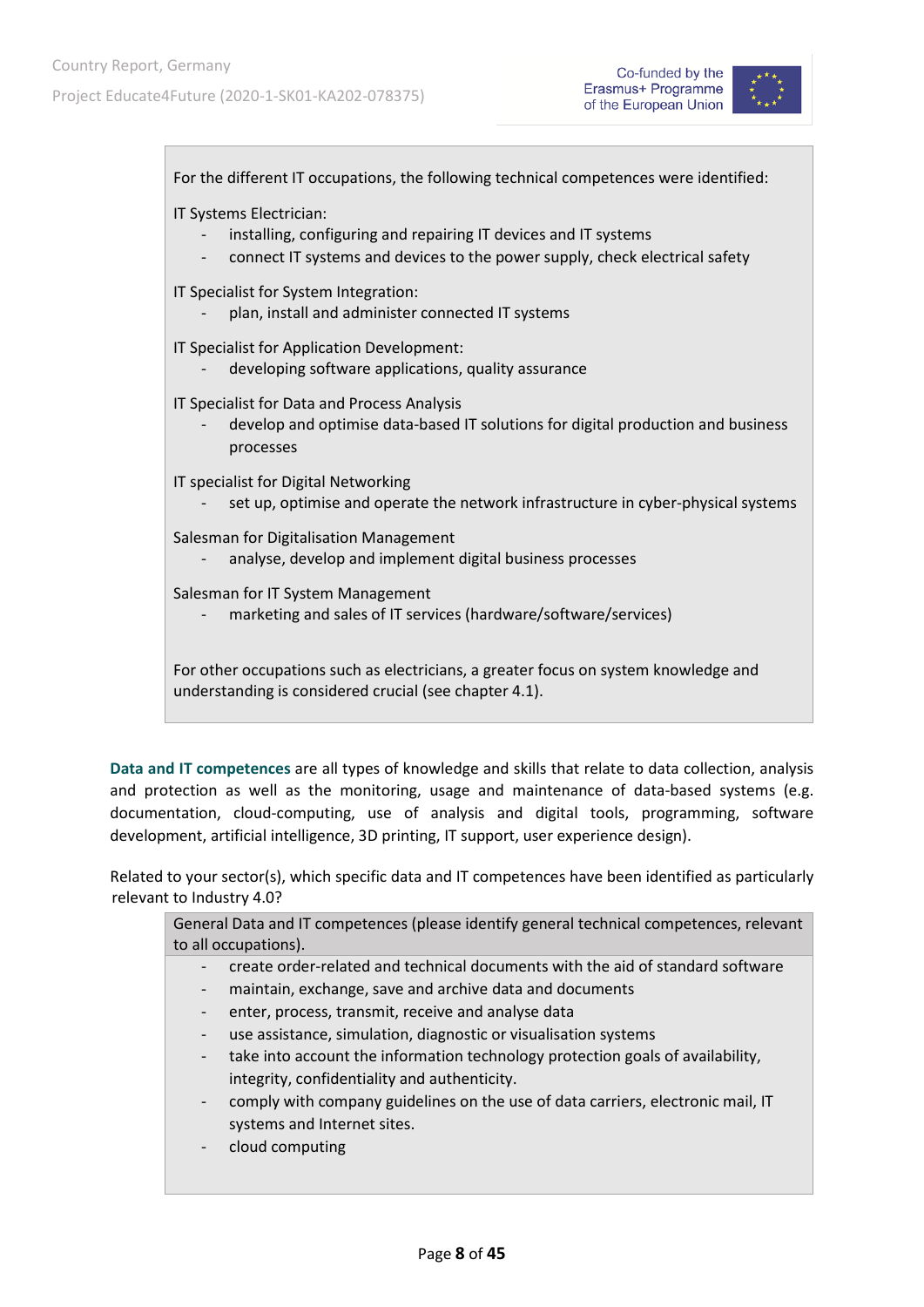

For the different IT occupations, the following technical competences were identified: IT Systems Electrician: installing, configuring and repairing IT devices and IT systems connect IT systems and devices to the power supply, check electrical safety IT Specialist for System Integration: plan, install and administer connected IT systems IT Specialist for Application Development: developing software applications, quality assurance IT Specialist for Data and Process Analysis - develop and optimise data-based IT solutions for digital production and business processes IT specialist for Digital Networking set up, optimise and operate the network infrastructure in cyber-physical systems Salesman for Digitalisation Management analyse, develop and implement digital business processes Salesman for IT System Management marketing and sales of IT services (hardware/software/services) For other occupations such as electricians, a greater focus on system knowledge and understanding is considered crucial (see chapter 4.1). **Data and IT competences** are all types of knowledge and skills that relate to data collection, analysis

and protection as well as the monitoring, usage and maintenance of data-based systems (e.g. documentation, cloud-computing, use of analysis and digital tools, programming, software development, artificial intelligence, 3D printing, IT support, user experience design).

Related to your sector(s), which specific data and IT competences have been identified as particularly relevant to Industry 4.0?

| General Data and IT competences (please identify general technical competences, relevant |                                                                                 |  |
|------------------------------------------------------------------------------------------|---------------------------------------------------------------------------------|--|
|                                                                                          | to all occupations).                                                            |  |
|                                                                                          | create order-related and technical documents with the aid of standard software  |  |
|                                                                                          | maintain, exchange, save and archive data and documents                         |  |
|                                                                                          | enter, process, transmit, receive and analyse data                              |  |
|                                                                                          | use assistance, simulation, diagnostic or visualisation systems                 |  |
|                                                                                          | take into account the information technology protection goals of availability,  |  |
|                                                                                          | integrity, confidentiality and authenticity.                                    |  |
| -                                                                                        | comply with company guidelines on the use of data carriers, electronic mail, IT |  |
|                                                                                          | systems and Internet sites.                                                     |  |
|                                                                                          | cloud computing                                                                 |  |
|                                                                                          |                                                                                 |  |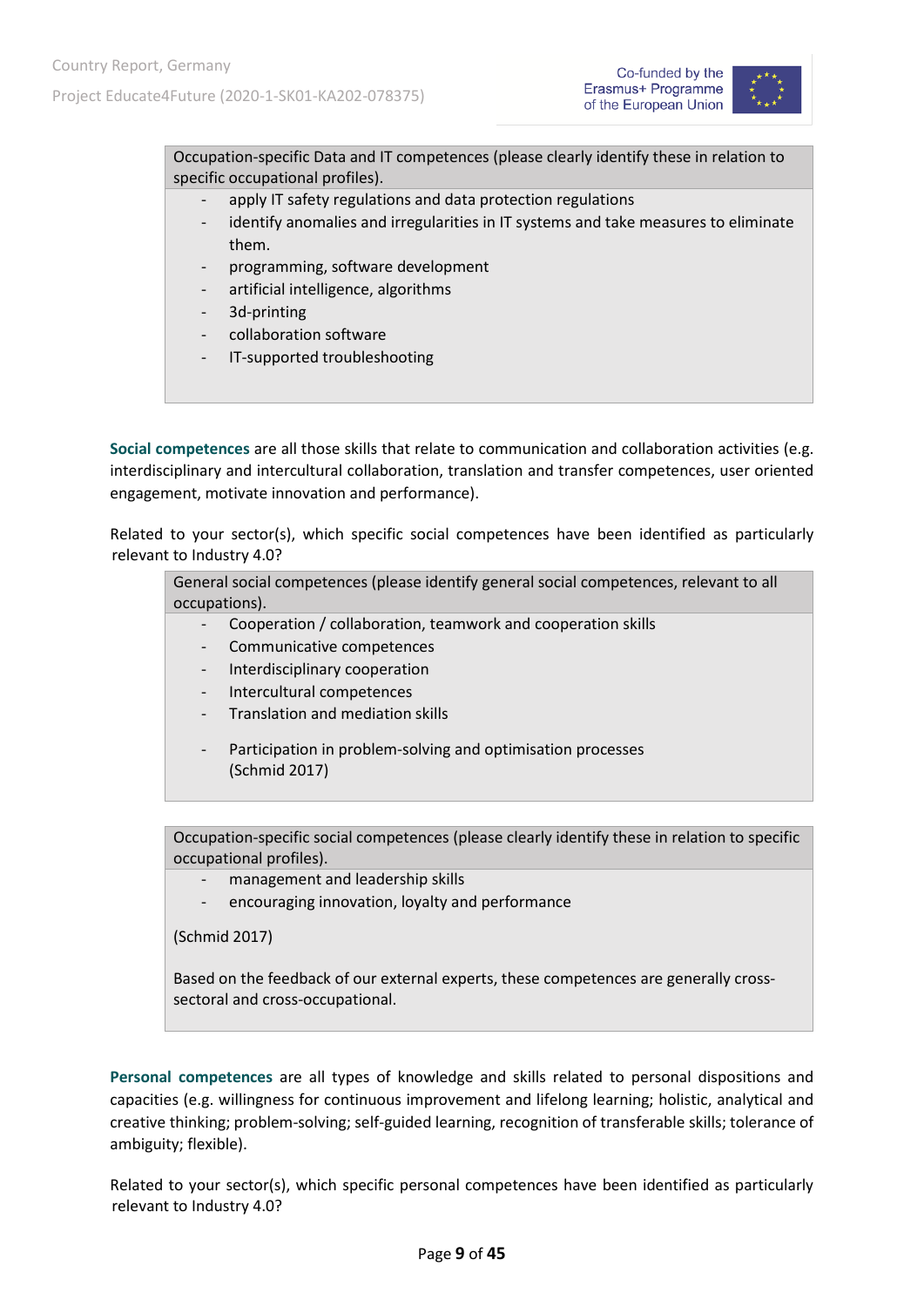



Occupation-specific Data and IT competences (please clearly identify these in relation to specific occupational profiles).

- apply IT safety regulations and data protection regulations
- identify anomalies and irregularities in IT systems and take measures to eliminate them.
- programming, software development
- artificial intelligence, algorithms
- 3d-printing
- collaboration software
- IT-supported troubleshooting

**Social competences** are all those skills that relate to communication and collaboration activities (e.g. interdisciplinary and intercultural collaboration, translation and transfer competences, user oriented engagement, motivate innovation and performance).

Related to your sector(s), which specific social competences have been identified as particularly relevant to Industry 4.0?

General social competences (please identify general social competences, relevant to all occupations).

- Cooperation / collaboration, teamwork and cooperation skills
- Communicative competences
- Interdisciplinary cooperation
- Intercultural competences
- Translation and mediation skills
- Participation in problem-solving and optimisation processes (Schmid 2017)

Occupation-specific social competences (please clearly identify these in relation to specific occupational profiles).

- management and leadership skills
- encouraging innovation, loyalty and performance

(Schmid 2017)

Based on the feedback of our external experts, these competences are generally crosssectoral and cross-occupational.

**Personal competences** are all types of knowledge and skills related to personal dispositions and capacities (e.g. willingness for continuous improvement and lifelong learning; holistic, analytical and creative thinking; problem-solving; self-guided learning, recognition of transferable skills; tolerance of ambiguity; flexible).

Related to your sector(s), which specific personal competences have been identified as particularly relevant to Industry 4.0?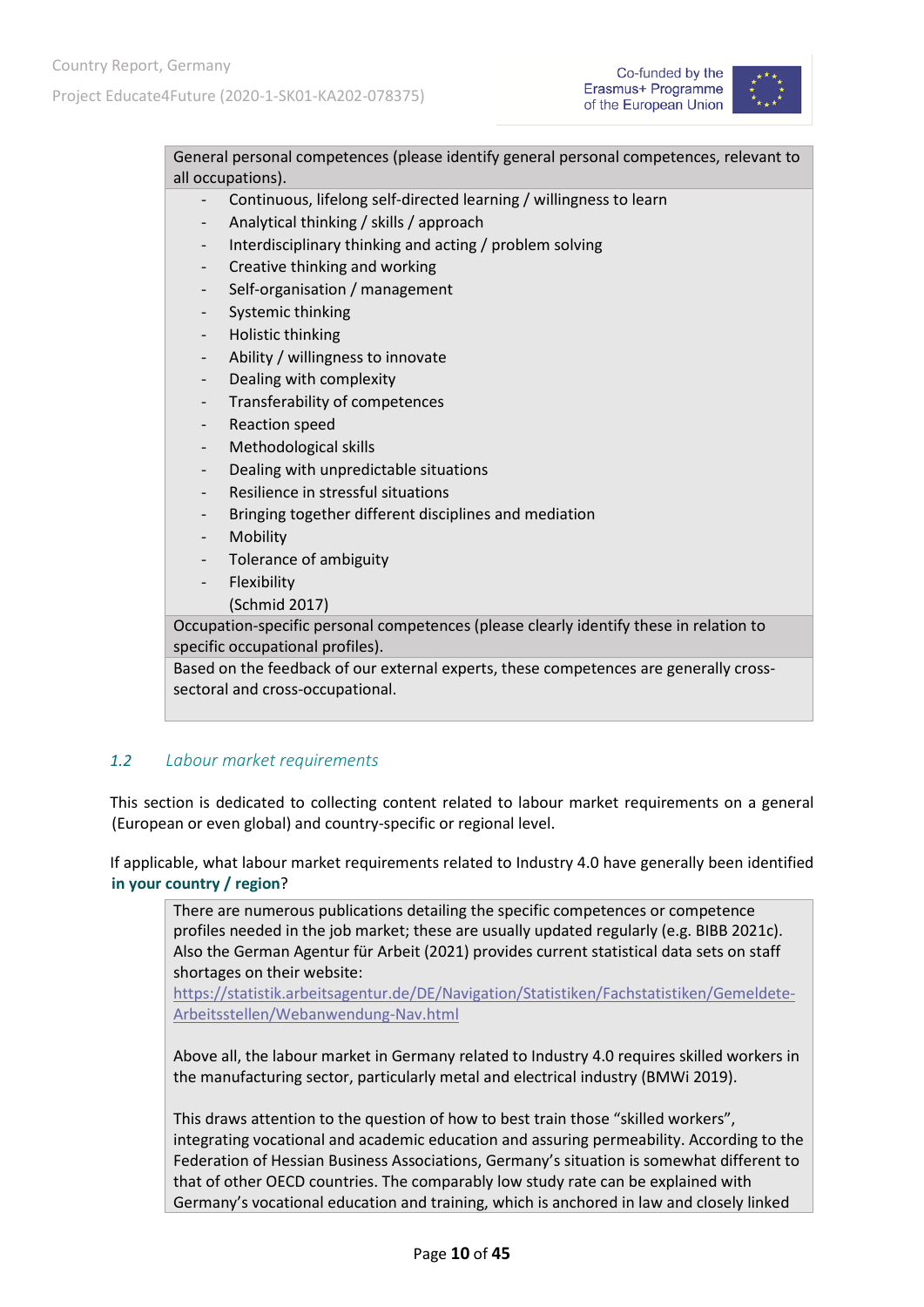

General personal competences (please identify general personal competences, relevant to all occupations).

- Continuous, lifelong self-directed learning / willingness to learn
- Analytical thinking / skills / approach
- Interdisciplinary thinking and acting / problem solving
- Creative thinking and working
- Self-organisation / management
- Systemic thinking
- Holistic thinking
- Ability / willingness to innovate
- Dealing with complexity
- Transferability of competences
- Reaction speed
- Methodological skills
- Dealing with unpredictable situations
- Resilience in stressful situations
- Bringing together different disciplines and mediation
- **Mobility**
- Tolerance of ambiguity
- **Flexibility**
- (Schmid 2017)

Occupation-specific personal competences (please clearly identify these in relation to specific occupational profiles).

Based on the feedback of our external experts, these competences are generally crosssectoral and cross-occupational.

#### <span id="page-9-0"></span>*1.2 Labour market requirements*

This section is dedicated to collecting content related to labour market requirements on a general (European or even global) and country-specific or regional level.

If applicable, what labour market requirements related to Industry 4.0 have generally been identified **in your country / region**?

There are numerous publications detailing the specific competences or competence profiles needed in the job market; these are usually updated regularly (e.g. BIBB 2021c). Also the German Agentur für Arbeit (2021) provides current statistical data sets on staff shortages on their website:

[https://statistik.arbeitsagentur.de/DE/Navigation/Statistiken/Fachstatistiken/Gemeldete-](https://statistik.arbeitsagentur.de/DE/Navigation/Statistiken/Fachstatistiken/Gemeldete-Arbeitsstellen/Webanwendung-Nav.html)[Arbeitsstellen/Webanwendung-Nav.html](https://statistik.arbeitsagentur.de/DE/Navigation/Statistiken/Fachstatistiken/Gemeldete-Arbeitsstellen/Webanwendung-Nav.html)

Above all, the labour market in Germany related to Industry 4.0 requires skilled workers in the manufacturing sector, particularly metal and electrical industry (BMWi 2019).

This draws attention to the question of how to best train those "skilled workers", integrating vocational and academic education and assuring permeability. According to the Federation of Hessian Business Associations, Germany's situation is somewhat different to that of other OECD countries. The comparably low study rate can be explained with Germany's vocational education and training, which is anchored in law and closely linked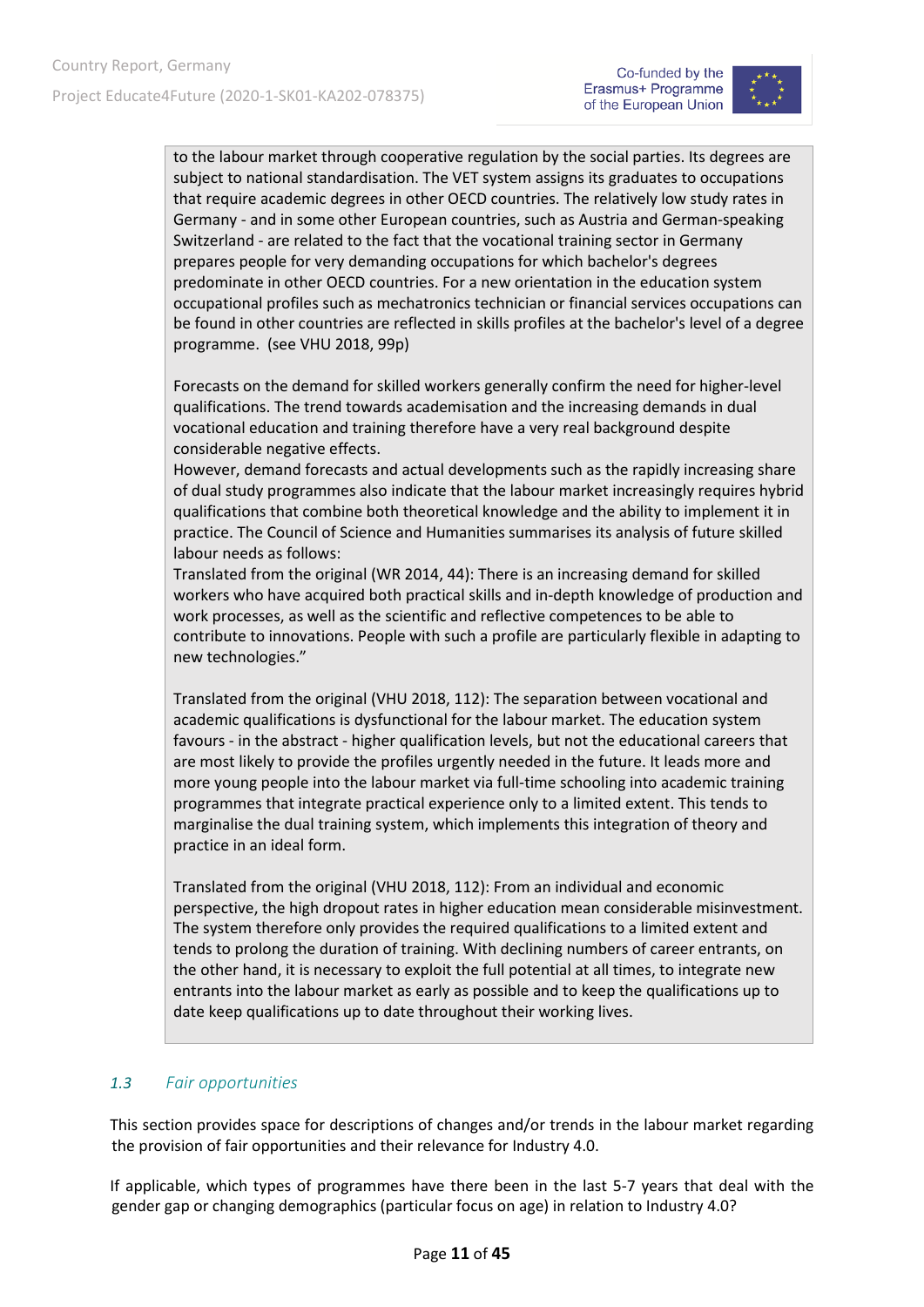

to the labour market through cooperative regulation by the social parties. Its degrees are subject to national standardisation. The VET system assigns its graduates to occupations that require academic degrees in other OECD countries. The relatively low study rates in Germany - and in some other European countries, such as Austria and German-speaking Switzerland - are related to the fact that the vocational training sector in Germany prepares people for very demanding occupations for which bachelor's degrees predominate in other OECD countries. For a new orientation in the education system occupational profiles such as mechatronics technician or financial services occupations can be found in other countries are reflected in skills profiles at the bachelor's level of a degree programme. (see VHU 2018, 99p)

Forecasts on the demand for skilled workers generally confirm the need for higher-level qualifications. The trend towards academisation and the increasing demands in dual vocational education and training therefore have a very real background despite considerable negative effects.

However, demand forecasts and actual developments such as the rapidly increasing share of dual study programmes also indicate that the labour market increasingly requires hybrid qualifications that combine both theoretical knowledge and the ability to implement it in practice. The Council of Science and Humanities summarises its analysis of future skilled labour needs as follows:

Translated from the original (WR 2014, 44): There is an increasing demand for skilled workers who have acquired both practical skills and in-depth knowledge of production and work processes, as well as the scientific and reflective competences to be able to contribute to innovations. People with such a profile are particularly flexible in adapting to new technologies."

Translated from the original (VHU 2018, 112): The separation between vocational and academic qualifications is dysfunctional for the labour market. The education system favours - in the abstract - higher qualification levels, but not the educational careers that are most likely to provide the profiles urgently needed in the future. It leads more and more young people into the labour market via full-time schooling into academic training programmes that integrate practical experience only to a limited extent. This tends to marginalise the dual training system, which implements this integration of theory and practice in an ideal form.

Translated from the original (VHU 2018, 112): From an individual and economic perspective, the high dropout rates in higher education mean considerable misinvestment. The system therefore only provides the required qualifications to a limited extent and tends to prolong the duration of training. With declining numbers of career entrants, on the other hand, it is necessary to exploit the full potential at all times, to integrate new entrants into the labour market as early as possible and to keep the qualifications up to date keep qualifications up to date throughout their working lives.

#### <span id="page-10-0"></span>*1.3 Fair opportunities*

This section provides space for descriptions of changes and/or trends in the labour market regarding the provision of fair opportunities and their relevance for Industry 4.0.

If applicable, which types of programmes have there been in the last 5-7 years that deal with the gender gap or changing demographics (particular focus on age) in relation to Industry 4.0?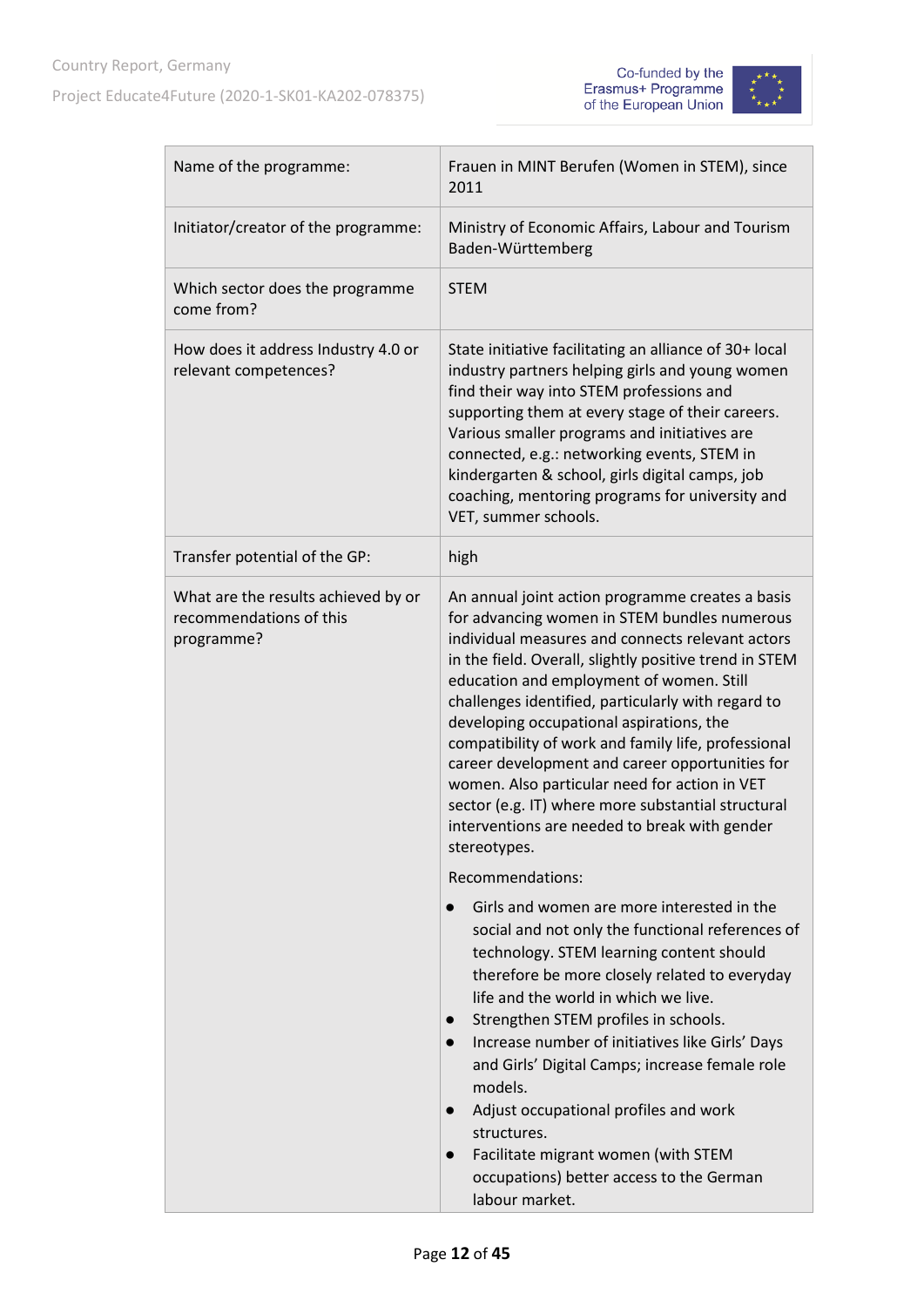



| Name of the programme:                                                       | Frauen in MINT Berufen (Women in STEM), since<br>2011                                                                                                                                                                                                                                                                                                                                                                                                                                                                                                                                                                                                              |
|------------------------------------------------------------------------------|--------------------------------------------------------------------------------------------------------------------------------------------------------------------------------------------------------------------------------------------------------------------------------------------------------------------------------------------------------------------------------------------------------------------------------------------------------------------------------------------------------------------------------------------------------------------------------------------------------------------------------------------------------------------|
| Initiator/creator of the programme:                                          | Ministry of Economic Affairs, Labour and Tourism<br>Baden-Württemberg                                                                                                                                                                                                                                                                                                                                                                                                                                                                                                                                                                                              |
| Which sector does the programme<br>come from?                                | <b>STEM</b>                                                                                                                                                                                                                                                                                                                                                                                                                                                                                                                                                                                                                                                        |
| How does it address Industry 4.0 or<br>relevant competences?                 | State initiative facilitating an alliance of 30+ local<br>industry partners helping girls and young women<br>find their way into STEM professions and<br>supporting them at every stage of their careers.<br>Various smaller programs and initiatives are<br>connected, e.g.: networking events, STEM in<br>kindergarten & school, girls digital camps, job<br>coaching, mentoring programs for university and<br>VET, summer schools.                                                                                                                                                                                                                             |
| Transfer potential of the GP:                                                | high                                                                                                                                                                                                                                                                                                                                                                                                                                                                                                                                                                                                                                                               |
| What are the results achieved by or<br>recommendations of this<br>programme? | An annual joint action programme creates a basis<br>for advancing women in STEM bundles numerous<br>individual measures and connects relevant actors<br>in the field. Overall, slightly positive trend in STEM<br>education and employment of women. Still<br>challenges identified, particularly with regard to<br>developing occupational aspirations, the<br>compatibility of work and family life, professional<br>career development and career opportunities for<br>women. Also particular need for action in VET<br>sector (e.g. IT) where more substantial structural<br>interventions are needed to break with gender<br>stereotypes.<br>Recommendations: |
|                                                                              | Girls and women are more interested in the<br>$\bullet$<br>social and not only the functional references of<br>technology. STEM learning content should<br>therefore be more closely related to everyday<br>life and the world in which we live.<br>Strengthen STEM profiles in schools.<br>$\bullet$<br>Increase number of initiatives like Girls' Days<br>$\bullet$<br>and Girls' Digital Camps; increase female role<br>models.<br>Adjust occupational profiles and work<br>$\bullet$<br>structures.<br>Facilitate migrant women (with STEM<br>$\bullet$<br>occupations) better access to the German<br>labour market.                                          |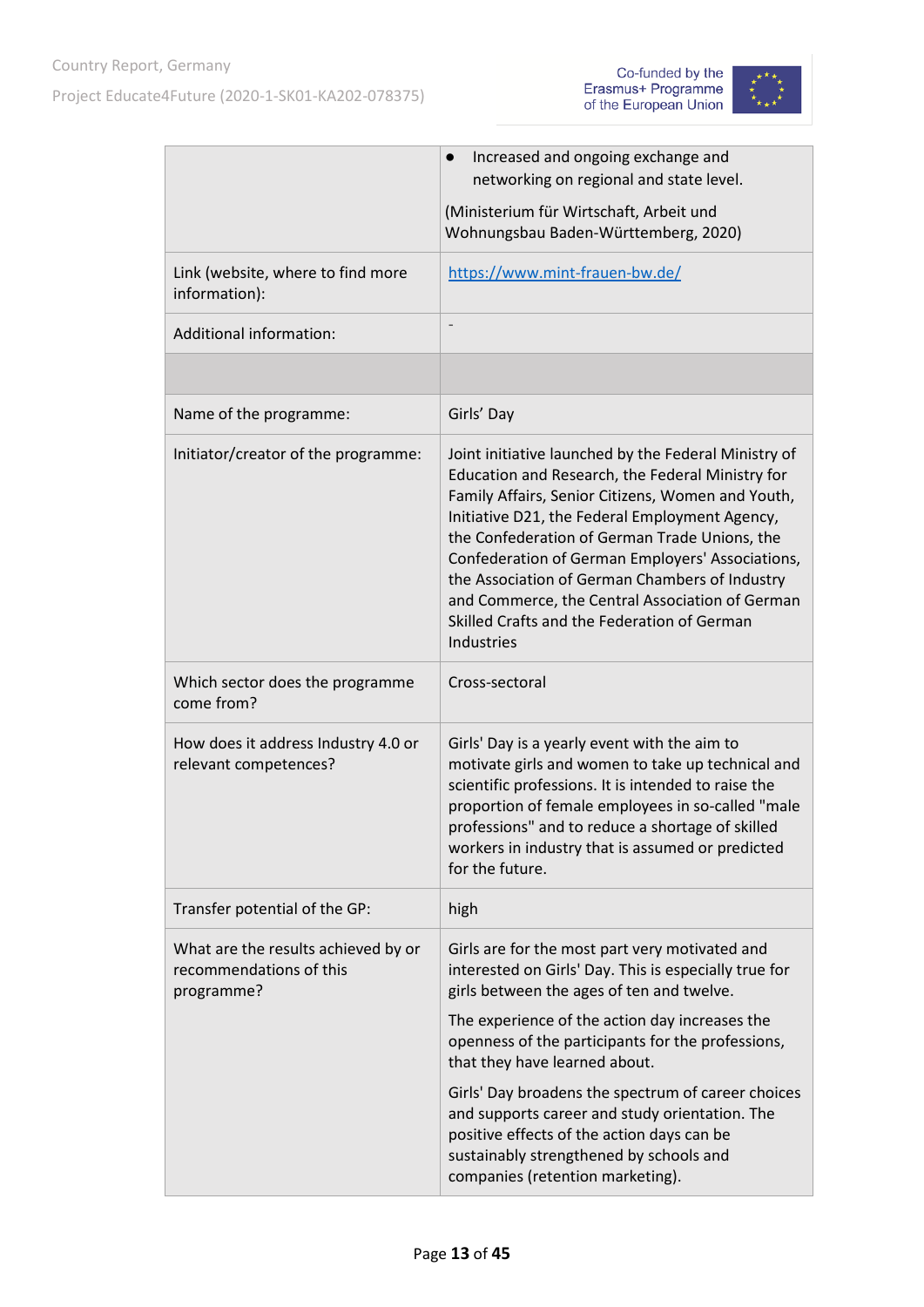



|                                                                              | Increased and ongoing exchange and<br>$\bullet$                                                                                                                                                                                                                                                                                                                                                                                                                                        |
|------------------------------------------------------------------------------|----------------------------------------------------------------------------------------------------------------------------------------------------------------------------------------------------------------------------------------------------------------------------------------------------------------------------------------------------------------------------------------------------------------------------------------------------------------------------------------|
|                                                                              | networking on regional and state level.                                                                                                                                                                                                                                                                                                                                                                                                                                                |
|                                                                              | (Ministerium für Wirtschaft, Arbeit und<br>Wohnungsbau Baden-Württemberg, 2020)                                                                                                                                                                                                                                                                                                                                                                                                        |
| Link (website, where to find more<br>information):                           | https://www.mint-frauen-bw.de/                                                                                                                                                                                                                                                                                                                                                                                                                                                         |
| <b>Additional information:</b>                                               |                                                                                                                                                                                                                                                                                                                                                                                                                                                                                        |
|                                                                              |                                                                                                                                                                                                                                                                                                                                                                                                                                                                                        |
| Name of the programme:                                                       | Girls' Day                                                                                                                                                                                                                                                                                                                                                                                                                                                                             |
| Initiator/creator of the programme:                                          | Joint initiative launched by the Federal Ministry of<br>Education and Research, the Federal Ministry for<br>Family Affairs, Senior Citizens, Women and Youth,<br>Initiative D21, the Federal Employment Agency,<br>the Confederation of German Trade Unions, the<br>Confederation of German Employers' Associations,<br>the Association of German Chambers of Industry<br>and Commerce, the Central Association of German<br>Skilled Crafts and the Federation of German<br>Industries |
| Which sector does the programme<br>come from?                                | Cross-sectoral                                                                                                                                                                                                                                                                                                                                                                                                                                                                         |
| How does it address Industry 4.0 or<br>relevant competences?                 | Girls' Day is a yearly event with the aim to<br>motivate girls and women to take up technical and<br>scientific professions. It is intended to raise the<br>proportion of female employees in so-called "male<br>professions" and to reduce a shortage of skilled<br>workers in industry that is assumed or predicted<br>for the future.                                                                                                                                               |
| Transfer potential of the GP:                                                | high                                                                                                                                                                                                                                                                                                                                                                                                                                                                                   |
| What are the results achieved by or<br>recommendations of this<br>programme? | Girls are for the most part very motivated and<br>interested on Girls' Day. This is especially true for<br>girls between the ages of ten and twelve.                                                                                                                                                                                                                                                                                                                                   |
|                                                                              | The experience of the action day increases the<br>openness of the participants for the professions,<br>that they have learned about.                                                                                                                                                                                                                                                                                                                                                   |
|                                                                              | Girls' Day broadens the spectrum of career choices<br>and supports career and study orientation. The<br>positive effects of the action days can be<br>sustainably strengthened by schools and<br>companies (retention marketing).                                                                                                                                                                                                                                                      |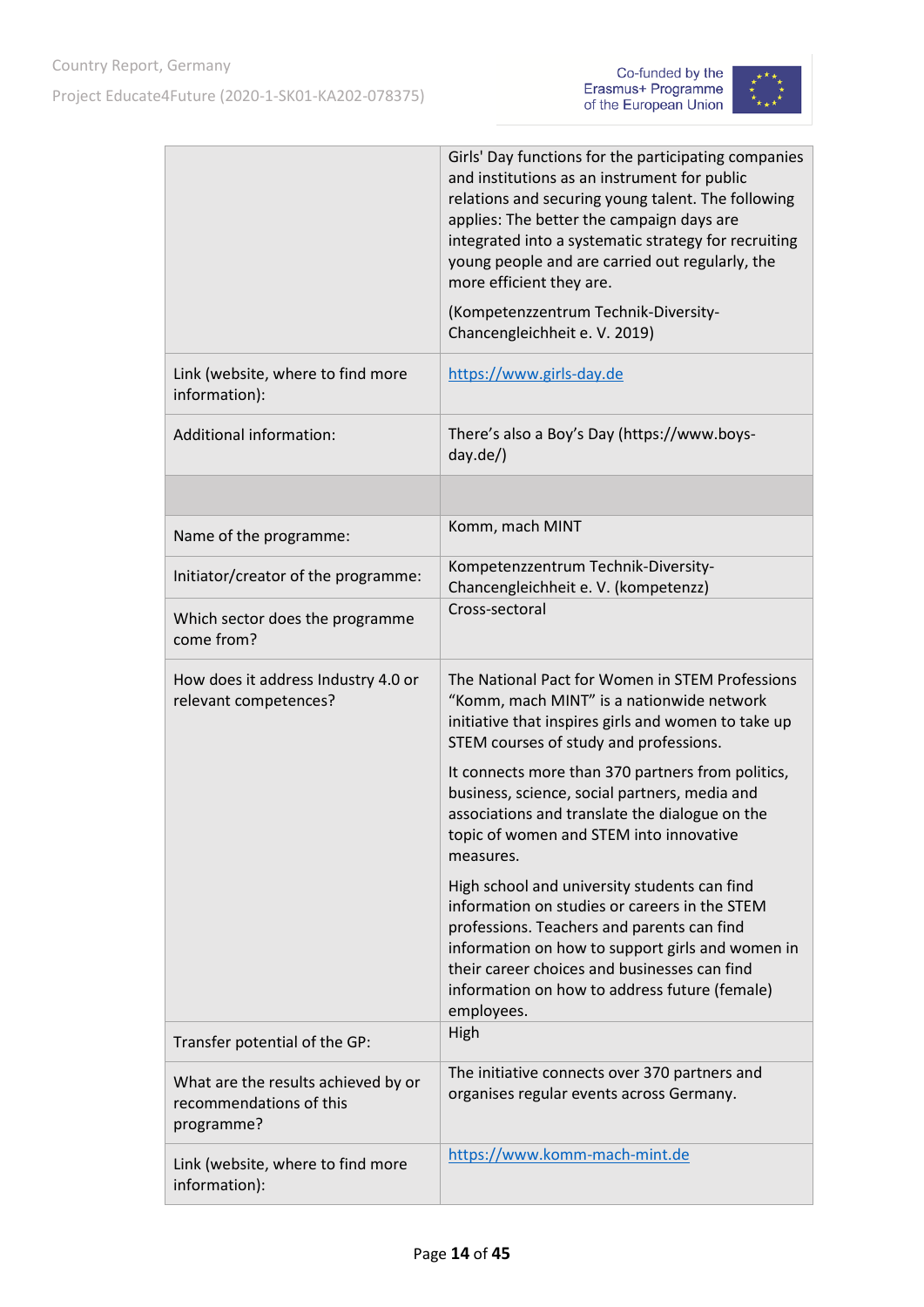



|                                                                              | Girls' Day functions for the participating companies<br>and institutions as an instrument for public<br>relations and securing young talent. The following<br>applies: The better the campaign days are<br>integrated into a systematic strategy for recruiting<br>young people and are carried out regularly, the<br>more efficient they are.<br>(Kompetenzzentrum Technik-Diversity-<br>Chancengleichheit e. V. 2019) |
|------------------------------------------------------------------------------|-------------------------------------------------------------------------------------------------------------------------------------------------------------------------------------------------------------------------------------------------------------------------------------------------------------------------------------------------------------------------------------------------------------------------|
| Link (website, where to find more<br>information):                           | https://www.girls-day.de                                                                                                                                                                                                                                                                                                                                                                                                |
| Additional information:                                                      | There's also a Boy's Day (https://www.boys-<br>$day.de$ )                                                                                                                                                                                                                                                                                                                                                               |
|                                                                              |                                                                                                                                                                                                                                                                                                                                                                                                                         |
| Name of the programme:                                                       | Komm, mach MINT                                                                                                                                                                                                                                                                                                                                                                                                         |
| Initiator/creator of the programme:                                          | Kompetenzzentrum Technik-Diversity-<br>Chancengleichheit e. V. (kompetenzz)                                                                                                                                                                                                                                                                                                                                             |
| Which sector does the programme<br>come from?                                | Cross-sectoral                                                                                                                                                                                                                                                                                                                                                                                                          |
| How does it address Industry 4.0 or<br>relevant competences?                 | The National Pact for Women in STEM Professions<br>"Komm, mach MINT" is a nationwide network<br>initiative that inspires girls and women to take up<br>STEM courses of study and professions.                                                                                                                                                                                                                           |
|                                                                              | It connects more than 370 partners from politics,<br>business, science, social partners, media and<br>associations and translate the dialogue on the<br>topic of women and STEM into innovative<br>measures.                                                                                                                                                                                                            |
|                                                                              | High school and university students can find<br>information on studies or careers in the STEM<br>professions. Teachers and parents can find<br>information on how to support girls and women in<br>their career choices and businesses can find<br>information on how to address future (female)<br>employees.                                                                                                          |
| Transfer potential of the GP:                                                | High                                                                                                                                                                                                                                                                                                                                                                                                                    |
| What are the results achieved by or<br>recommendations of this<br>programme? | The initiative connects over 370 partners and<br>organises regular events across Germany.                                                                                                                                                                                                                                                                                                                               |
| Link (website, where to find more<br>information):                           | https://www.komm-mach-mint.de                                                                                                                                                                                                                                                                                                                                                                                           |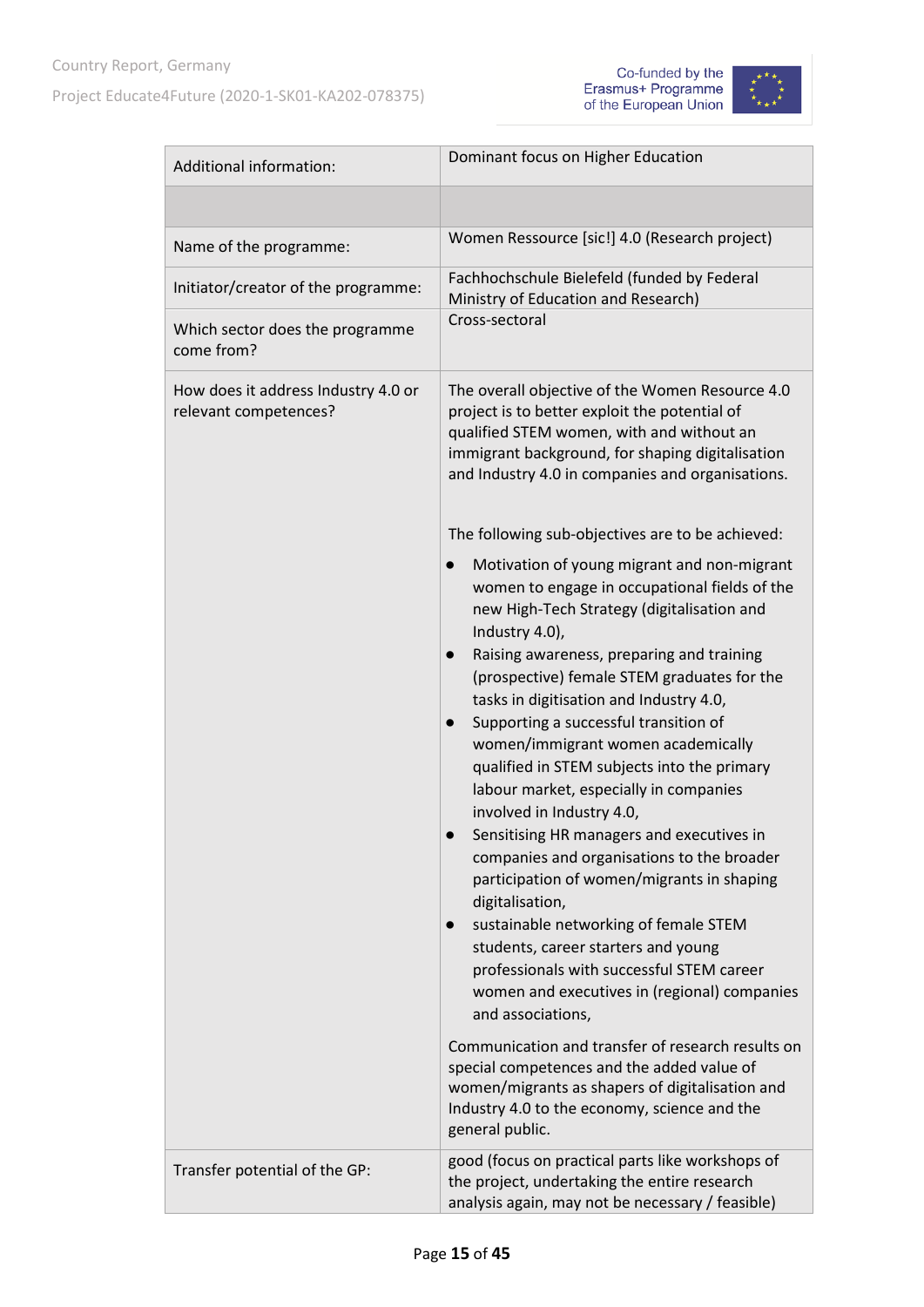



| Additional information:                                      | Dominant focus on Higher Education                                                                                                                                                                                                                                                                                                                                                                                                                                                                                                                                                                                                                                                                                                                                                                                                                                                                                                       |
|--------------------------------------------------------------|------------------------------------------------------------------------------------------------------------------------------------------------------------------------------------------------------------------------------------------------------------------------------------------------------------------------------------------------------------------------------------------------------------------------------------------------------------------------------------------------------------------------------------------------------------------------------------------------------------------------------------------------------------------------------------------------------------------------------------------------------------------------------------------------------------------------------------------------------------------------------------------------------------------------------------------|
|                                                              |                                                                                                                                                                                                                                                                                                                                                                                                                                                                                                                                                                                                                                                                                                                                                                                                                                                                                                                                          |
| Name of the programme:                                       | Women Ressource [sic!] 4.0 (Research project)                                                                                                                                                                                                                                                                                                                                                                                                                                                                                                                                                                                                                                                                                                                                                                                                                                                                                            |
| Initiator/creator of the programme:                          | Fachhochschule Bielefeld (funded by Federal<br>Ministry of Education and Research)                                                                                                                                                                                                                                                                                                                                                                                                                                                                                                                                                                                                                                                                                                                                                                                                                                                       |
| Which sector does the programme<br>come from?                | Cross-sectoral                                                                                                                                                                                                                                                                                                                                                                                                                                                                                                                                                                                                                                                                                                                                                                                                                                                                                                                           |
| How does it address Industry 4.0 or<br>relevant competences? | The overall objective of the Women Resource 4.0<br>project is to better exploit the potential of<br>qualified STEM women, with and without an<br>immigrant background, for shaping digitalisation<br>and Industry 4.0 in companies and organisations.                                                                                                                                                                                                                                                                                                                                                                                                                                                                                                                                                                                                                                                                                    |
|                                                              | The following sub-objectives are to be achieved:                                                                                                                                                                                                                                                                                                                                                                                                                                                                                                                                                                                                                                                                                                                                                                                                                                                                                         |
|                                                              | Motivation of young migrant and non-migrant<br>$\bullet$<br>women to engage in occupational fields of the<br>new High-Tech Strategy (digitalisation and<br>Industry 4.0),<br>Raising awareness, preparing and training<br>(prospective) female STEM graduates for the<br>tasks in digitisation and Industry 4.0,<br>Supporting a successful transition of<br>women/immigrant women academically<br>qualified in STEM subjects into the primary<br>labour market, especially in companies<br>involved in Industry 4.0,<br>Sensitising HR managers and executives in<br>companies and organisations to the broader<br>participation of women/migrants in shaping<br>digitalisation,<br>sustainable networking of female STEM<br>students, career starters and young<br>professionals with successful STEM career<br>women and executives in (regional) companies<br>and associations,<br>Communication and transfer of research results on |
|                                                              | special competences and the added value of<br>women/migrants as shapers of digitalisation and<br>Industry 4.0 to the economy, science and the<br>general public.                                                                                                                                                                                                                                                                                                                                                                                                                                                                                                                                                                                                                                                                                                                                                                         |
| Transfer potential of the GP:                                | good (focus on practical parts like workshops of<br>the project, undertaking the entire research<br>analysis again, may not be necessary / feasible)                                                                                                                                                                                                                                                                                                                                                                                                                                                                                                                                                                                                                                                                                                                                                                                     |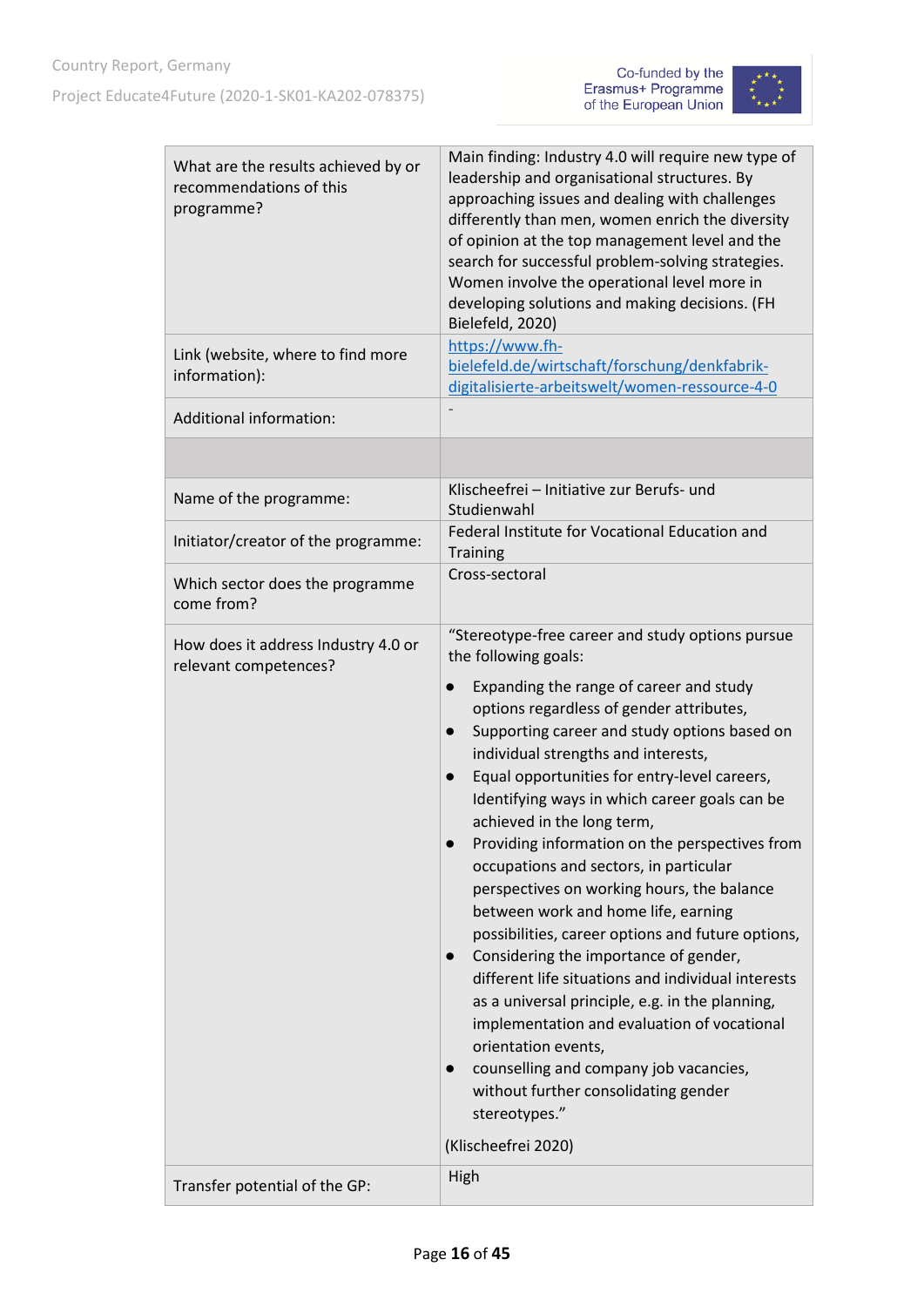



| What are the results achieved by or<br>recommendations of this<br>programme? | Main finding: Industry 4.0 will require new type of<br>leadership and organisational structures. By<br>approaching issues and dealing with challenges<br>differently than men, women enrich the diversity<br>of opinion at the top management level and the<br>search for successful problem-solving strategies.<br>Women involve the operational level more in<br>developing solutions and making decisions. (FH<br>Bielefeld, 2020)                                                                                                                                                                                                                                                                                                                                                                                                                                                                                                                                                                                             |
|------------------------------------------------------------------------------|-----------------------------------------------------------------------------------------------------------------------------------------------------------------------------------------------------------------------------------------------------------------------------------------------------------------------------------------------------------------------------------------------------------------------------------------------------------------------------------------------------------------------------------------------------------------------------------------------------------------------------------------------------------------------------------------------------------------------------------------------------------------------------------------------------------------------------------------------------------------------------------------------------------------------------------------------------------------------------------------------------------------------------------|
| Link (website, where to find more<br>information):                           | https://www.fh-<br>bielefeld.de/wirtschaft/forschung/denkfabrik-<br>digitalisierte-arbeitswelt/women-ressource-4-0                                                                                                                                                                                                                                                                                                                                                                                                                                                                                                                                                                                                                                                                                                                                                                                                                                                                                                                |
| <b>Additional information:</b>                                               |                                                                                                                                                                                                                                                                                                                                                                                                                                                                                                                                                                                                                                                                                                                                                                                                                                                                                                                                                                                                                                   |
|                                                                              |                                                                                                                                                                                                                                                                                                                                                                                                                                                                                                                                                                                                                                                                                                                                                                                                                                                                                                                                                                                                                                   |
| Name of the programme:                                                       | Klischeefrei - Initiative zur Berufs- und<br>Studienwahl                                                                                                                                                                                                                                                                                                                                                                                                                                                                                                                                                                                                                                                                                                                                                                                                                                                                                                                                                                          |
| Initiator/creator of the programme:                                          | Federal Institute for Vocational Education and<br><b>Training</b>                                                                                                                                                                                                                                                                                                                                                                                                                                                                                                                                                                                                                                                                                                                                                                                                                                                                                                                                                                 |
| Which sector does the programme<br>come from?                                | Cross-sectoral                                                                                                                                                                                                                                                                                                                                                                                                                                                                                                                                                                                                                                                                                                                                                                                                                                                                                                                                                                                                                    |
| How does it address Industry 4.0 or<br>relevant competences?                 | "Stereotype-free career and study options pursue<br>the following goals:<br>Expanding the range of career and study<br>$\bullet$<br>options regardless of gender attributes,<br>Supporting career and study options based on<br>$\bullet$<br>individual strengths and interests,<br>Equal opportunities for entry-level careers,<br>Identifying ways in which career goals can be<br>achieved in the long term,<br>Providing information on the perspectives from<br>occupations and sectors, in particular<br>perspectives on working hours, the balance<br>between work and home life, earning<br>possibilities, career options and future options,<br>Considering the importance of gender,<br>$\bullet$<br>different life situations and individual interests<br>as a universal principle, e.g. in the planning,<br>implementation and evaluation of vocational<br>orientation events,<br>counselling and company job vacancies,<br>$\bullet$<br>without further consolidating gender<br>stereotypes."<br>(Klischeefrei 2020) |
| Transfer potential of the GP:                                                | High                                                                                                                                                                                                                                                                                                                                                                                                                                                                                                                                                                                                                                                                                                                                                                                                                                                                                                                                                                                                                              |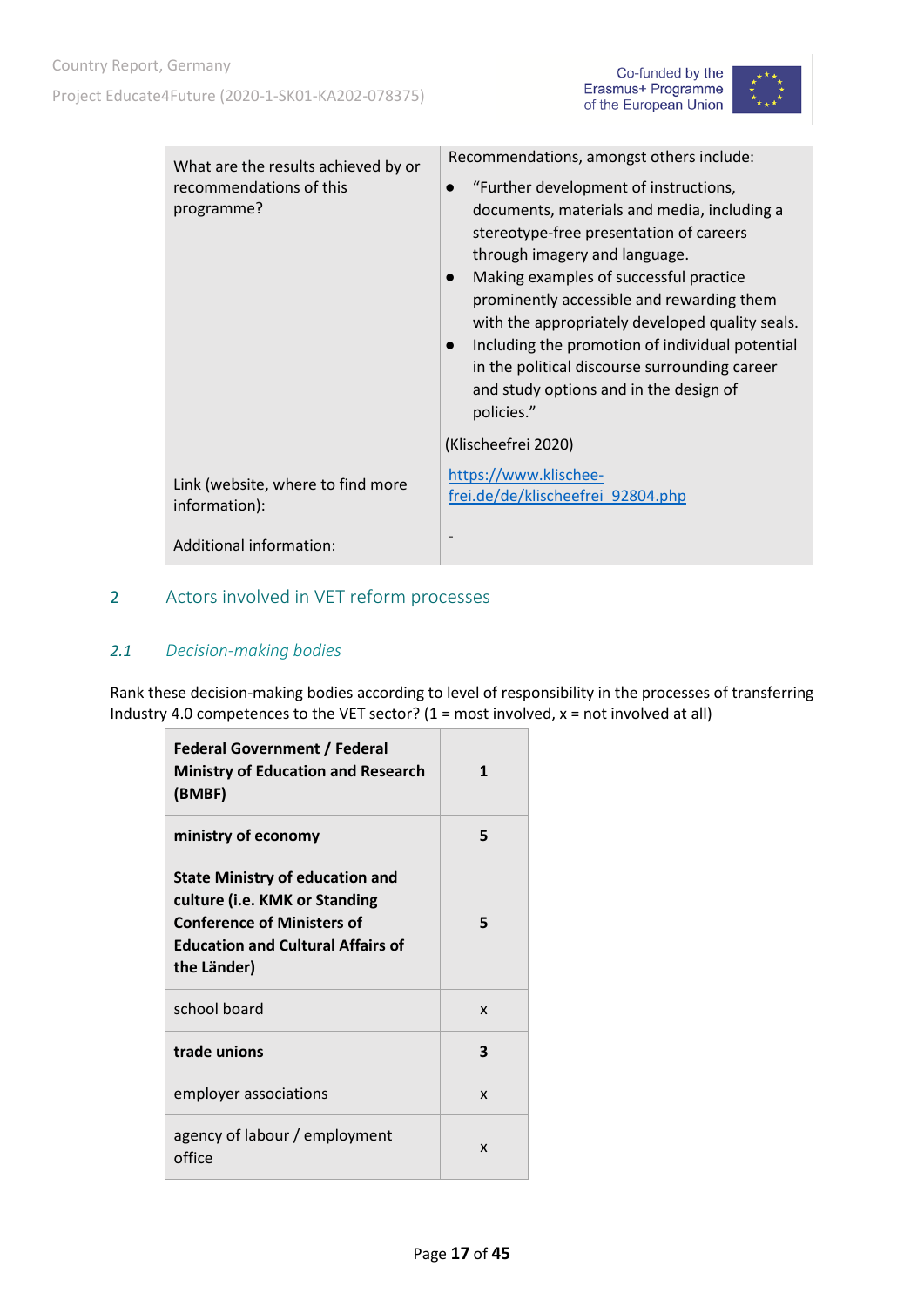



| What are the results achieved by or<br>recommendations of this<br>programme? | Recommendations, amongst others include:<br>"Further development of instructions,<br>documents, materials and media, including a<br>stereotype-free presentation of careers<br>through imagery and language.<br>Making examples of successful practice<br>prominently accessible and rewarding them<br>with the appropriately developed quality seals.<br>Including the promotion of individual potential<br>in the political discourse surrounding career<br>and study options and in the design of<br>policies."<br>(Klischeefrei 2020) |
|------------------------------------------------------------------------------|-------------------------------------------------------------------------------------------------------------------------------------------------------------------------------------------------------------------------------------------------------------------------------------------------------------------------------------------------------------------------------------------------------------------------------------------------------------------------------------------------------------------------------------------|
| Link (website, where to find more<br>information):                           | https://www.klischee-<br>frei.de/de/klischeefrei_92804.php                                                                                                                                                                                                                                                                                                                                                                                                                                                                                |
| Additional information:                                                      |                                                                                                                                                                                                                                                                                                                                                                                                                                                                                                                                           |

### <span id="page-16-1"></span><span id="page-16-0"></span>2 Actors involved in VET reform processes

#### *2.1 Decision-making bodies*

Rank these decision-making bodies according to level of responsibility in the processes of transferring Industry 4.0 competences to the VET sector?  $(1 = most involved, x = not involved at all)$ 

| <b>Federal Government / Federal</b><br><b>Ministry of Education and Research</b><br>(BMBF)                                                                              | 1 |
|-------------------------------------------------------------------------------------------------------------------------------------------------------------------------|---|
| ministry of economy                                                                                                                                                     | 5 |
| <b>State Ministry of education and</b><br>culture (i.e. KMK or Standing<br><b>Conference of Ministers of</b><br><b>Education and Cultural Affairs of</b><br>the Länder) | 5 |
| school board                                                                                                                                                            | X |
| trade unions                                                                                                                                                            | 3 |
|                                                                                                                                                                         |   |
| employer associations                                                                                                                                                   | X |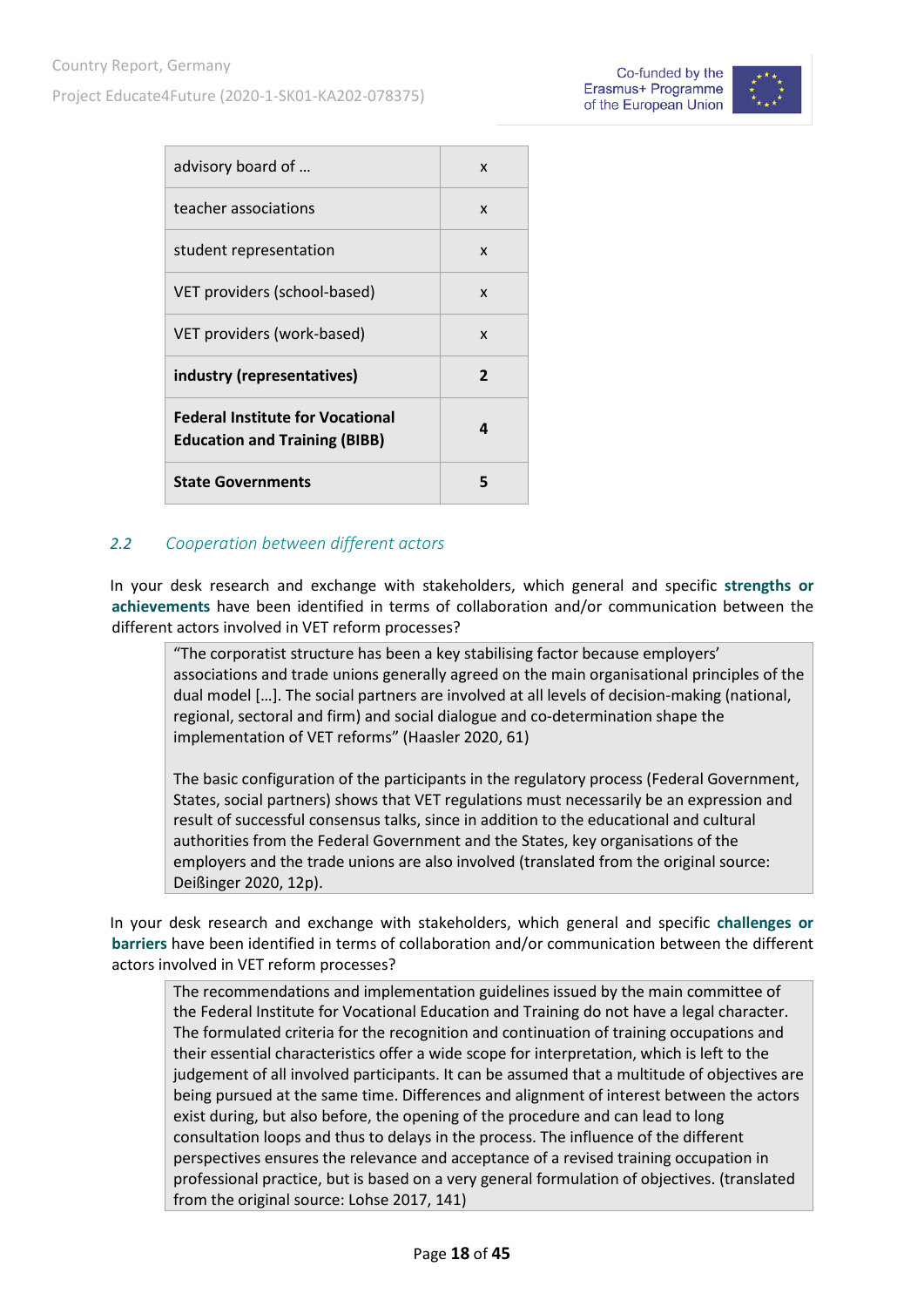| Co-funded by the      |  |
|-----------------------|--|
| Erasmus+ Programme    |  |
| of the European Union |  |



| advisory board of                                                               | X |
|---------------------------------------------------------------------------------|---|
| teacher associations                                                            | X |
| student representation                                                          | X |
| VET providers (school-based)                                                    | X |
| VET providers (work-based)                                                      | X |
| industry (representatives)                                                      | 2 |
| <b>Federal Institute for Vocational</b><br><b>Education and Training (BIBB)</b> | Δ |
| <b>State Governments</b>                                                        | 5 |

#### <span id="page-17-0"></span>*2.2 Cooperation between different actors*

In your desk research and exchange with stakeholders, which general and specific **strengths or achievements** have been identified in terms of collaboration and/or communication between the different actors involved in VET reform processes?

"The corporatist structure has been a key stabilising factor because employers' associations and trade unions generally agreed on the main organisational principles of the dual model […]. The social partners are involved at all levels of decision-making (national, regional, sectoral and firm) and social dialogue and co-determination shape the implementation of VET reforms" (Haasler 2020, 61)

The basic configuration of the participants in the regulatory process (Federal Government, States, social partners) shows that VET regulations must necessarily be an expression and result of successful consensus talks, since in addition to the educational and cultural authorities from the Federal Government and the States, key organisations of the employers and the trade unions are also involved (translated from the original source: Deißinger 2020, 12p).

In your desk research and exchange with stakeholders, which general and specific **challenges or barriers** have been identified in terms of collaboration and/or communication between the different actors involved in VET reform processes?

The recommendations and implementation guidelines issued by the main committee of the Federal Institute for Vocational Education and Training do not have a legal character. The formulated criteria for the recognition and continuation of training occupations and their essential characteristics offer a wide scope for interpretation, which is left to the judgement of all involved participants. It can be assumed that a multitude of objectives are being pursued at the same time. Differences and alignment of interest between the actors exist during, but also before, the opening of the procedure and can lead to long consultation loops and thus to delays in the process. The influence of the different perspectives ensures the relevance and acceptance of a revised training occupation in professional practice, but is based on a very general formulation of objectives. (translated from the original source: Lohse 2017, 141)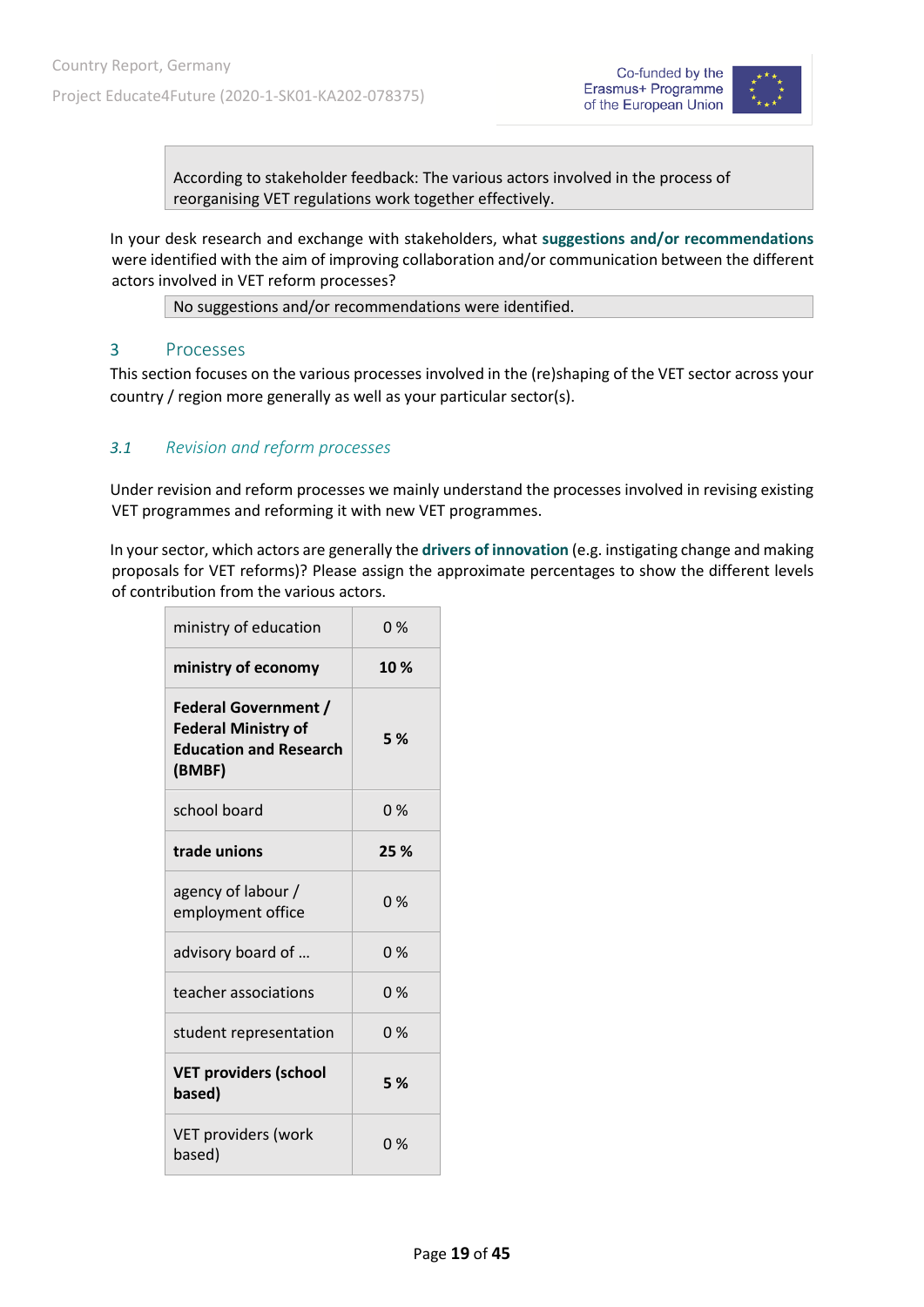



According to stakeholder feedback: The various actors involved in the process of reorganising VET regulations work together effectively.

In your desk research and exchange with stakeholders, what **suggestions and/or recommendations** were identified with the aim of improving collaboration and/or communication between the different actors involved in VET reform processes?

No suggestions and/or recommendations were identified.

#### <span id="page-18-0"></span>3 Processes

This section focuses on the various processes involved in the (re)shaping of the VET sector across your country / region more generally as well as your particular sector(s).

#### <span id="page-18-1"></span>*3.1 Revision and reform processes*

Under revision and reform processes we mainly understand the processes involved in revising existing VET programmes and reforming it with new VET programmes.

In your sector, which actors are generally the **drivers of innovation** (e.g. instigating change and making proposals for VET reforms)? Please assign the approximate percentages to show the different levels of contribution from the various actors.

| ministry of education                                                                                | 0%    |
|------------------------------------------------------------------------------------------------------|-------|
| ministry of economy                                                                                  | 10%   |
| <b>Federal Government /</b><br><b>Federal Ministry of</b><br><b>Education and Research</b><br>(BMBF) | 5 %   |
| school board                                                                                         | 0%    |
| trade unions                                                                                         | 25 %  |
| agency of labour /<br>employment office                                                              | 0%    |
| advisory board of                                                                                    | 0%    |
| teacher associations                                                                                 | 0%    |
| student representation                                                                               | $0\%$ |
| <b>VET providers (school</b><br>based)                                                               | 5 %   |
| VET providers (work<br>based)                                                                        | 0%    |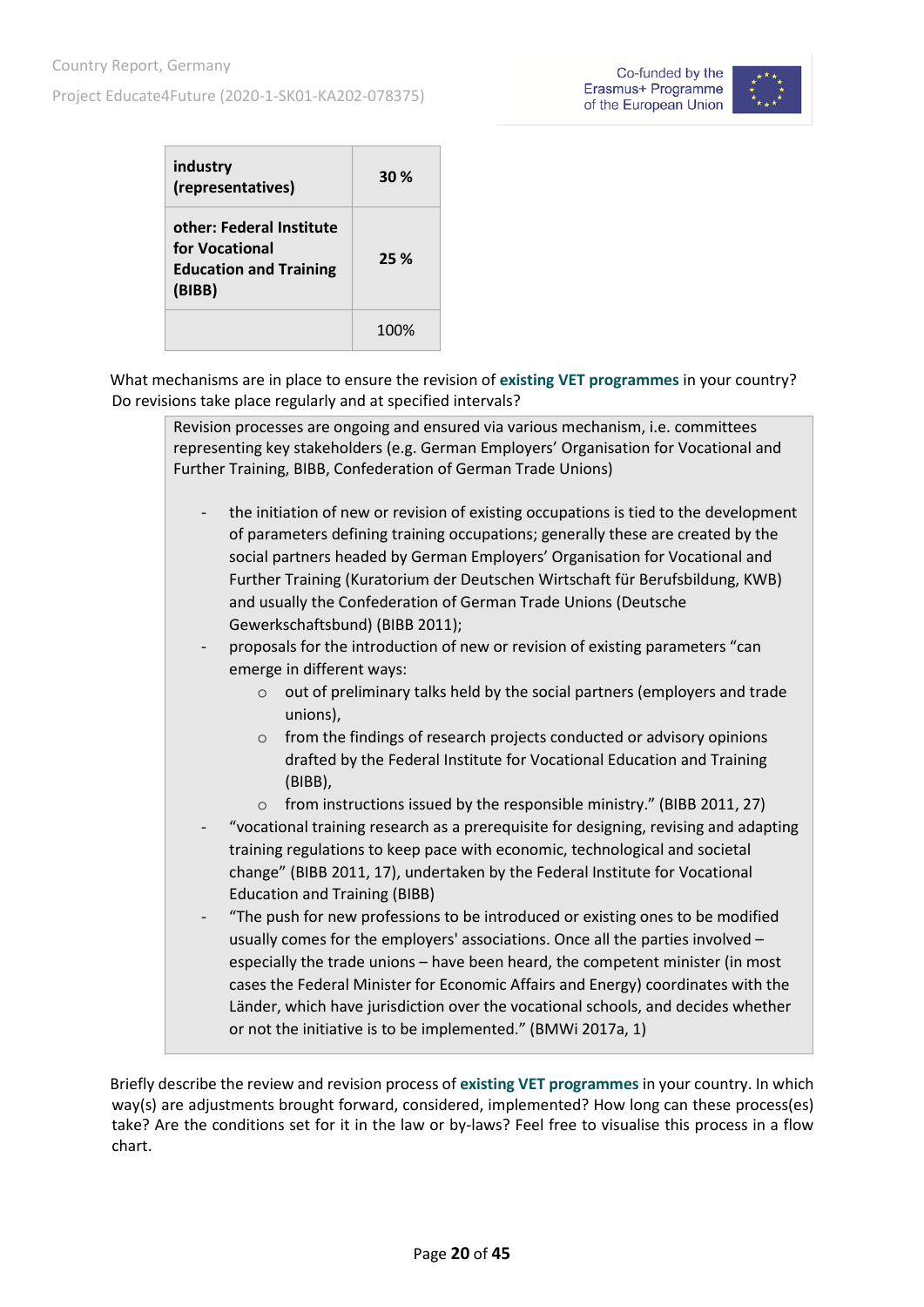

| industry<br>(representatives)                                                         | 30%  |
|---------------------------------------------------------------------------------------|------|
| other: Federal Institute<br>for Vocational<br><b>Education and Training</b><br>(BIBB) | 25 % |
|                                                                                       | 100% |

What mechanisms are in place to ensure the revision of **existing VET programmes** in your country? Do revisions take place regularly and at specified intervals?

|                          | Revision processes are ongoing and ensured via various mechanism, i.e. committees<br>representing key stakeholders (e.g. German Employers' Organisation for Vocational and<br>Further Training, BIBB, Confederation of German Trade Unions)                                                                                                                                                                                                                                                                                                                                                                                                                                                                                                                                              |
|--------------------------|------------------------------------------------------------------------------------------------------------------------------------------------------------------------------------------------------------------------------------------------------------------------------------------------------------------------------------------------------------------------------------------------------------------------------------------------------------------------------------------------------------------------------------------------------------------------------------------------------------------------------------------------------------------------------------------------------------------------------------------------------------------------------------------|
| $\overline{\phantom{a}}$ | the initiation of new or revision of existing occupations is tied to the development<br>of parameters defining training occupations; generally these are created by the<br>social partners headed by German Employers' Organisation for Vocational and<br>Further Training (Kuratorium der Deutschen Wirtschaft für Berufsbildung, KWB)<br>and usually the Confederation of German Trade Unions (Deutsche<br>Gewerkschaftsbund) (BIBB 2011);<br>proposals for the introduction of new or revision of existing parameters "can                                                                                                                                                                                                                                                            |
|                          | emerge in different ways:<br>out of preliminary talks held by the social partners (employers and trade<br>$\circ$<br>unions),<br>from the findings of research projects conducted or advisory opinions<br>$\circ$<br>drafted by the Federal Institute for Vocational Education and Training<br>(BIBB),<br>from instructions issued by the responsible ministry." (BIBB 2011, 27)<br>$\Omega$                                                                                                                                                                                                                                                                                                                                                                                             |
|                          | "vocational training research as a prerequisite for designing, revising and adapting<br>training regulations to keep pace with economic, technological and societal<br>change" (BIBB 2011, 17), undertaken by the Federal Institute for Vocational<br><b>Education and Training (BIBB)</b><br>"The push for new professions to be introduced or existing ones to be modified<br>usually comes for the employers' associations. Once all the parties involved -<br>especially the trade unions - have been heard, the competent minister (in most<br>cases the Federal Minister for Economic Affairs and Energy) coordinates with the<br>Länder, which have jurisdiction over the vocational schools, and decides whether<br>or not the initiative is to be implemented." (BMWi 2017a, 1) |

Briefly describe the review and revision process of **existing VET programmes** in your country. In which way(s) are adjustments brought forward, considered, implemented? How long can these process(es) take? Are the conditions set for it in the law or by-laws? Feel free to visualise this process in a flow chart.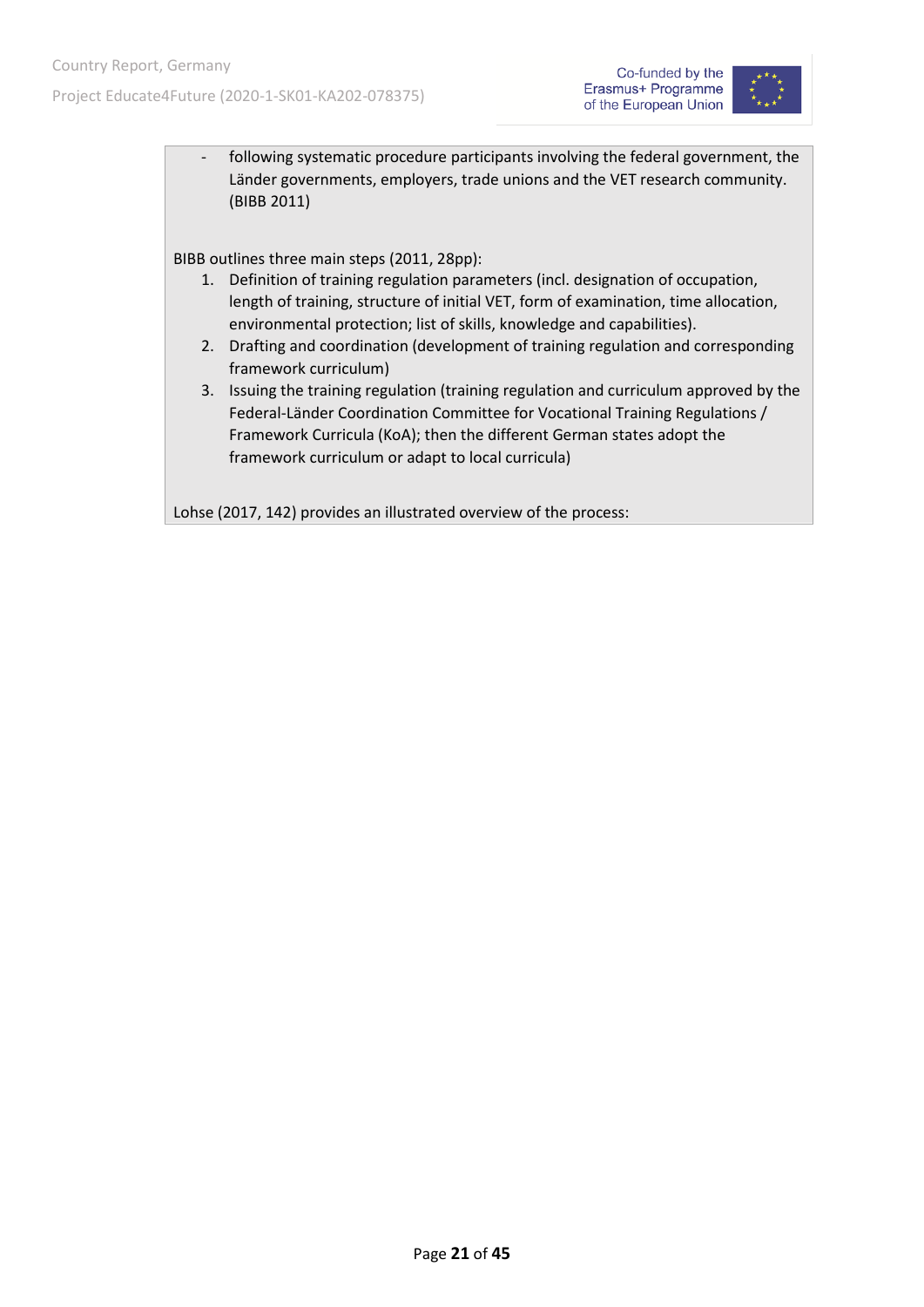

- following systematic procedure participants involving the federal government, the Länder governments, employers, trade unions and the VET research community. (BIBB 2011)

BIBB outlines three main steps (2011, 28pp):

- 1. Definition of training regulation parameters (incl. designation of occupation, length of training, structure of initial VET, form of examination, time allocation, environmental protection; list of skills, knowledge and capabilities).
- 2. Drafting and coordination (development of training regulation and corresponding framework curriculum)
- 3. Issuing the training regulation (training regulation and curriculum approved by the Federal-Länder Coordination Committee for Vocational Training Regulations / Framework Curricula (KoA); then the different German states adopt the framework curriculum or adapt to local curricula)

Lohse (2017, 142) provides an illustrated overview of the process: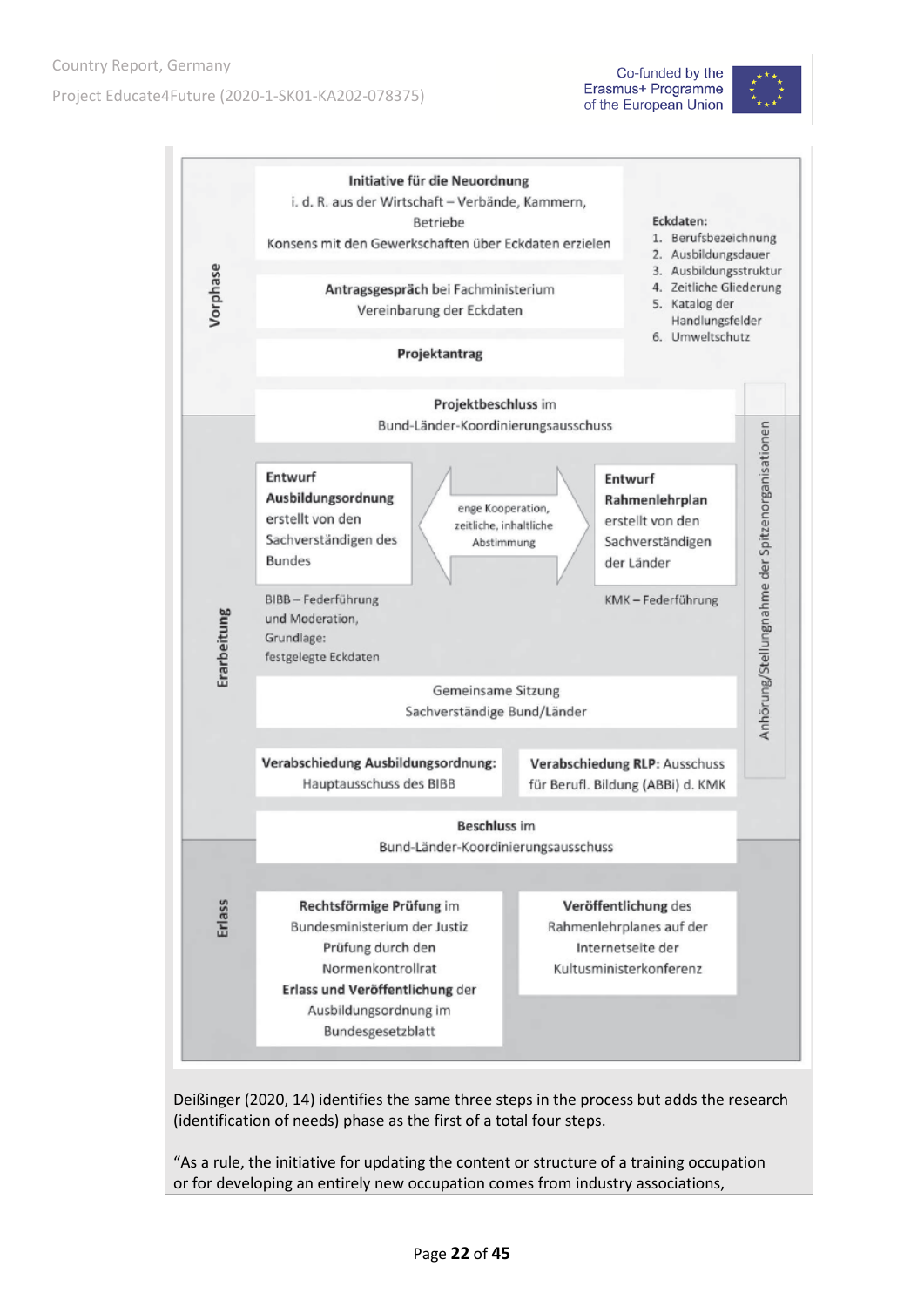





Deißinger (2020, 14) identifies the same three steps in the process but adds the research (identification of needs) phase as the first of a total four steps.

"As a rule, the initiative for updating the content or structure of a training occupation or for developing an entirely new occupation comes from industry associations,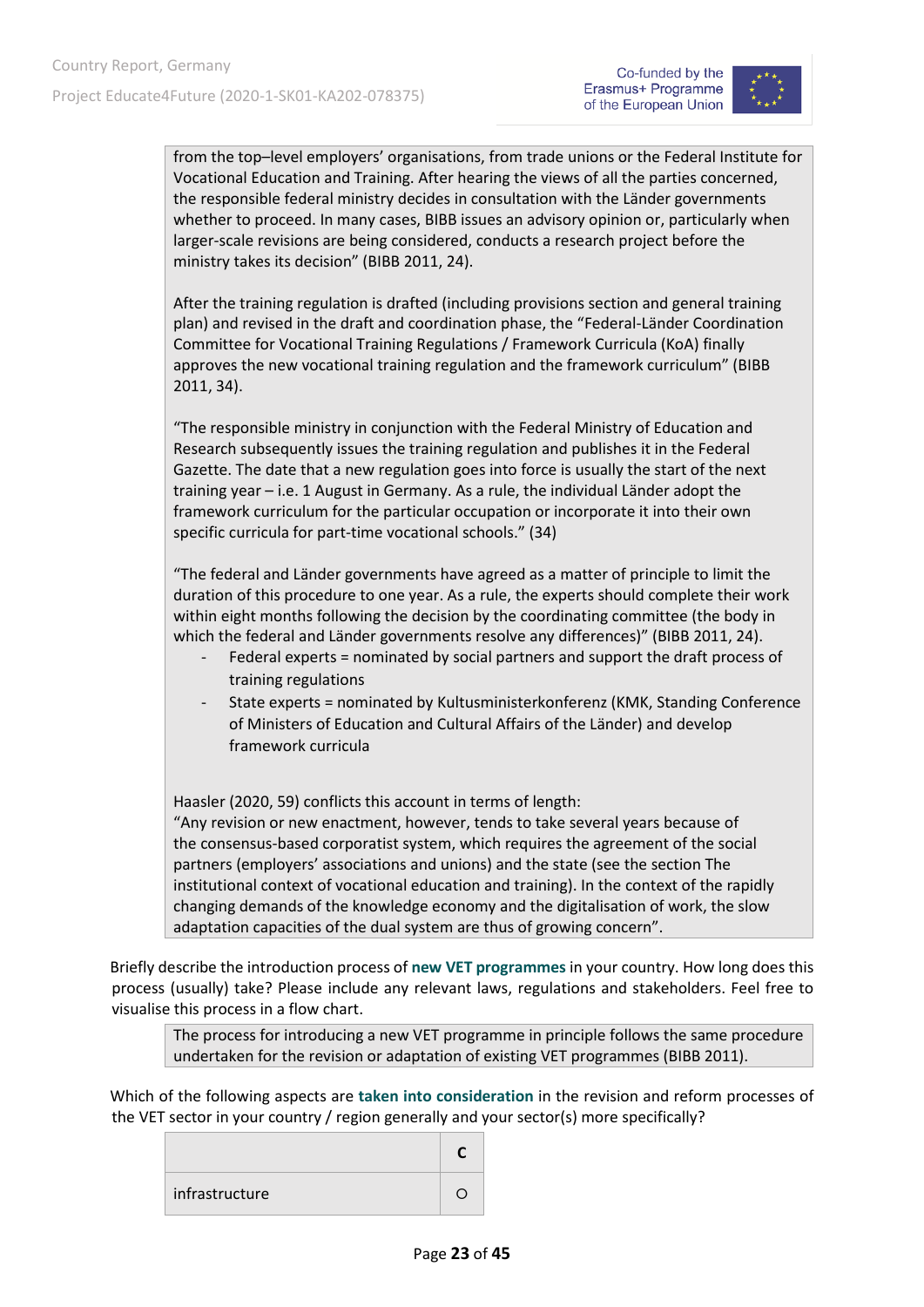

from the top–level employers' organisations, from trade unions or the Federal Institute for Vocational Education and Training. After hearing the views of all the parties concerned, the responsible federal ministry decides in consultation with the Länder governments whether to proceed. In many cases, BIBB issues an advisory opinion or, particularly when larger-scale revisions are being considered, conducts a research project before the ministry takes its decision" (BIBB 2011, 24).

After the training regulation is drafted (including provisions section and general training plan) and revised in the draft and coordination phase, the "Federal-Länder Coordination Committee for Vocational Training Regulations / Framework Curricula (KoA) finally approves the new vocational training regulation and the framework curriculum" (BIBB 2011, 34).

"The responsible ministry in conjunction with the Federal Ministry of Education and Research subsequently issues the training regulation and publishes it in the Federal Gazette. The date that a new regulation goes into force is usually the start of the next training year – i.e. 1 August in Germany. As a rule, the individual Länder adopt the framework curriculum for the particular occupation or incorporate it into their own specific curricula for part-time vocational schools." (34)

"The federal and Länder governments have agreed as a matter of principle to limit the duration of this procedure to one year. As a rule, the experts should complete their work within eight months following the decision by the coordinating committee (the body in which the federal and Länder governments resolve any differences)" (BIBB 2011, 24).

- Federal experts = nominated by social partners and support the draft process of training regulations
- State experts = nominated by Kultusministerkonferenz (KMK, Standing Conference of Ministers of Education and Cultural Affairs of the Länder) and develop framework curricula

Haasler (2020, 59) conflicts this account in terms of length:

"Any revision or new enactment, however, tends to take several years because of the consensus-based corporatist system, which requires the agreement of the social partners (employers' associations and unions) and the state (see the section The institutional context of vocational education and training). In the context of the rapidly changing demands of the knowledge economy and the digitalisation of work, the slow adaptation capacities of the dual system are thus of growing concern".

Briefly describe the introduction process of **new VET programmes** in your country. How long does this process (usually) take? Please include any relevant laws, regulations and stakeholders. Feel free to visualise this process in a flow chart.

The process for introducing a new VET programme in principle follows the same procedure undertaken for the revision or adaptation of existing VET programmes (BIBB 2011).

Which of the following aspects are **taken into consideration** in the revision and reform processes of the VET sector in your country / region generally and your sector(s) more specifically?

| infrastructure |  |
|----------------|--|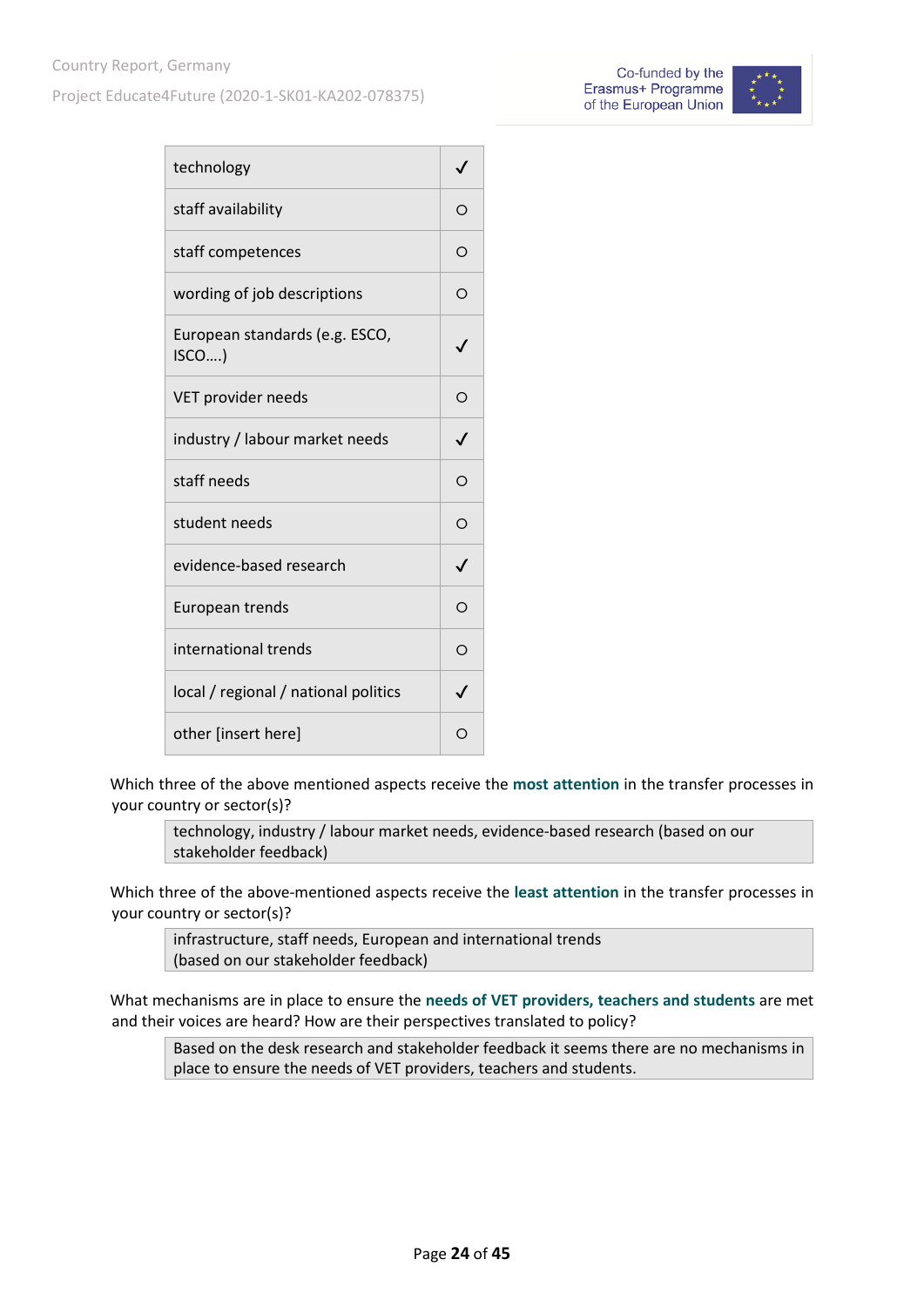Project Educate4Future (2020-1-SK01-KA202-078375)





| technology                             |              |
|----------------------------------------|--------------|
| staff availability                     |              |
| staff competences                      | ∩            |
| wording of job descriptions            | ∩            |
| European standards (e.g. ESCO,<br>ISCO |              |
| VET provider needs                     | Ω            |
| industry / labour market needs         | ./           |
| staff needs                            | ∩            |
| student needs                          | Ω            |
| evidence-based research                | $\checkmark$ |
| European trends                        | ∩            |
| international trends                   | ∩            |
| local / regional / national politics   |              |
| other [insert here]                    |              |

Which three of the above mentioned aspects receive the **most attention** in the transfer processes in your country or sector(s)?

technology, industry / labour market needs, evidence-based research (based on our stakeholder feedback)

Which three of the above-mentioned aspects receive the **least attention** in the transfer processes in your country or sector(s)?

infrastructure, staff needs, European and international trends (based on our stakeholder feedback)

What mechanisms are in place to ensure the **needs of VET providers, teachers and students** are met and their voices are heard? How are their perspectives translated to policy?

Based on the desk research and stakeholder feedback it seems there are no mechanisms in place to ensure the needs of VET providers, teachers and students.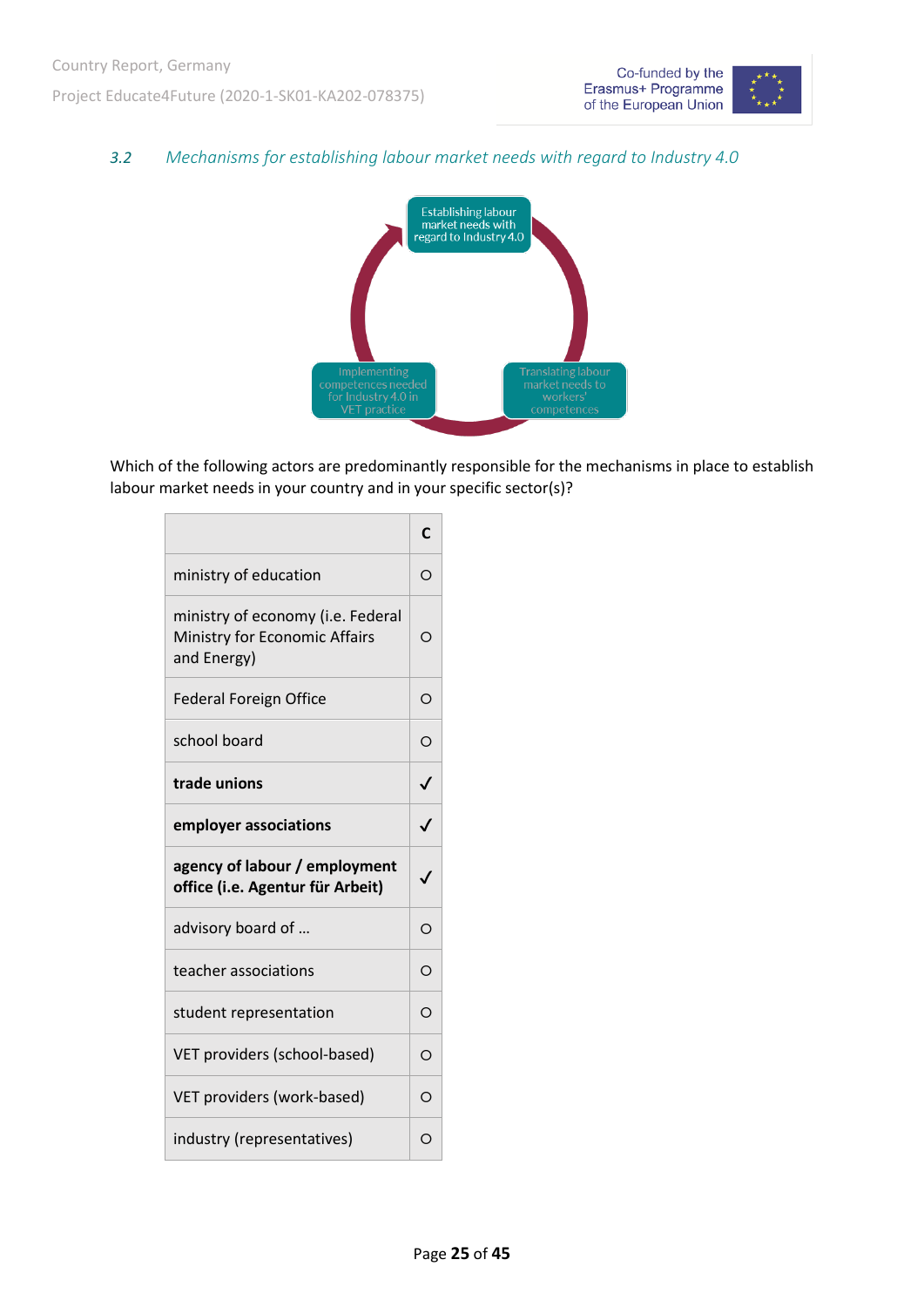

#### <span id="page-24-0"></span>*3.2 Mechanisms for establishing labour market needs with regard to Industry 4.0*



Which of the following actors are predominantly responsible for the mechanisms in place to establish labour market needs in your country and in your specific sector(s)?

|                                                                                   | C            |
|-----------------------------------------------------------------------------------|--------------|
| ministry of education                                                             | O            |
| ministry of economy (i.e. Federal<br>Ministry for Economic Affairs<br>and Energy) | Ω            |
| <b>Federal Foreign Office</b>                                                     | O            |
| school board                                                                      | $\circ$      |
| trade unions                                                                      | $\checkmark$ |
| employer associations                                                             | $\checkmark$ |
| agency of labour / employment<br>office (i.e. Agentur für Arbeit)                 | $\checkmark$ |
| advisory board of                                                                 | $\Omega$     |
| teacher associations                                                              | $\Omega$     |
| student representation                                                            | $\Omega$     |
| VET providers (school-based)                                                      | O            |
| VET providers (work-based)                                                        | O            |
| industry (representatives)                                                        | $\Omega$     |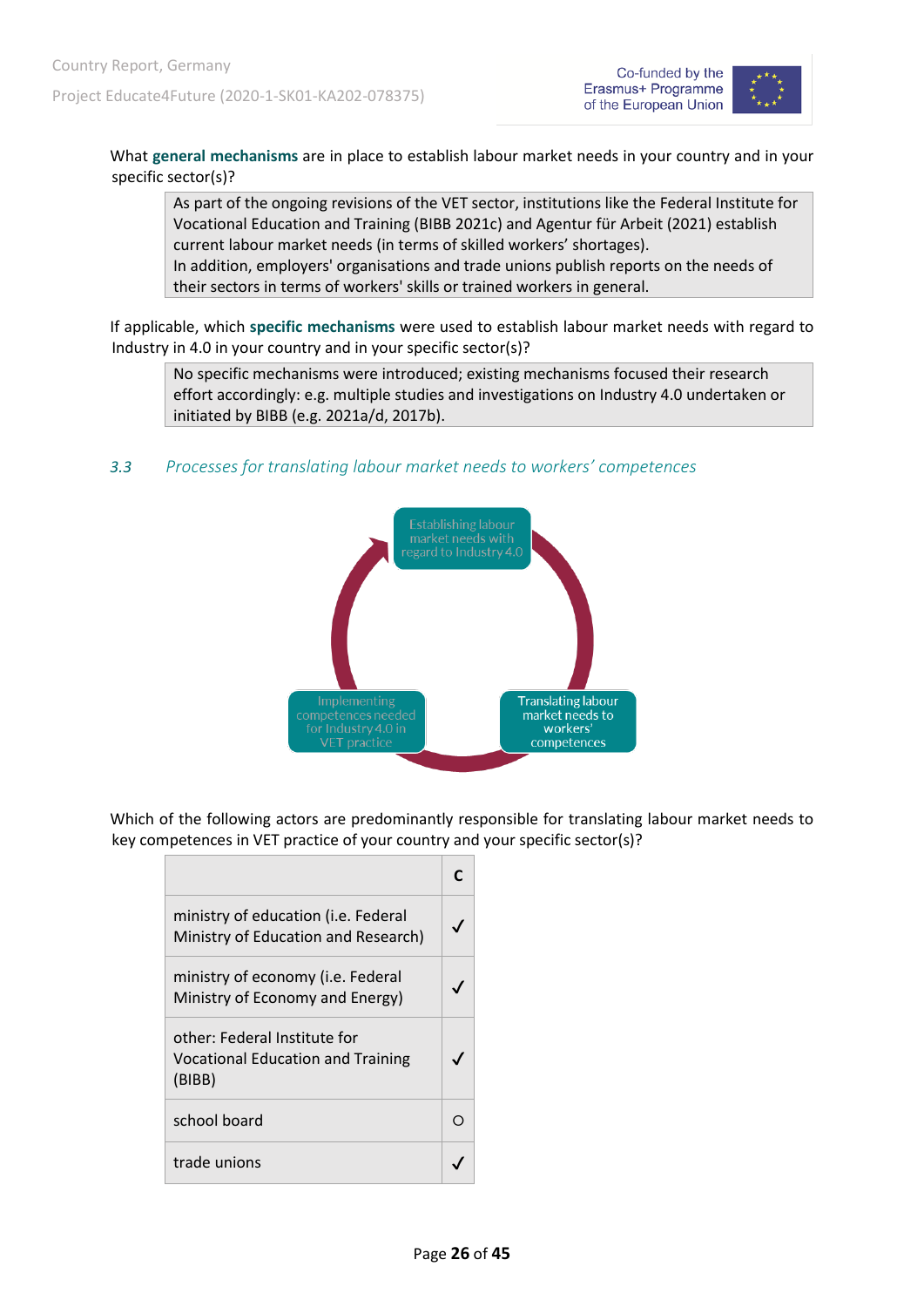



What **general mechanisms** are in place to establish labour market needs in your country and in your specific sector(s)?

As part of the ongoing revisions of the VET sector, institutions like the Federal Institute for Vocational Education and Training (BIBB 2021c) and Agentur für Arbeit (2021) establish current labour market needs (in terms of skilled workers' shortages). In addition, employers' organisations and trade unions publish reports on the needs of their sectors in terms of workers' skills or trained workers in general.

If applicable, which **specific mechanisms** were used to establish labour market needs with regard to Industry in 4.0 in your country and in your specific sector(s)?

No specific mechanisms were introduced; existing mechanisms focused their research effort accordingly: e.g. multiple studies and investigations on Industry 4.0 undertaken or initiated by BIBB (e.g. 2021a/d, 2017b).

<span id="page-25-0"></span>*3.3 Processes for translating labour market needs to workers' competences*



Which of the following actors are predominantly responsible for translating labour market needs to key competences in VET practice of your country and your specific sector(s)?

| ministry of education (i.e. Federal<br>Ministry of Education and Research)         |  |
|------------------------------------------------------------------------------------|--|
| ministry of economy (i.e. Federal<br>Ministry of Economy and Energy)               |  |
| other: Federal Institute for<br><b>Vocational Education and Training</b><br>(BIBB) |  |
| school board                                                                       |  |
| trade unions                                                                       |  |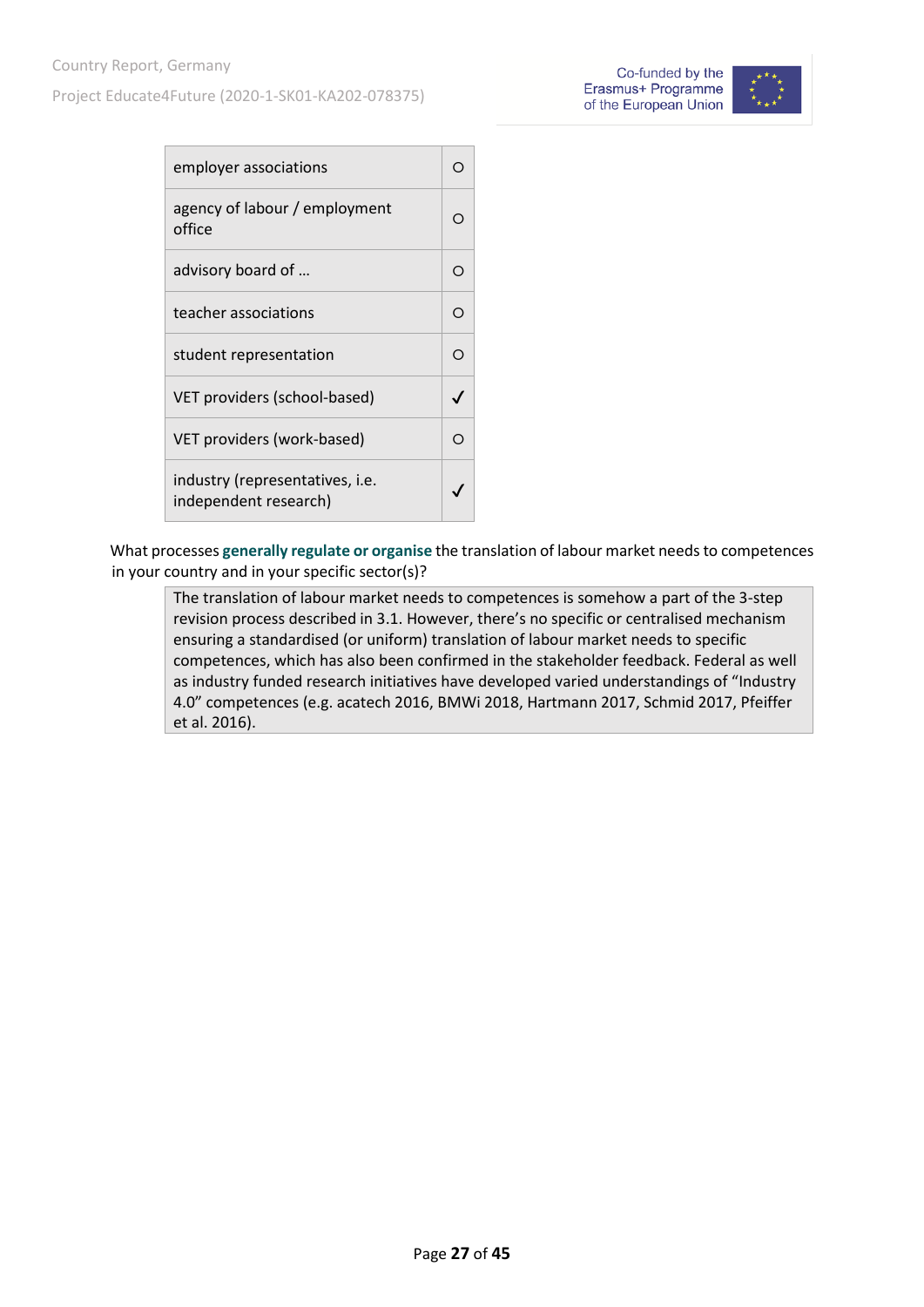Project Educate4Future (2020-1-SK01-KA202-078375)



| employer associations                                    |  |
|----------------------------------------------------------|--|
| agency of labour / employment<br>office                  |  |
| advisory board of                                        |  |
| teacher associations                                     |  |
| student representation                                   |  |
| VET providers (school-based)                             |  |
| VET providers (work-based)                               |  |
| industry (representatives, i.e.<br>independent research) |  |

What processes **generally regulate or organise** the translation of labour market needs to competences in your country and in your specific sector(s)?

The translation of labour market needs to competences is somehow a part of the 3-step revision process described in 3.1. However, there's no specific or centralised mechanism ensuring a standardised (or uniform) translation of labour market needs to specific competences, which has also been confirmed in the stakeholder feedback. Federal as well as industry funded research initiatives have developed varied understandings of "Industry 4.0" competences (e.g. acatech 2016, BMWi 2018, Hartmann 2017, Schmid 2017, Pfeiffer et al. 2016).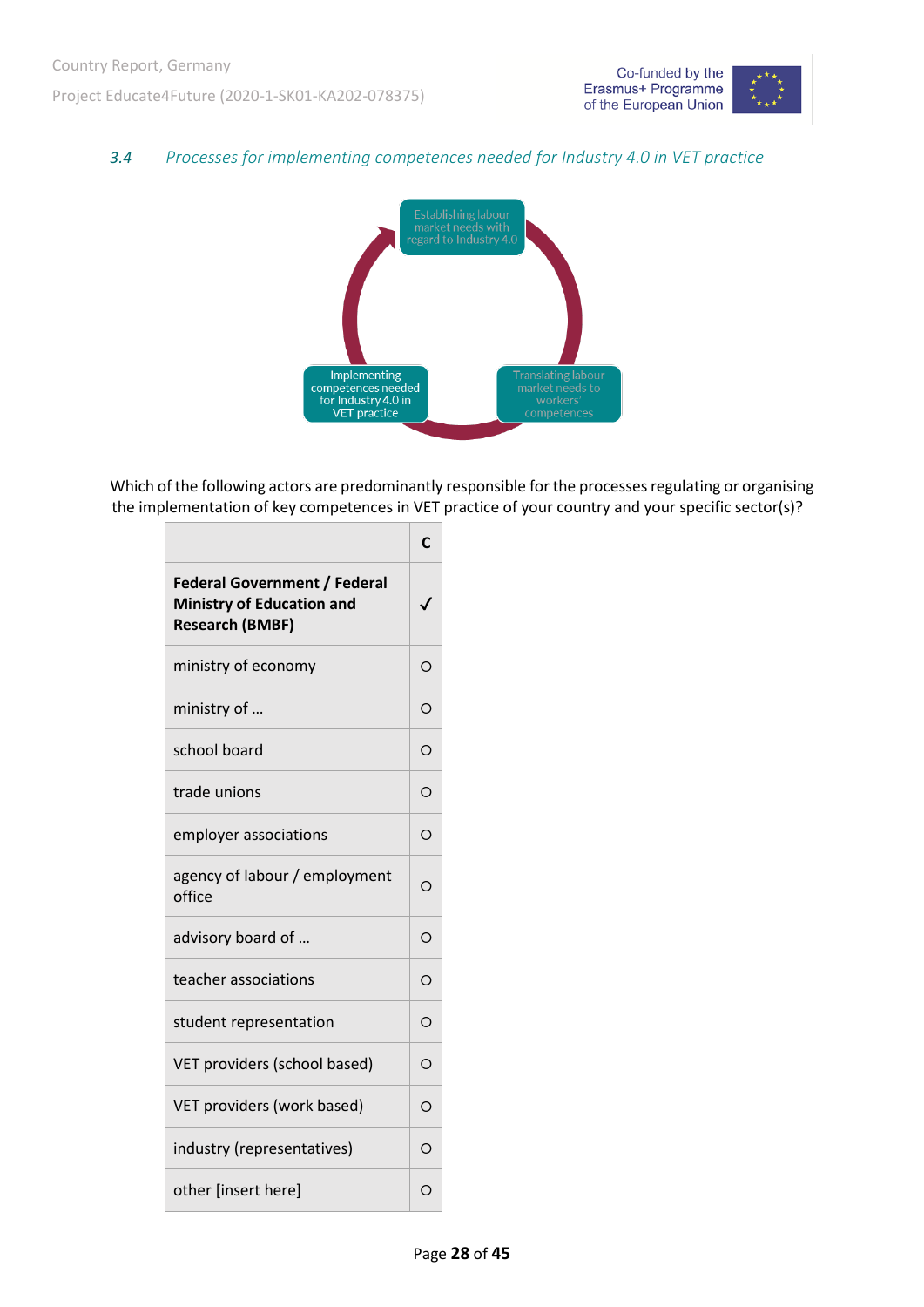$\Gamma$ 



#### <span id="page-27-0"></span>*3.4 Processes for implementing competences needed for Industry 4.0 in VET practice*



Which of the following actors are predominantly responsible for the processes regulating or organising the implementation of key competences in VET practice of your country and your specific sector(s)?

 $\overline{\phantom{a}}$ 

|                                                                                                   | C        |
|---------------------------------------------------------------------------------------------------|----------|
| <b>Federal Government / Federal</b><br><b>Ministry of Education and</b><br><b>Research (BMBF)</b> |          |
| ministry of economy                                                                               | $\circ$  |
| ministry of                                                                                       | O        |
| school board                                                                                      | O        |
| trade unions                                                                                      | O        |
| employer associations                                                                             | O        |
| agency of labour / employment<br>office                                                           | O        |
| advisory board of                                                                                 | O        |
| teacher associations                                                                              | O        |
| student representation                                                                            | $\Omega$ |
| VET providers (school based)                                                                      | O        |
| VET providers (work based)                                                                        | O        |
| industry (representatives)                                                                        | $\Omega$ |
| other [insert here]                                                                               | O        |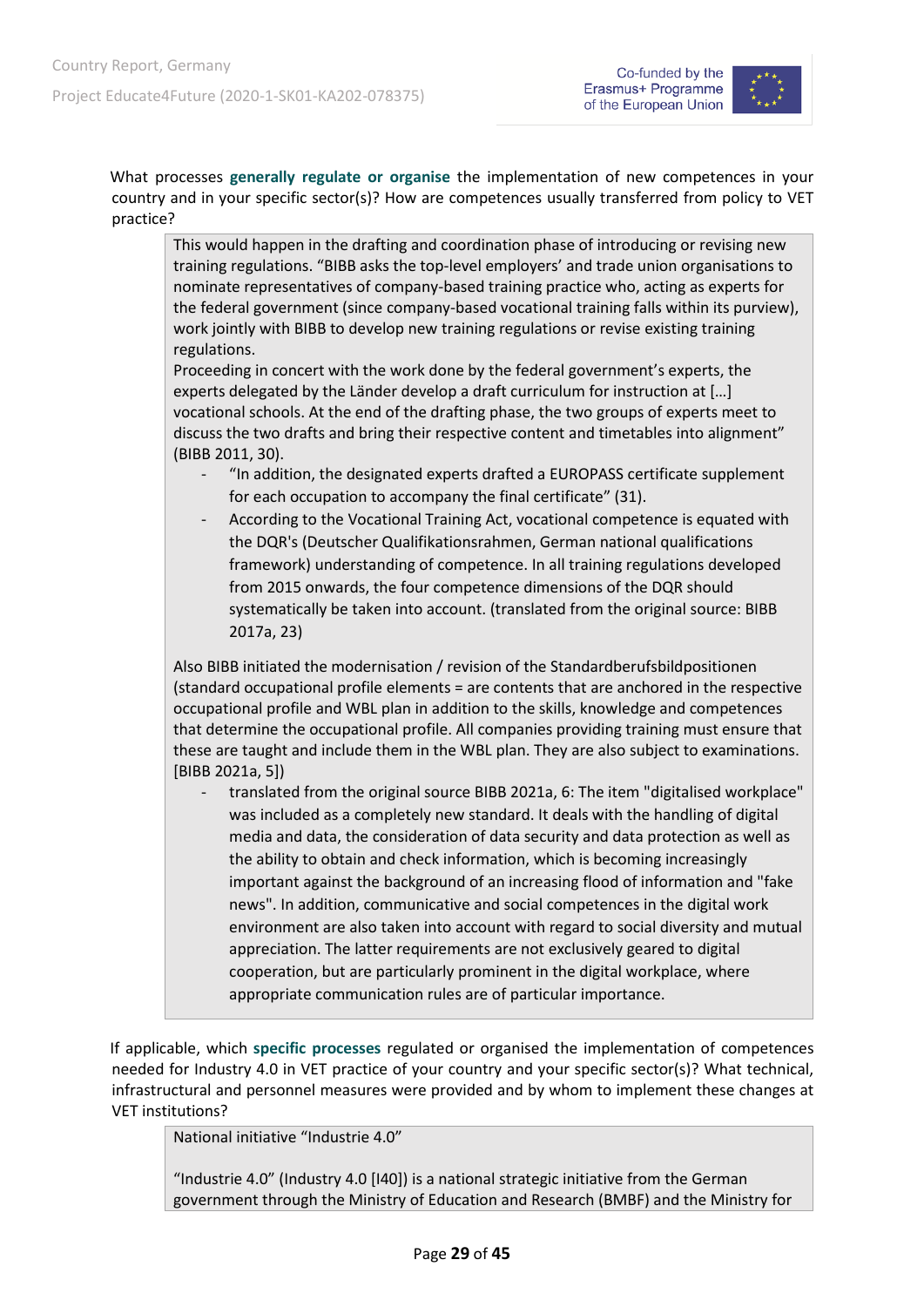



What processes **generally regulate or organise** the implementation of new competences in your country and in your specific sector(s)? How are competences usually transferred from policy to VET practice?

This would happen in the drafting and coordination phase of introducing or revising new training regulations. "BIBB asks the top-level employers' and trade union organisations to nominate representatives of company-based training practice who, acting as experts for the federal government (since company-based vocational training falls within its purview), work jointly with BIBB to develop new training regulations or revise existing training regulations.

Proceeding in concert with the work done by the federal government's experts, the experts delegated by the Länder develop a draft curriculum for instruction at […] vocational schools. At the end of the drafting phase, the two groups of experts meet to discuss the two drafts and bring their respective content and timetables into alignment" (BIBB 2011, 30).

- "In addition, the designated experts drafted a EUROPASS certificate supplement for each occupation to accompany the final certificate" (31).
- According to the Vocational Training Act, vocational competence is equated with the DQR's (Deutscher Qualifikationsrahmen, German national qualifications framework) understanding of competence. In all training regulations developed from 2015 onwards, the four competence dimensions of the DQR should systematically be taken into account. (translated from the original source: BIBB 2017a, 23)

Also BIBB initiated the modernisation / revision of the Standardberufsbildpositionen (standard occupational profile elements = are contents that are anchored in the respective occupational profile and WBL plan in addition to the skills, knowledge and competences that determine the occupational profile. All companies providing training must ensure that these are taught and include them in the WBL plan. They are also subject to examinations. [BIBB 2021a, 5])

- translated from the original source BIBB 2021a, 6: The item "digitalised workplace" was included as a completely new standard. It deals with the handling of digital media and data, the consideration of data security and data protection as well as the ability to obtain and check information, which is becoming increasingly important against the background of an increasing flood of information and "fake news". In addition, communicative and social competences in the digital work environment are also taken into account with regard to social diversity and mutual appreciation. The latter requirements are not exclusively geared to digital cooperation, but are particularly prominent in the digital workplace, where appropriate communication rules are of particular importance.

If applicable, which **specific processes** regulated or organised the implementation of competences needed for Industry 4.0 in VET practice of your country and your specific sector(s)? What technical, infrastructural and personnel measures were provided and by whom to implement these changes at VET institutions?

National initiative "Industrie 4.0"

"Industrie 4.0" (Industry 4.0 [I40]) is a national strategic initiative from the German government through the Ministry of Education and Research (BMBF) and the Ministry for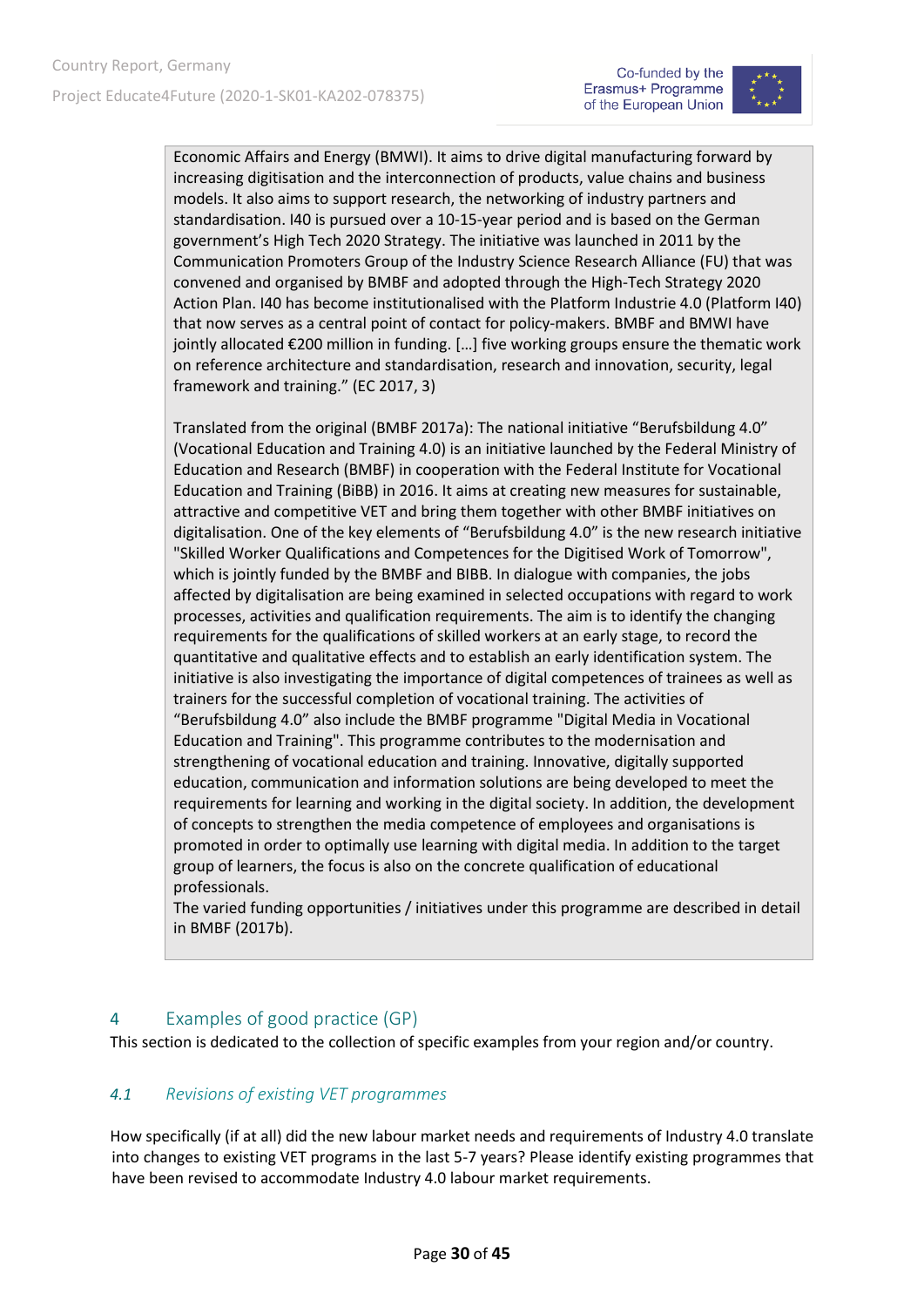

Economic Affairs and Energy (BMWI). It aims to drive digital manufacturing forward by increasing digitisation and the interconnection of products, value chains and business models. It also aims to support research, the networking of industry partners and standardisation. I40 is pursued over a 10-15-year period and is based on the German government's High Tech 2020 Strategy. The initiative was launched in 2011 by the Communication Promoters Group of the Industry Science Research Alliance (FU) that was convened and organised by BMBF and adopted through the High-Tech Strategy 2020 Action Plan. I40 has become institutionalised with the Platform Industrie 4.0 (Platform I40) that now serves as a central point of contact for policy-makers. BMBF and BMWI have jointly allocated €200 million in funding. […] five working groups ensure the thematic work on reference architecture and standardisation, research and innovation, security, legal framework and training." (EC 2017, 3)

Translated from the original (BMBF 2017a): The national initiative "Berufsbildung 4.0" (Vocational Education and Training 4.0) is an initiative launched by the Federal Ministry of Education and Research (BMBF) in cooperation with the Federal Institute for Vocational Education and Training (BiBB) in 2016. It aims at creating new measures for sustainable, attractive and competitive VET and bring them together with other BMBF initiatives on digitalisation. One of the key elements of "Berufsbildung 4.0" is the new research initiative "Skilled Worker Qualifications and Competences for the Digitised Work of Tomorrow", which is jointly funded by the BMBF and BIBB. In dialogue with companies, the jobs affected by digitalisation are being examined in selected occupations with regard to work processes, activities and qualification requirements. The aim is to identify the changing requirements for the qualifications of skilled workers at an early stage, to record the quantitative and qualitative effects and to establish an early identification system. The initiative is also investigating the importance of digital competences of trainees as well as trainers for the successful completion of vocational training. The activities of "Berufsbildung 4.0" also include the BMBF programme "Digital Media in Vocational Education and Training". This programme contributes to the modernisation and strengthening of vocational education and training. Innovative, digitally supported education, communication and information solutions are being developed to meet the requirements for learning and working in the digital society. In addition, the development of concepts to strengthen the media competence of employees and organisations is promoted in order to optimally use learning with digital media. In addition to the target group of learners, the focus is also on the concrete qualification of educational professionals.

The varied funding opportunities / initiatives under this programme are described in detail in BMBF (2017b).

#### <span id="page-29-0"></span>4 Examples of good practice (GP)

This section is dedicated to the collection of specific examples from your region and/or country.

#### <span id="page-29-1"></span>*4.1 Revisions of existing VET programmes*

How specifically (if at all) did the new labour market needs and requirements of Industry 4.0 translate into changes to existing VET programs in the last 5-7 years? Please identify existing programmes that have been revised to accommodate Industry 4.0 labour market requirements.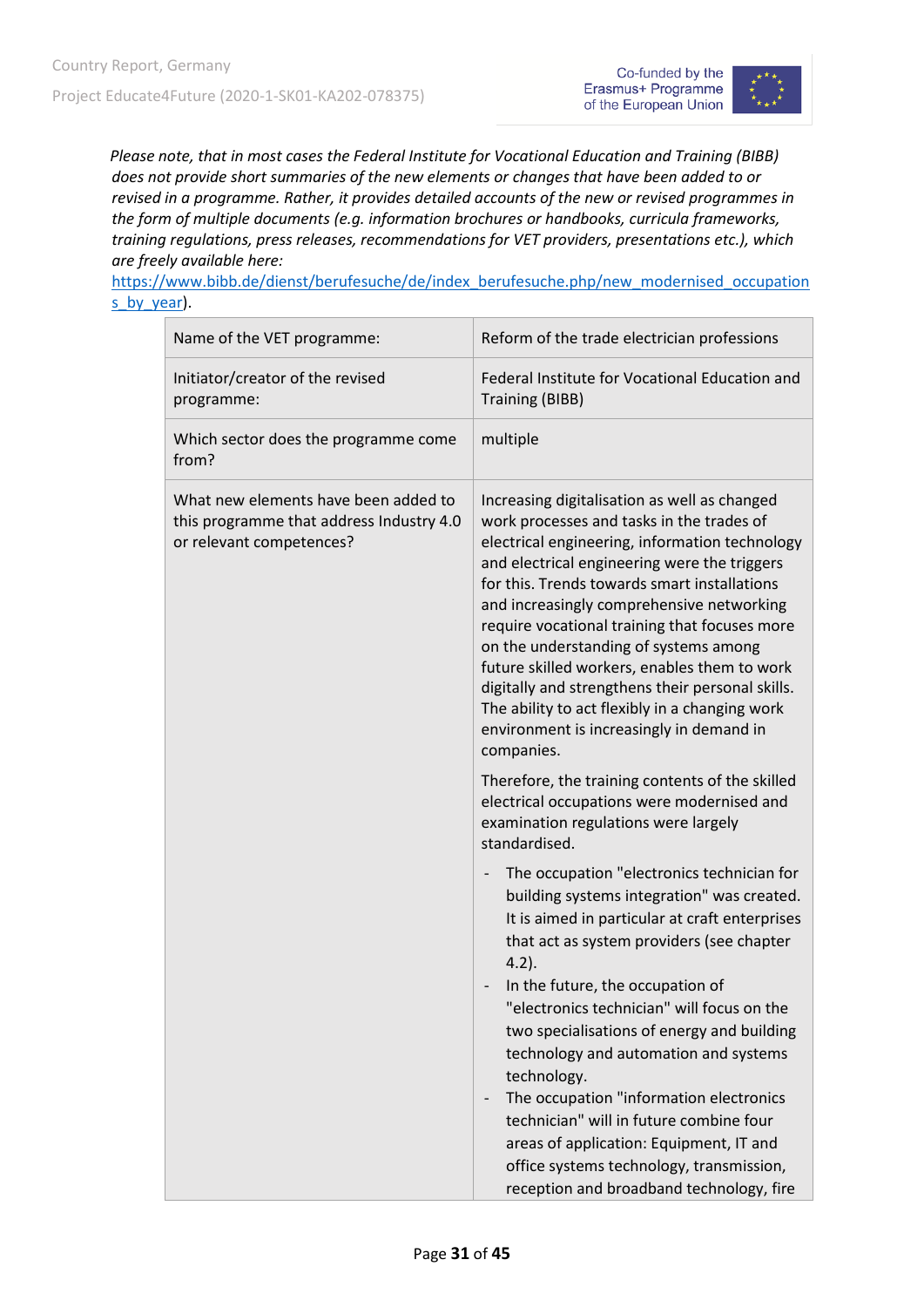



*Please note, that in most cases the Federal Institute for Vocational Education and Training (BIBB) does not provide short summaries of the new elements or changes that have been added to or revised in a programme. Rather, it provides detailed accounts of the new or revised programmes in the form of multiple documents (e.g. information brochures or handbooks, curricula frameworks, training regulations, press releases, recommendations for VET providers, presentations etc.), which are freely available here:*

[https://www.bibb.de/dienst/berufesuche/de/index\\_berufesuche.php/new\\_modernised\\_occupation](https://www.bibb.de/dienst/berufesuche/de/index_berufesuche.php/new_modernised_occupations_by_year) s by year).

| Name of the VET programme:                                                                                   | Reform of the trade electrician professions                                                                                                                                                                                                                                                                                                                                                                                                                                                                                                                                                                                                      |
|--------------------------------------------------------------------------------------------------------------|--------------------------------------------------------------------------------------------------------------------------------------------------------------------------------------------------------------------------------------------------------------------------------------------------------------------------------------------------------------------------------------------------------------------------------------------------------------------------------------------------------------------------------------------------------------------------------------------------------------------------------------------------|
| Initiator/creator of the revised<br>programme:                                                               | Federal Institute for Vocational Education and<br><b>Training (BIBB)</b>                                                                                                                                                                                                                                                                                                                                                                                                                                                                                                                                                                         |
| Which sector does the programme come<br>from?                                                                | multiple                                                                                                                                                                                                                                                                                                                                                                                                                                                                                                                                                                                                                                         |
| What new elements have been added to<br>this programme that address Industry 4.0<br>or relevant competences? | Increasing digitalisation as well as changed<br>work processes and tasks in the trades of<br>electrical engineering, information technology<br>and electrical engineering were the triggers<br>for this. Trends towards smart installations<br>and increasingly comprehensive networking<br>require vocational training that focuses more<br>on the understanding of systems among<br>future skilled workers, enables them to work<br>digitally and strengthens their personal skills.<br>The ability to act flexibly in a changing work<br>environment is increasingly in demand in<br>companies.                                               |
|                                                                                                              | Therefore, the training contents of the skilled<br>electrical occupations were modernised and<br>examination regulations were largely<br>standardised.                                                                                                                                                                                                                                                                                                                                                                                                                                                                                           |
|                                                                                                              | The occupation "electronics technician for<br>$\overline{\phantom{0}}$<br>building systems integration" was created.<br>It is aimed in particular at craft enterprises<br>that act as system providers (see chapter<br>$4.2$ ).<br>In the future, the occupation of<br>"electronics technician" will focus on the<br>two specialisations of energy and building<br>technology and automation and systems<br>technology.<br>The occupation "information electronics<br>technician" will in future combine four<br>areas of application: Equipment, IT and<br>office systems technology, transmission,<br>reception and broadband technology, fire |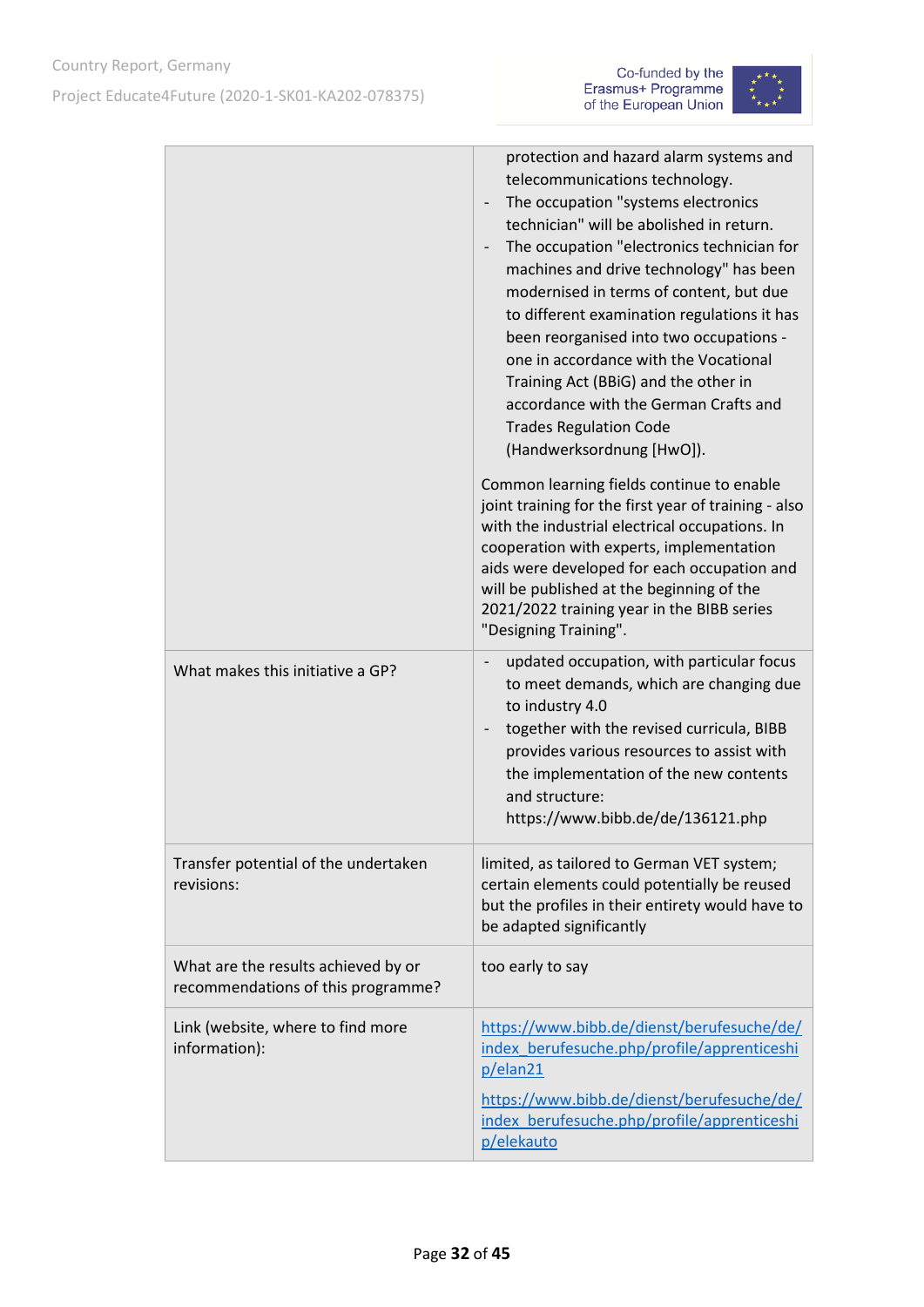



|                                                                           | protection and hazard alarm systems and<br>telecommunications technology.<br>The occupation "systems electronics<br>technician" will be abolished in return.<br>The occupation "electronics technician for<br>machines and drive technology" has been<br>modernised in terms of content, but due<br>to different examination regulations it has<br>been reorganised into two occupations -<br>one in accordance with the Vocational<br>Training Act (BBiG) and the other in<br>accordance with the German Crafts and<br><b>Trades Regulation Code</b><br>(Handwerksordnung [HwO]). |
|---------------------------------------------------------------------------|------------------------------------------------------------------------------------------------------------------------------------------------------------------------------------------------------------------------------------------------------------------------------------------------------------------------------------------------------------------------------------------------------------------------------------------------------------------------------------------------------------------------------------------------------------------------------------|
|                                                                           | Common learning fields continue to enable<br>joint training for the first year of training - also<br>with the industrial electrical occupations. In<br>cooperation with experts, implementation<br>aids were developed for each occupation and<br>will be published at the beginning of the<br>2021/2022 training year in the BIBB series<br>"Designing Training".                                                                                                                                                                                                                 |
| What makes this initiative a GP?                                          | updated occupation, with particular focus<br>to meet demands, which are changing due<br>to industry 4.0<br>together with the revised curricula, BIBB<br>provides various resources to assist with<br>the implementation of the new contents<br>and structure:<br>https://www.bibb.de/de/136121.php                                                                                                                                                                                                                                                                                 |
| Transfer potential of the undertaken<br>revisions:                        | limited, as tailored to German VET system;<br>certain elements could potentially be reused<br>but the profiles in their entirety would have to<br>be adapted significantly                                                                                                                                                                                                                                                                                                                                                                                                         |
| What are the results achieved by or<br>recommendations of this programme? | too early to say                                                                                                                                                                                                                                                                                                                                                                                                                                                                                                                                                                   |
| Link (website, where to find more<br>information):                        | https://www.bibb.de/dienst/berufesuche/de/<br>index berufesuche.php/profile/apprenticeshi<br>p/elan21                                                                                                                                                                                                                                                                                                                                                                                                                                                                              |
|                                                                           | https://www.bibb.de/dienst/berufesuche/de/<br>index berufesuche.php/profile/apprenticeshi<br>p/elekauto                                                                                                                                                                                                                                                                                                                                                                                                                                                                            |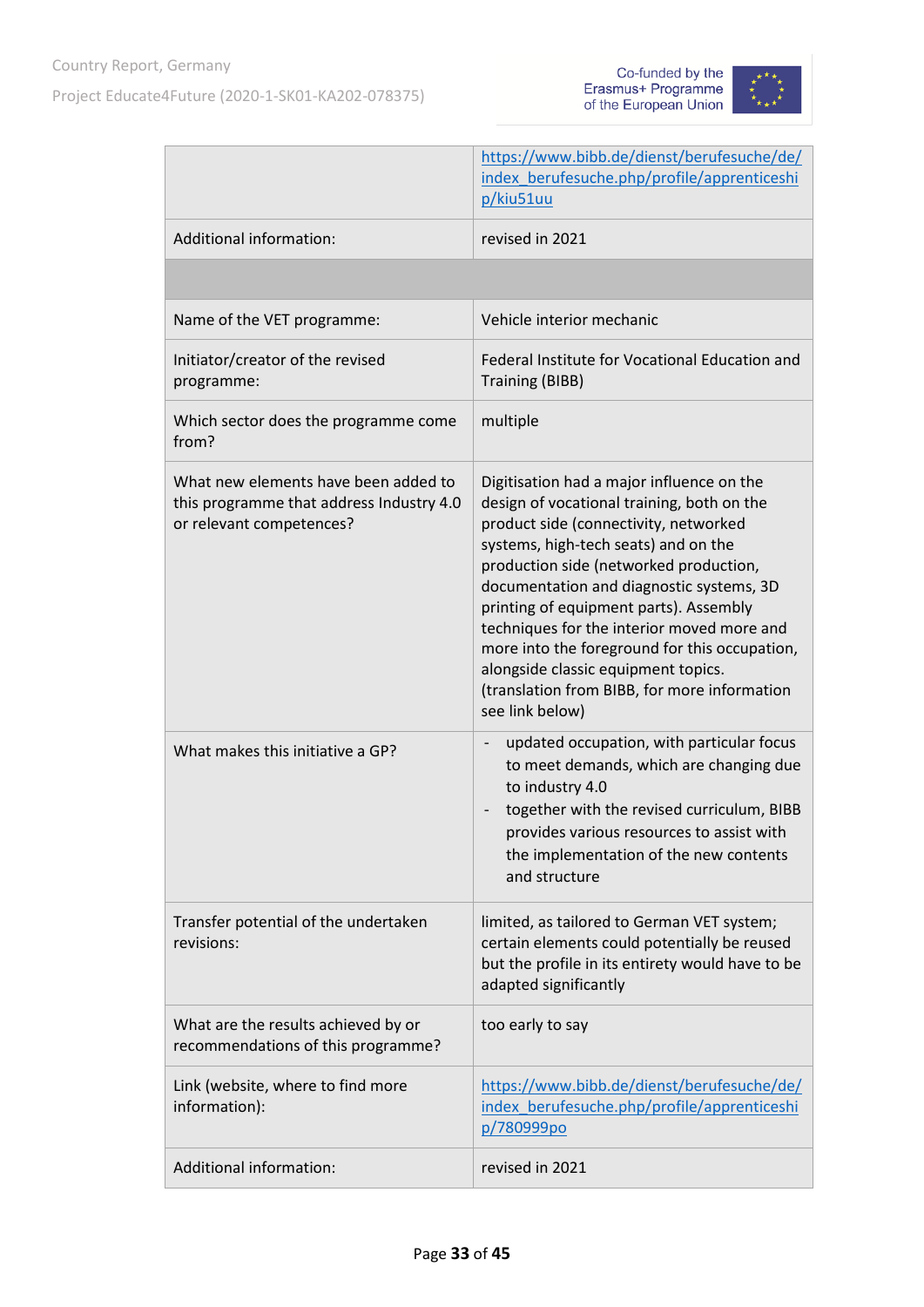



|                                                                                                              | https://www.bibb.de/dienst/berufesuche/de/<br>index berufesuche.php/profile/apprenticeshi<br>p/kiu51uu                                                                                                                                                                                                                                                                                                                                                                                                            |
|--------------------------------------------------------------------------------------------------------------|-------------------------------------------------------------------------------------------------------------------------------------------------------------------------------------------------------------------------------------------------------------------------------------------------------------------------------------------------------------------------------------------------------------------------------------------------------------------------------------------------------------------|
| Additional information:                                                                                      | revised in 2021                                                                                                                                                                                                                                                                                                                                                                                                                                                                                                   |
|                                                                                                              |                                                                                                                                                                                                                                                                                                                                                                                                                                                                                                                   |
| Name of the VET programme:                                                                                   | Vehicle interior mechanic                                                                                                                                                                                                                                                                                                                                                                                                                                                                                         |
| Initiator/creator of the revised<br>programme:                                                               | Federal Institute for Vocational Education and<br><b>Training (BIBB)</b>                                                                                                                                                                                                                                                                                                                                                                                                                                          |
| Which sector does the programme come<br>from?                                                                | multiple                                                                                                                                                                                                                                                                                                                                                                                                                                                                                                          |
| What new elements have been added to<br>this programme that address Industry 4.0<br>or relevant competences? | Digitisation had a major influence on the<br>design of vocational training, both on the<br>product side (connectivity, networked<br>systems, high-tech seats) and on the<br>production side (networked production,<br>documentation and diagnostic systems, 3D<br>printing of equipment parts). Assembly<br>techniques for the interior moved more and<br>more into the foreground for this occupation,<br>alongside classic equipment topics.<br>(translation from BIBB, for more information<br>see link below) |
| What makes this initiative a GP?                                                                             | updated occupation, with particular focus<br>to meet demands, which are changing due<br>to industry 4.0<br>together with the revised curriculum, BIBB<br>provides various resources to assist with<br>the implementation of the new contents<br>and structure                                                                                                                                                                                                                                                     |
| Transfer potential of the undertaken<br>revisions:                                                           | limited, as tailored to German VET system;<br>certain elements could potentially be reused<br>but the profile in its entirety would have to be<br>adapted significantly                                                                                                                                                                                                                                                                                                                                           |
| What are the results achieved by or<br>recommendations of this programme?                                    | too early to say                                                                                                                                                                                                                                                                                                                                                                                                                                                                                                  |
| Link (website, where to find more<br>information):                                                           | https://www.bibb.de/dienst/berufesuche/de/<br>index berufesuche.php/profile/apprenticeshi<br>p/780999po                                                                                                                                                                                                                                                                                                                                                                                                           |
| Additional information:                                                                                      | revised in 2021                                                                                                                                                                                                                                                                                                                                                                                                                                                                                                   |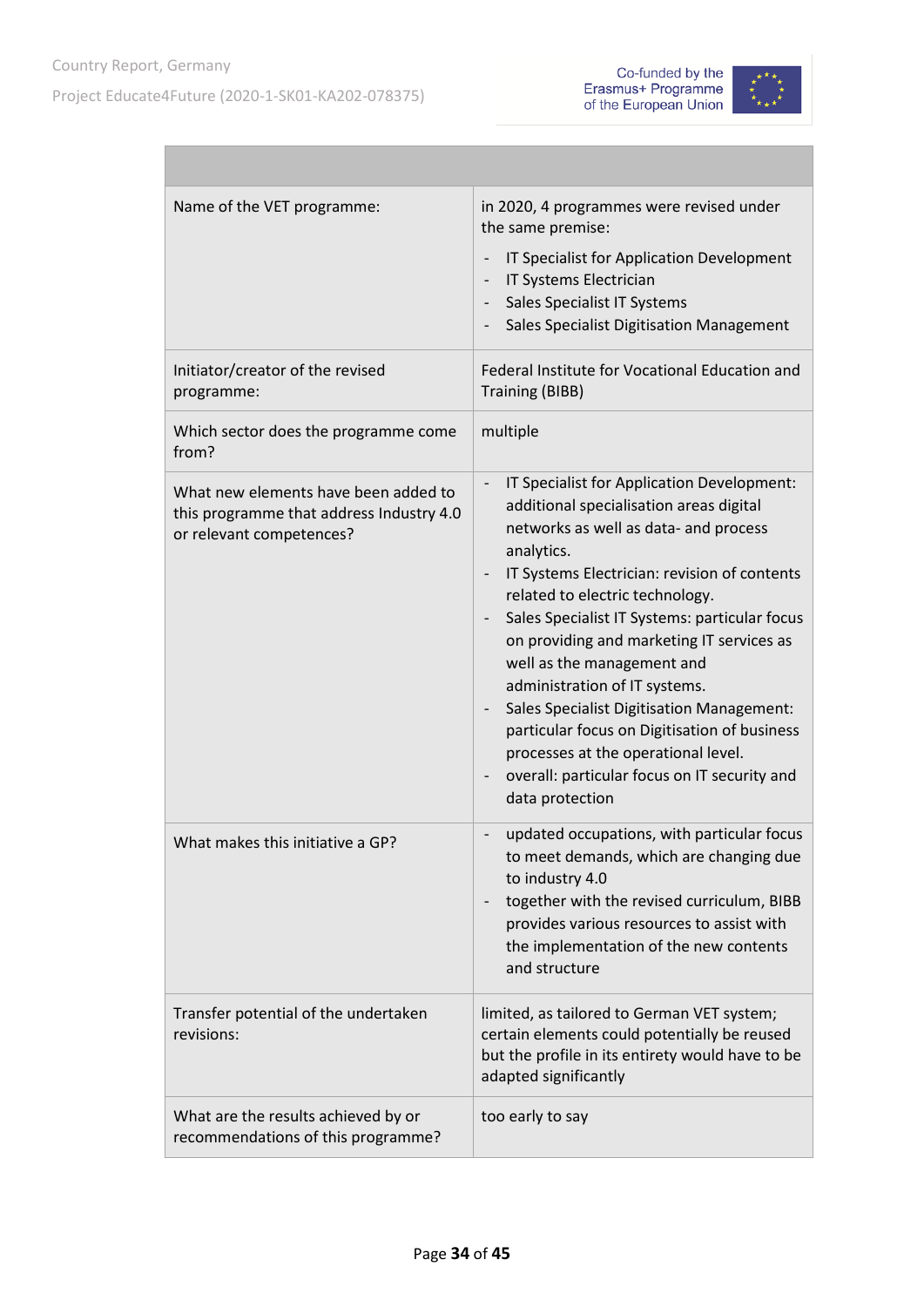



| Name of the VET programme:                                                                                   | in 2020, 4 programmes were revised under<br>the same premise:<br>IT Specialist for Application Development<br>$\overline{\phantom{0}}$<br>IT Systems Electrician<br>Sales Specialist IT Systems<br>$\overline{\phantom{0}}$<br>Sales Specialist Digitisation Management                                                                                                                                                                                                                                                                                                                                    |
|--------------------------------------------------------------------------------------------------------------|------------------------------------------------------------------------------------------------------------------------------------------------------------------------------------------------------------------------------------------------------------------------------------------------------------------------------------------------------------------------------------------------------------------------------------------------------------------------------------------------------------------------------------------------------------------------------------------------------------|
| Initiator/creator of the revised<br>programme:                                                               | Federal Institute for Vocational Education and<br><b>Training (BIBB)</b>                                                                                                                                                                                                                                                                                                                                                                                                                                                                                                                                   |
| Which sector does the programme come<br>from?                                                                | multiple                                                                                                                                                                                                                                                                                                                                                                                                                                                                                                                                                                                                   |
| What new elements have been added to<br>this programme that address Industry 4.0<br>or relevant competences? | IT Specialist for Application Development:<br>additional specialisation areas digital<br>networks as well as data- and process<br>analytics.<br>IT Systems Electrician: revision of contents<br>related to electric technology.<br>Sales Specialist IT Systems: particular focus<br>on providing and marketing IT services as<br>well as the management and<br>administration of IT systems.<br><b>Sales Specialist Digitisation Management:</b><br>particular focus on Digitisation of business<br>processes at the operational level.<br>overall: particular focus on IT security and<br>data protection |
| What makes this initiative a GP?                                                                             | updated occupations, with particular focus<br>to meet demands, which are changing due<br>to industry 4.0<br>together with the revised curriculum, BIBB<br>provides various resources to assist with<br>the implementation of the new contents<br>and structure                                                                                                                                                                                                                                                                                                                                             |
| Transfer potential of the undertaken<br>revisions:                                                           | limited, as tailored to German VET system;<br>certain elements could potentially be reused<br>but the profile in its entirety would have to be<br>adapted significantly                                                                                                                                                                                                                                                                                                                                                                                                                                    |
| What are the results achieved by or<br>recommendations of this programme?                                    | too early to say                                                                                                                                                                                                                                                                                                                                                                                                                                                                                                                                                                                           |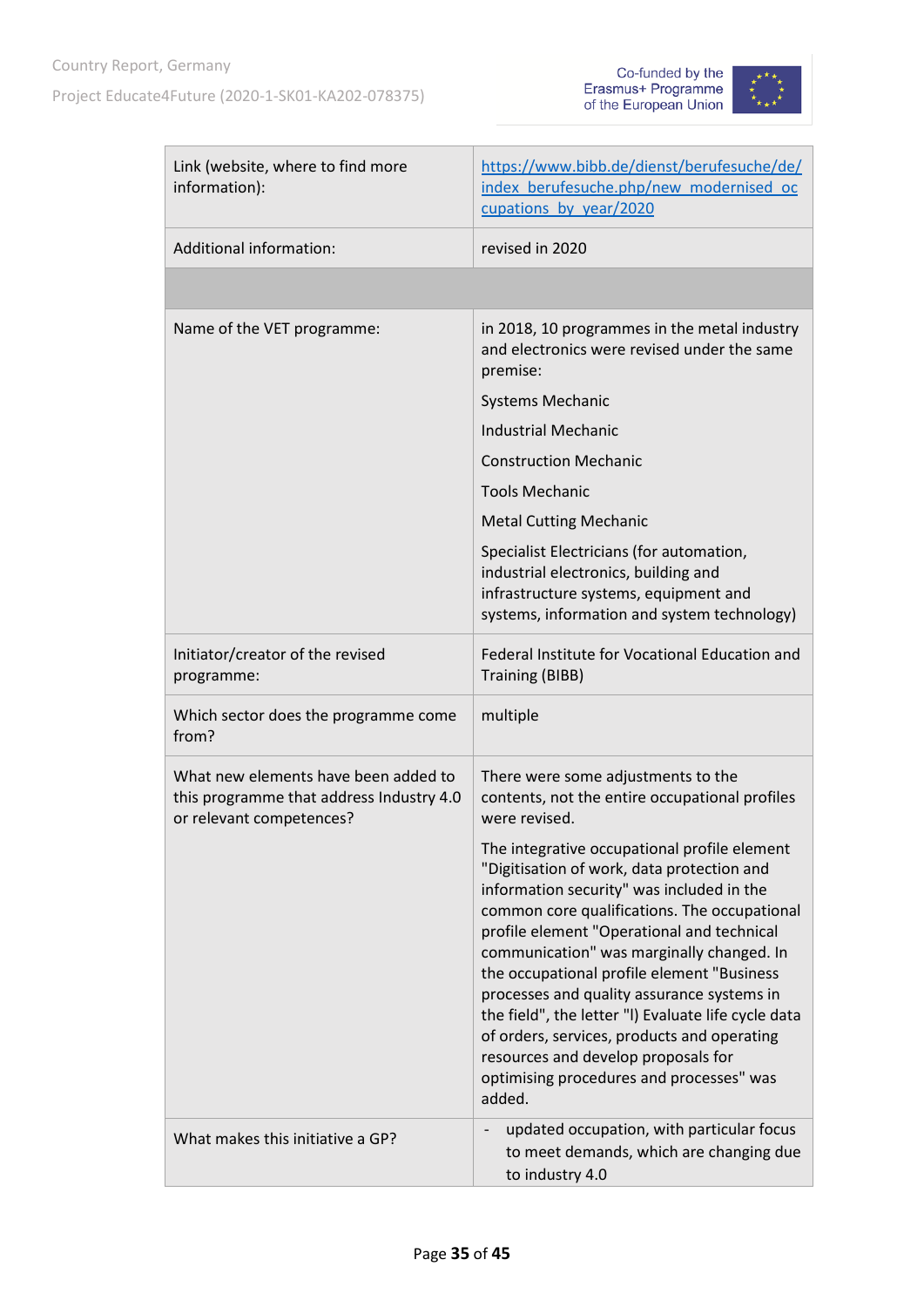



| Link (website, where to find more<br>information):                                                           | https://www.bibb.de/dienst/berufesuche/de/<br>index berufesuche.php/new modernised oc<br>cupations by year/2020                                                                                                                                                                                                                                                                                                                                                                                                                                                                   |
|--------------------------------------------------------------------------------------------------------------|-----------------------------------------------------------------------------------------------------------------------------------------------------------------------------------------------------------------------------------------------------------------------------------------------------------------------------------------------------------------------------------------------------------------------------------------------------------------------------------------------------------------------------------------------------------------------------------|
| <b>Additional information:</b>                                                                               | revised in 2020                                                                                                                                                                                                                                                                                                                                                                                                                                                                                                                                                                   |
|                                                                                                              |                                                                                                                                                                                                                                                                                                                                                                                                                                                                                                                                                                                   |
| Name of the VET programme:                                                                                   | in 2018, 10 programmes in the metal industry<br>and electronics were revised under the same<br>premise:                                                                                                                                                                                                                                                                                                                                                                                                                                                                           |
|                                                                                                              | <b>Systems Mechanic</b>                                                                                                                                                                                                                                                                                                                                                                                                                                                                                                                                                           |
|                                                                                                              | <b>Industrial Mechanic</b>                                                                                                                                                                                                                                                                                                                                                                                                                                                                                                                                                        |
|                                                                                                              | <b>Construction Mechanic</b>                                                                                                                                                                                                                                                                                                                                                                                                                                                                                                                                                      |
|                                                                                                              | <b>Tools Mechanic</b>                                                                                                                                                                                                                                                                                                                                                                                                                                                                                                                                                             |
|                                                                                                              | <b>Metal Cutting Mechanic</b>                                                                                                                                                                                                                                                                                                                                                                                                                                                                                                                                                     |
|                                                                                                              | Specialist Electricians (for automation,<br>industrial electronics, building and<br>infrastructure systems, equipment and<br>systems, information and system technology)                                                                                                                                                                                                                                                                                                                                                                                                          |
| Initiator/creator of the revised<br>programme:                                                               | Federal Institute for Vocational Education and<br><b>Training (BIBB)</b>                                                                                                                                                                                                                                                                                                                                                                                                                                                                                                          |
| Which sector does the programme come<br>from?                                                                | multiple                                                                                                                                                                                                                                                                                                                                                                                                                                                                                                                                                                          |
| What new elements have been added to<br>this programme that address Industry 4.0<br>or relevant competences? | There were some adjustments to the<br>contents, not the entire occupational profiles<br>were revised.                                                                                                                                                                                                                                                                                                                                                                                                                                                                             |
|                                                                                                              | The integrative occupational profile element<br>"Digitisation of work, data protection and<br>information security" was included in the<br>common core qualifications. The occupational<br>profile element "Operational and technical<br>communication" was marginally changed. In<br>the occupational profile element "Business<br>processes and quality assurance systems in<br>the field", the letter "I) Evaluate life cycle data<br>of orders, services, products and operating<br>resources and develop proposals for<br>optimising procedures and processes" was<br>added. |
| What makes this initiative a GP?                                                                             | updated occupation, with particular focus<br>to meet demands, which are changing due<br>to industry 4.0                                                                                                                                                                                                                                                                                                                                                                                                                                                                           |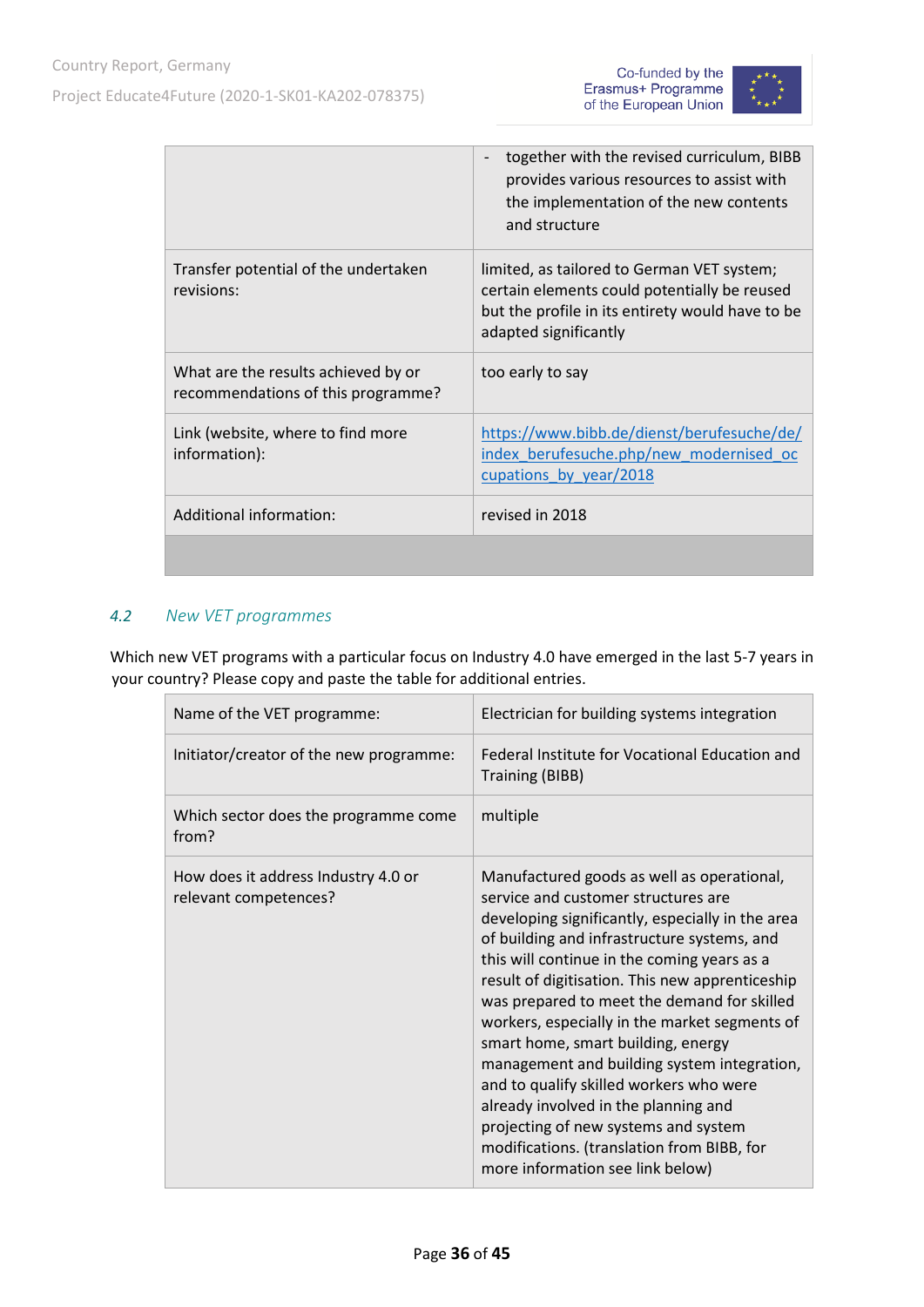



|                                                                           | together with the revised curriculum, BIBB<br>provides various resources to assist with<br>the implementation of the new contents<br>and structure                      |
|---------------------------------------------------------------------------|-------------------------------------------------------------------------------------------------------------------------------------------------------------------------|
| Transfer potential of the undertaken<br>revisions:                        | limited, as tailored to German VET system;<br>certain elements could potentially be reused<br>but the profile in its entirety would have to be<br>adapted significantly |
| What are the results achieved by or<br>recommendations of this programme? | too early to say                                                                                                                                                        |
| Link (website, where to find more<br>information):                        | https://www.bibb.de/dienst/berufesuche/de/<br>index_berufesuche.php/new_modernised_oc<br>cupations by year/2018                                                         |
| Additional information:                                                   | revised in 2018                                                                                                                                                         |
|                                                                           |                                                                                                                                                                         |

### <span id="page-35-0"></span>*4.2 New VET programmes*

Which new VET programs with a particular focus on Industry 4.0 have emerged in the last 5-7 years in your country? Please copy and paste the table for additional entries.

| Name of the VET programme:                                   | Electrician for building systems integration                                                                                                                                                                                                                                                                                                                                                                                                                                                                                                                                                                                                                                             |
|--------------------------------------------------------------|------------------------------------------------------------------------------------------------------------------------------------------------------------------------------------------------------------------------------------------------------------------------------------------------------------------------------------------------------------------------------------------------------------------------------------------------------------------------------------------------------------------------------------------------------------------------------------------------------------------------------------------------------------------------------------------|
| Initiator/creator of the new programme:                      | Federal Institute for Vocational Education and<br><b>Training (BIBB)</b>                                                                                                                                                                                                                                                                                                                                                                                                                                                                                                                                                                                                                 |
| Which sector does the programme come<br>from?                | multiple                                                                                                                                                                                                                                                                                                                                                                                                                                                                                                                                                                                                                                                                                 |
| How does it address Industry 4.0 or<br>relevant competences? | Manufactured goods as well as operational,<br>service and customer structures are<br>developing significantly, especially in the area<br>of building and infrastructure systems, and<br>this will continue in the coming years as a<br>result of digitisation. This new apprenticeship<br>was prepared to meet the demand for skilled<br>workers, especially in the market segments of<br>smart home, smart building, energy<br>management and building system integration,<br>and to qualify skilled workers who were<br>already involved in the planning and<br>projecting of new systems and system<br>modifications. (translation from BIBB, for<br>more information see link below) |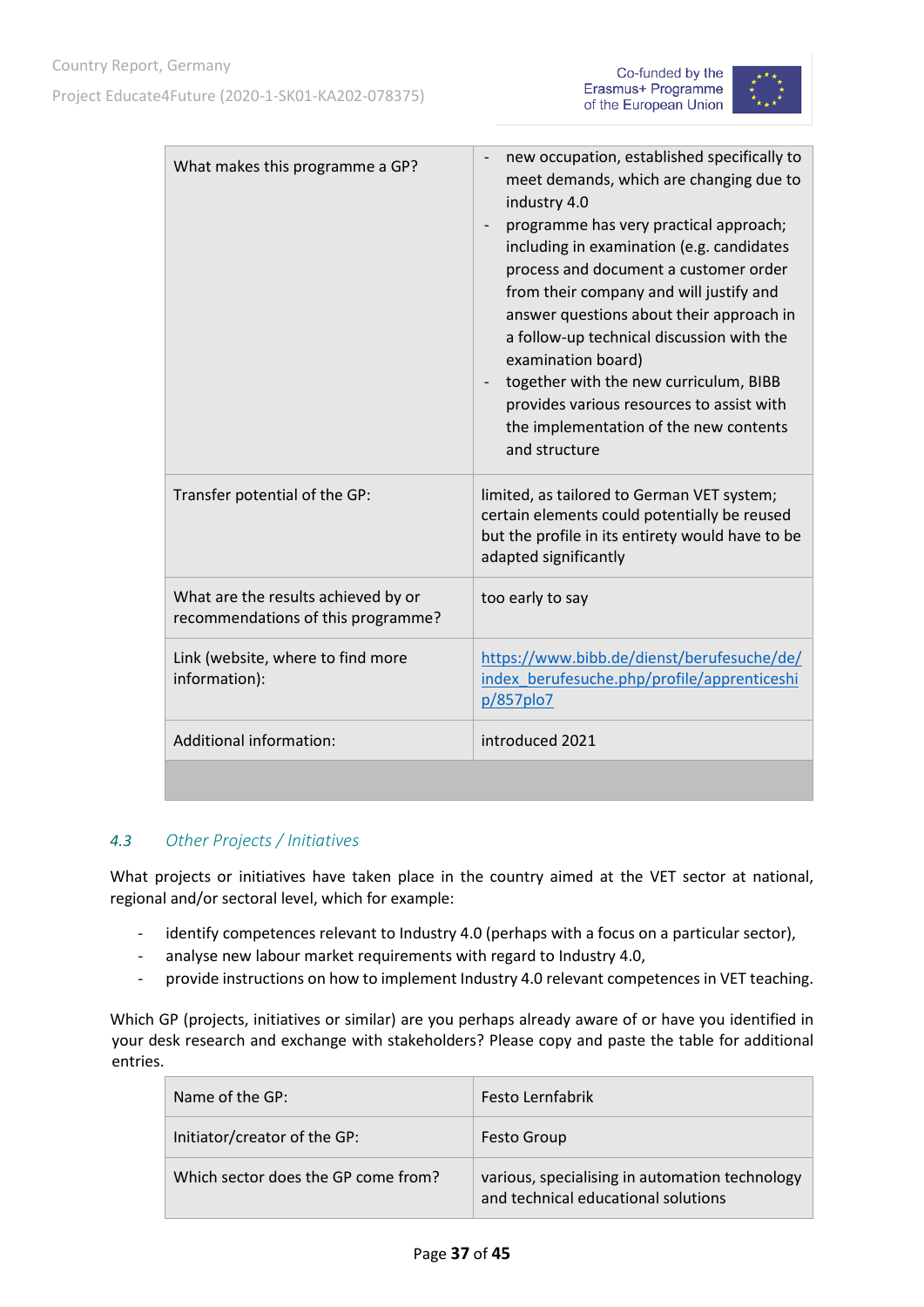



| What makes this programme a GP?                                           | new occupation, established specifically to<br>meet demands, which are changing due to<br>industry 4.0<br>programme has very practical approach;<br>$\overline{\phantom{m}}$<br>including in examination (e.g. candidates<br>process and document a customer order<br>from their company and will justify and<br>answer questions about their approach in<br>a follow-up technical discussion with the<br>examination board)<br>together with the new curriculum, BIBB<br>provides various resources to assist with<br>the implementation of the new contents<br>and structure |
|---------------------------------------------------------------------------|--------------------------------------------------------------------------------------------------------------------------------------------------------------------------------------------------------------------------------------------------------------------------------------------------------------------------------------------------------------------------------------------------------------------------------------------------------------------------------------------------------------------------------------------------------------------------------|
| Transfer potential of the GP:                                             | limited, as tailored to German VET system;<br>certain elements could potentially be reused<br>but the profile in its entirety would have to be<br>adapted significantly                                                                                                                                                                                                                                                                                                                                                                                                        |
| What are the results achieved by or<br>recommendations of this programme? | too early to say                                                                                                                                                                                                                                                                                                                                                                                                                                                                                                                                                               |
| Link (website, where to find more<br>information):                        | https://www.bibb.de/dienst/berufesuche/de/<br>index berufesuche.php/profile/apprenticeshi<br>p/857plo7                                                                                                                                                                                                                                                                                                                                                                                                                                                                         |
| Additional information:                                                   | introduced 2021                                                                                                                                                                                                                                                                                                                                                                                                                                                                                                                                                                |
|                                                                           |                                                                                                                                                                                                                                                                                                                                                                                                                                                                                                                                                                                |

#### <span id="page-36-0"></span>*4.3 Other Projects / Initiatives*

What projects or initiatives have taken place in the country aimed at the VET sector at national, regional and/or sectoral level, which for example:

- identify competences relevant to Industry 4.0 (perhaps with a focus on a particular sector),
- analyse new labour market requirements with regard to Industry 4.0,
- provide instructions on how to implement Industry 4.0 relevant competences in VET teaching.

Which GP (projects, initiatives or similar) are you perhaps already aware of or have you identified in your desk research and exchange with stakeholders? Please copy and paste the table for additional entries.

| Name of the GP:                     | Festo Lernfabrik                                                                      |
|-------------------------------------|---------------------------------------------------------------------------------------|
| Initiator/creator of the GP:        | <b>Festo Group</b>                                                                    |
| Which sector does the GP come from? | various, specialising in automation technology<br>and technical educational solutions |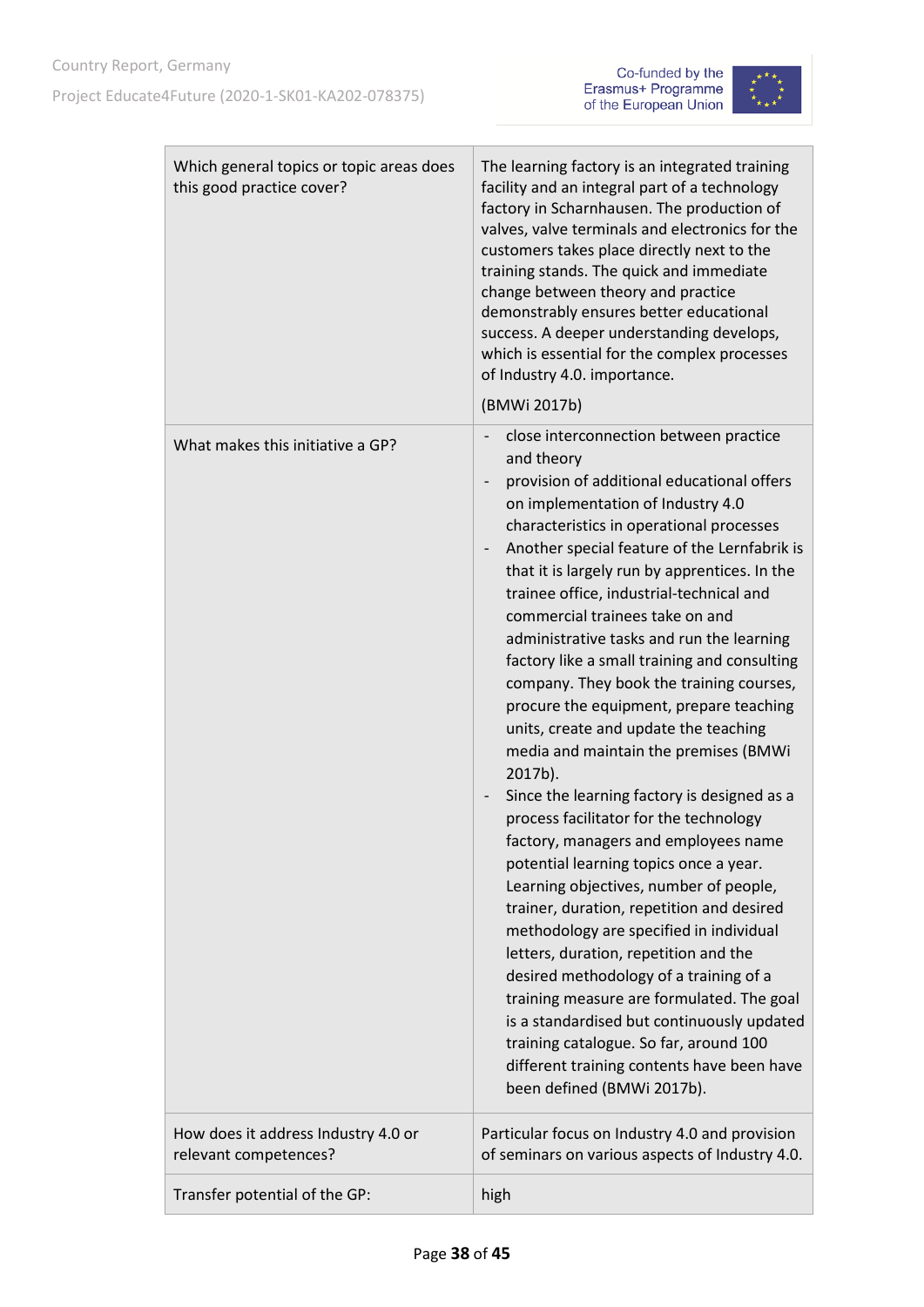



| Which general topics or topic areas does<br>this good practice cover? | The learning factory is an integrated training<br>facility and an integral part of a technology<br>factory in Scharnhausen. The production of<br>valves, valve terminals and electronics for the<br>customers takes place directly next to the<br>training stands. The quick and immediate<br>change between theory and practice<br>demonstrably ensures better educational<br>success. A deeper understanding develops,<br>which is essential for the complex processes<br>of Industry 4.0. importance.<br>(BMWi 2017b)                                                                                                                                                                                                                                                                                                                                                                                                                                                                                                                                                                                                                                                                                                                                                                          |
|-----------------------------------------------------------------------|---------------------------------------------------------------------------------------------------------------------------------------------------------------------------------------------------------------------------------------------------------------------------------------------------------------------------------------------------------------------------------------------------------------------------------------------------------------------------------------------------------------------------------------------------------------------------------------------------------------------------------------------------------------------------------------------------------------------------------------------------------------------------------------------------------------------------------------------------------------------------------------------------------------------------------------------------------------------------------------------------------------------------------------------------------------------------------------------------------------------------------------------------------------------------------------------------------------------------------------------------------------------------------------------------|
| What makes this initiative a GP?                                      | close interconnection between practice<br>and theory<br>provision of additional educational offers<br>on implementation of Industry 4.0<br>characteristics in operational processes<br>Another special feature of the Lernfabrik is<br>$\overline{\phantom{0}}$<br>that it is largely run by apprentices. In the<br>trainee office, industrial-technical and<br>commercial trainees take on and<br>administrative tasks and run the learning<br>factory like a small training and consulting<br>company. They book the training courses,<br>procure the equipment, prepare teaching<br>units, create and update the teaching<br>media and maintain the premises (BMWi<br>2017b).<br>Since the learning factory is designed as a<br>process facilitator for the technology<br>factory, managers and employees name<br>potential learning topics once a year.<br>Learning objectives, number of people,<br>trainer, duration, repetition and desired<br>methodology are specified in individual<br>letters, duration, repetition and the<br>desired methodology of a training of a<br>training measure are formulated. The goal<br>is a standardised but continuously updated<br>training catalogue. So far, around 100<br>different training contents have been have<br>been defined (BMWi 2017b). |
| How does it address Industry 4.0 or<br>relevant competences?          | Particular focus on Industry 4.0 and provision<br>of seminars on various aspects of Industry 4.0.                                                                                                                                                                                                                                                                                                                                                                                                                                                                                                                                                                                                                                                                                                                                                                                                                                                                                                                                                                                                                                                                                                                                                                                                 |
| Transfer potential of the GP:                                         | high                                                                                                                                                                                                                                                                                                                                                                                                                                                                                                                                                                                                                                                                                                                                                                                                                                                                                                                                                                                                                                                                                                                                                                                                                                                                                              |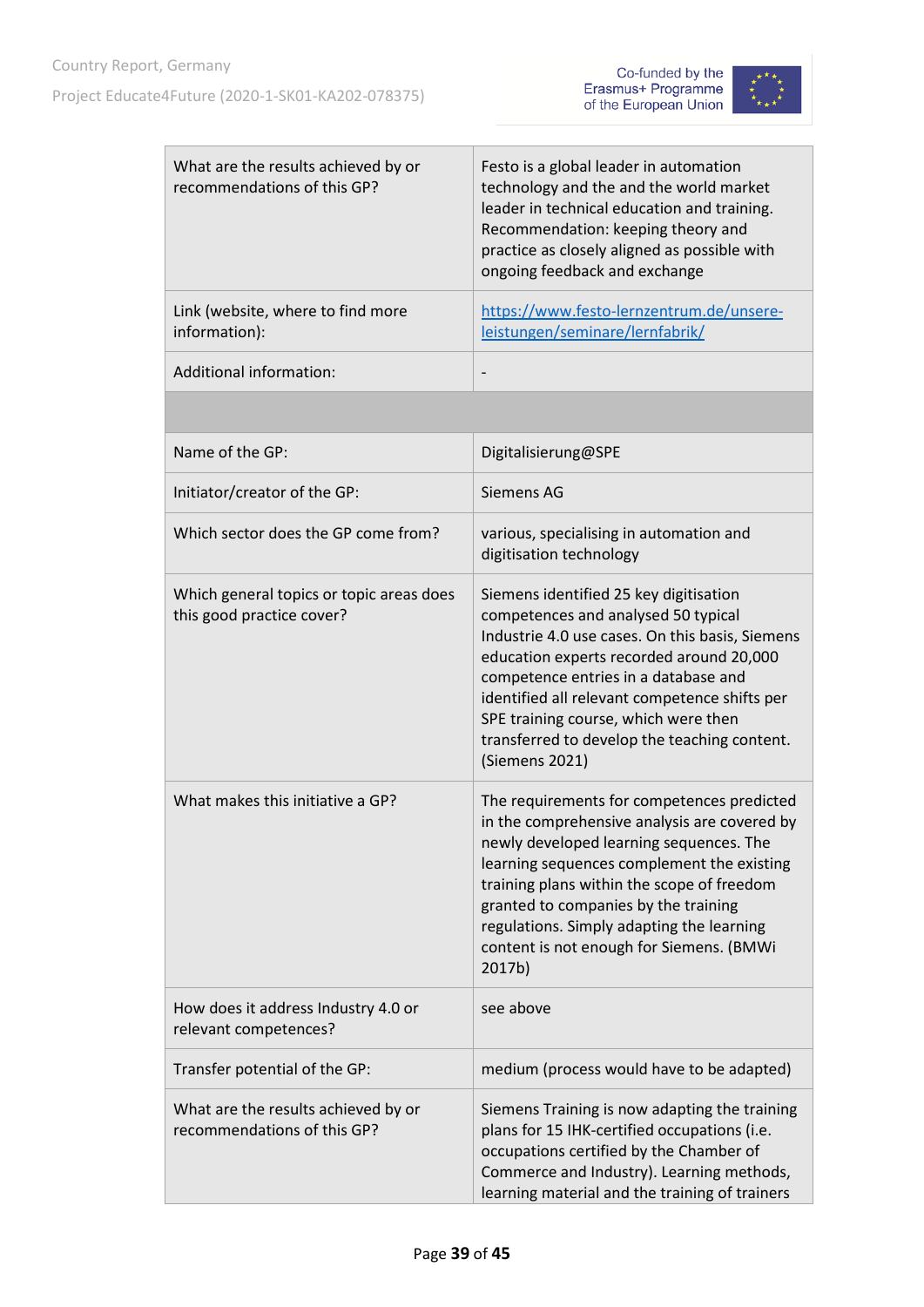



| What are the results achieved by or<br>recommendations of this GP?    | Festo is a global leader in automation<br>technology and the and the world market<br>leader in technical education and training.<br>Recommendation: keeping theory and<br>practice as closely aligned as possible with<br>ongoing feedback and exchange                                                                                                                         |
|-----------------------------------------------------------------------|---------------------------------------------------------------------------------------------------------------------------------------------------------------------------------------------------------------------------------------------------------------------------------------------------------------------------------------------------------------------------------|
| Link (website, where to find more<br>information):                    | https://www.festo-lernzentrum.de/unsere-<br>leistungen/seminare/lernfabrik/                                                                                                                                                                                                                                                                                                     |
| <b>Additional information:</b>                                        |                                                                                                                                                                                                                                                                                                                                                                                 |
|                                                                       |                                                                                                                                                                                                                                                                                                                                                                                 |
| Name of the GP:                                                       | Digitalisierung@SPE                                                                                                                                                                                                                                                                                                                                                             |
| Initiator/creator of the GP:                                          | Siemens AG                                                                                                                                                                                                                                                                                                                                                                      |
| Which sector does the GP come from?                                   | various, specialising in automation and<br>digitisation technology                                                                                                                                                                                                                                                                                                              |
| Which general topics or topic areas does<br>this good practice cover? | Siemens identified 25 key digitisation<br>competences and analysed 50 typical<br>Industrie 4.0 use cases. On this basis, Siemens<br>education experts recorded around 20,000<br>competence entries in a database and<br>identified all relevant competence shifts per<br>SPE training course, which were then<br>transferred to develop the teaching content.<br>(Siemens 2021) |
| What makes this initiative a GP?                                      | The requirements for competences predicted<br>in the comprehensive analysis are covered by<br>newly developed learning sequences. The<br>learning sequences complement the existing<br>training plans within the scope of freedom<br>granted to companies by the training<br>regulations. Simply adapting the learning<br>content is not enough for Siemens. (BMWi<br>2017b)    |
| How does it address Industry 4.0 or<br>relevant competences?          | see above                                                                                                                                                                                                                                                                                                                                                                       |
| Transfer potential of the GP:                                         | medium (process would have to be adapted)                                                                                                                                                                                                                                                                                                                                       |
| What are the results achieved by or<br>recommendations of this GP?    | Siemens Training is now adapting the training<br>plans for 15 IHK-certified occupations (i.e.<br>occupations certified by the Chamber of<br>Commerce and Industry). Learning methods,<br>learning material and the training of trainers                                                                                                                                         |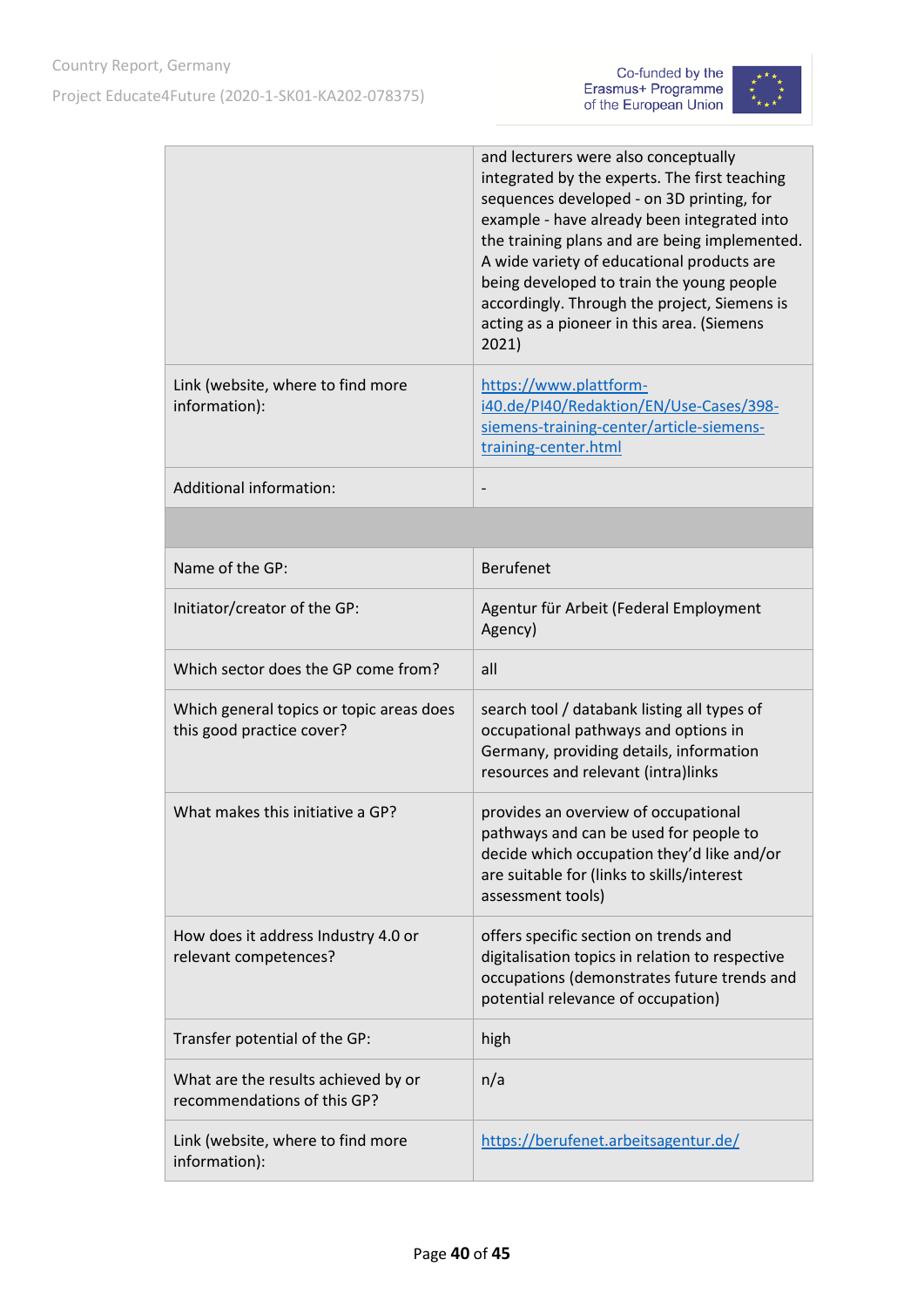



|                                                                       | and lecturers were also conceptually<br>integrated by the experts. The first teaching<br>sequences developed - on 3D printing, for<br>example - have already been integrated into<br>the training plans and are being implemented.<br>A wide variety of educational products are<br>being developed to train the young people<br>accordingly. Through the project, Siemens is<br>acting as a pioneer in this area. (Siemens<br>2021) |
|-----------------------------------------------------------------------|--------------------------------------------------------------------------------------------------------------------------------------------------------------------------------------------------------------------------------------------------------------------------------------------------------------------------------------------------------------------------------------------------------------------------------------|
| Link (website, where to find more<br>information):                    | https://www.plattform-<br>i40.de/PI40/Redaktion/EN/Use-Cases/398-<br>siemens-training-center/article-siemens-<br>training-center.html                                                                                                                                                                                                                                                                                                |
| <b>Additional information:</b>                                        |                                                                                                                                                                                                                                                                                                                                                                                                                                      |
|                                                                       |                                                                                                                                                                                                                                                                                                                                                                                                                                      |
| Name of the GP:                                                       | <b>Berufenet</b>                                                                                                                                                                                                                                                                                                                                                                                                                     |
| Initiator/creator of the GP:                                          | Agentur für Arbeit (Federal Employment<br>Agency)                                                                                                                                                                                                                                                                                                                                                                                    |
| Which sector does the GP come from?                                   | all                                                                                                                                                                                                                                                                                                                                                                                                                                  |
| Which general topics or topic areas does<br>this good practice cover? | search tool / databank listing all types of<br>occupational pathways and options in<br>Germany, providing details, information<br>resources and relevant (intra)links                                                                                                                                                                                                                                                                |
| What makes this initiative a GP?                                      | provides an overview of occupational<br>pathways and can be used for people to<br>decide which occupation they'd like and/or<br>are suitable for (links to skills/interest<br>assessment tools)                                                                                                                                                                                                                                      |
| How does it address Industry 4.0 or<br>relevant competences?          | offers specific section on trends and<br>digitalisation topics in relation to respective<br>occupations (demonstrates future trends and<br>potential relevance of occupation)                                                                                                                                                                                                                                                        |
| Transfer potential of the GP:                                         | high                                                                                                                                                                                                                                                                                                                                                                                                                                 |
| What are the results achieved by or<br>recommendations of this GP?    | n/a                                                                                                                                                                                                                                                                                                                                                                                                                                  |
| Link (website, where to find more<br>information):                    | https://berufenet.arbeitsagentur.de/                                                                                                                                                                                                                                                                                                                                                                                                 |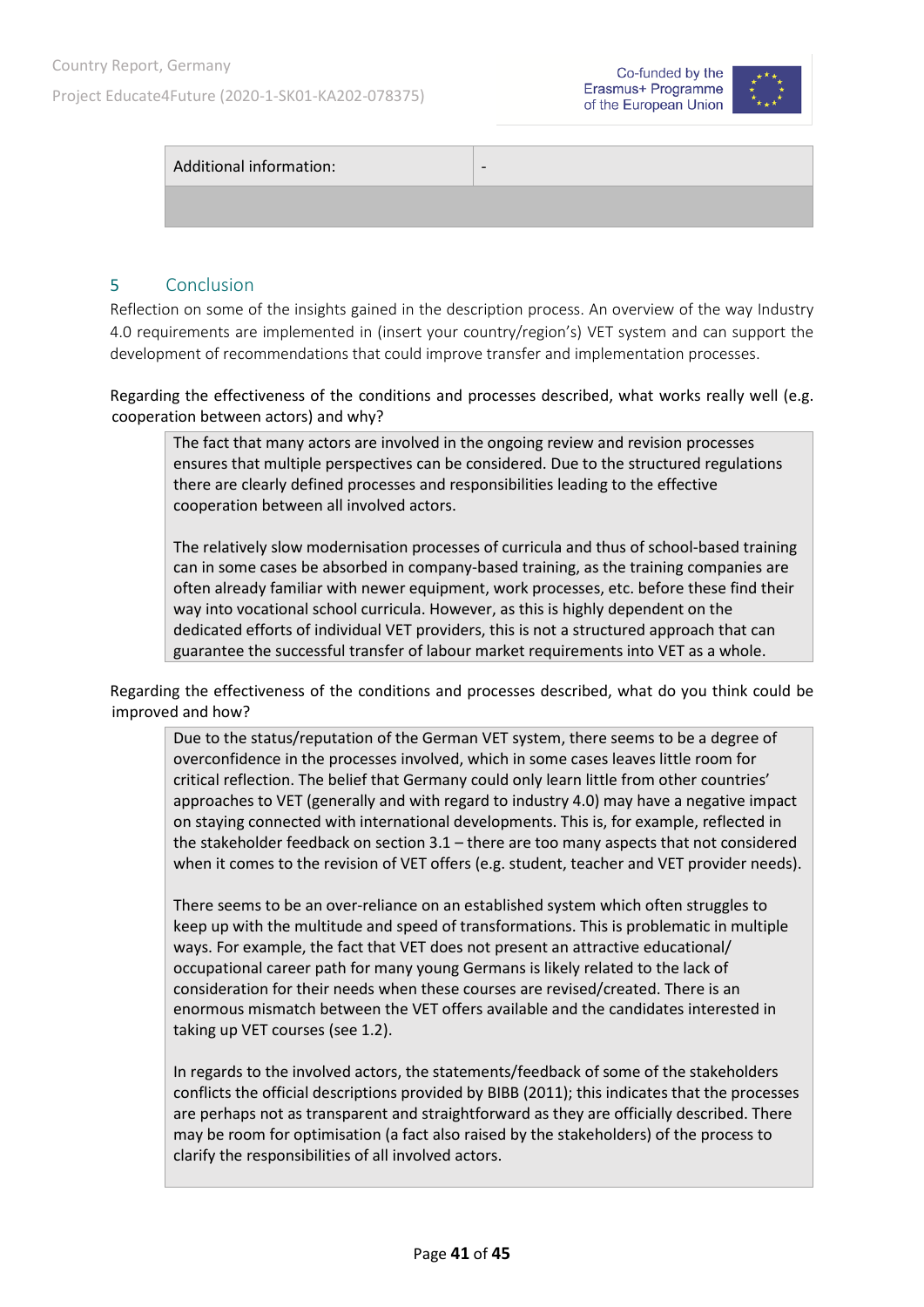Project Educate4Future (2020-1-SK01-KA202-078375)





| Additional information: | $\overline{\phantom{0}}$ |
|-------------------------|--------------------------|
|                         |                          |

#### <span id="page-40-0"></span>5 Conclusion

Reflection on some of the insights gained in the description process. An overview of the way Industry 4.0 requirements are implemented in (insert your country/region's) VET system and can support the development of recommendations that could improve transfer and implementation processes.

Regarding the effectiveness of the conditions and processes described, what works really well (e.g. cooperation between actors) and why?

The fact that many actors are involved in the ongoing review and revision processes ensures that multiple perspectives can be considered. Due to the structured regulations there are clearly defined processes and responsibilities leading to the effective cooperation between all involved actors.

The relatively slow modernisation processes of curricula and thus of school-based training can in some cases be absorbed in company-based training, as the training companies are often already familiar with newer equipment, work processes, etc. before these find their way into vocational school curricula. However, as this is highly dependent on the dedicated efforts of individual VET providers, this is not a structured approach that can guarantee the successful transfer of labour market requirements into VET as a whole.

Regarding the effectiveness of the conditions and processes described, what do you think could be improved and how?

Due to the status/reputation of the German VET system, there seems to be a degree of overconfidence in the processes involved, which in some cases leaves little room for critical reflection. The belief that Germany could only learn little from other countries' approaches to VET (generally and with regard to industry 4.0) may have a negative impact on staying connected with international developments. This is, for example, reflected in the stakeholder feedback on section 3.1 – there are too many aspects that not considered when it comes to the revision of VET offers (e.g. student, teacher and VET provider needs).

There seems to be an over-reliance on an established system which often struggles to keep up with the multitude and speed of transformations. This is problematic in multiple ways. For example, the fact that VET does not present an attractive educational/ occupational career path for many young Germans is likely related to the lack of consideration for their needs when these courses are revised/created. There is an enormous mismatch between the VET offers available and the candidates interested in taking up VET courses (see 1.2).

In regards to the involved actors, the statements/feedback of some of the stakeholders conflicts the official descriptions provided by BIBB (2011); this indicates that the processes are perhaps not as transparent and straightforward as they are officially described. There may be room for optimisation (a fact also raised by the stakeholders) of the process to clarify the responsibilities of all involved actors.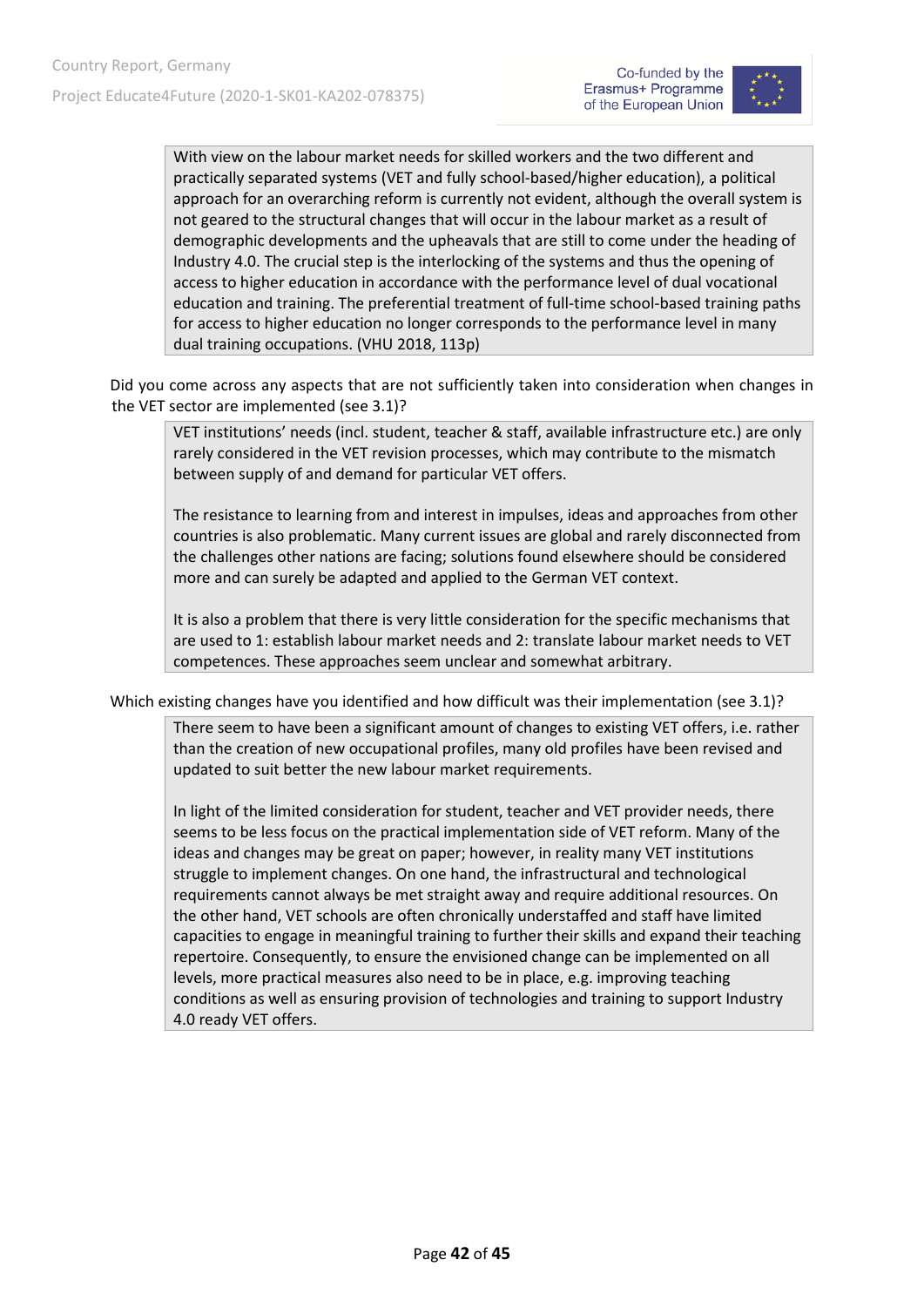

With view on the labour market needs for skilled workers and the two different and practically separated systems (VET and fully school-based/higher education), a political approach for an overarching reform is currently not evident, although the overall system is not geared to the structural changes that will occur in the labour market as a result of demographic developments and the upheavals that are still to come under the heading of Industry 4.0. The crucial step is the interlocking of the systems and thus the opening of access to higher education in accordance with the performance level of dual vocational education and training. The preferential treatment of full-time school-based training paths for access to higher education no longer corresponds to the performance level in many dual training occupations. (VHU 2018, 113p)

Did you come across any aspects that are not sufficiently taken into consideration when changes in the VET sector are implemented (see 3.1)?

VET institutions' needs (incl. student, teacher & staff, available infrastructure etc.) are only rarely considered in the VET revision processes, which may contribute to the mismatch between supply of and demand for particular VET offers.

The resistance to learning from and interest in impulses, ideas and approaches from other countries is also problematic. Many current issues are global and rarely disconnected from the challenges other nations are facing; solutions found elsewhere should be considered more and can surely be adapted and applied to the German VET context.

It is also a problem that there is very little consideration for the specific mechanisms that are used to 1: establish labour market needs and 2: translate labour market needs to VET competences. These approaches seem unclear and somewhat arbitrary.

Which existing changes have you identified and how difficult was their implementation (see 3.1)?

There seem to have been a significant amount of changes to existing VET offers, i.e. rather than the creation of new occupational profiles, many old profiles have been revised and updated to suit better the new labour market requirements.

In light of the limited consideration for student, teacher and VET provider needs, there seems to be less focus on the practical implementation side of VET reform. Many of the ideas and changes may be great on paper; however, in reality many VET institutions struggle to implement changes. On one hand, the infrastructural and technological requirements cannot always be met straight away and require additional resources. On the other hand, VET schools are often chronically understaffed and staff have limited capacities to engage in meaningful training to further their skills and expand their teaching repertoire. Consequently, to ensure the envisioned change can be implemented on all levels, more practical measures also need to be in place, e.g. improving teaching conditions as well as ensuring provision of technologies and training to support Industry 4.0 ready VET offers.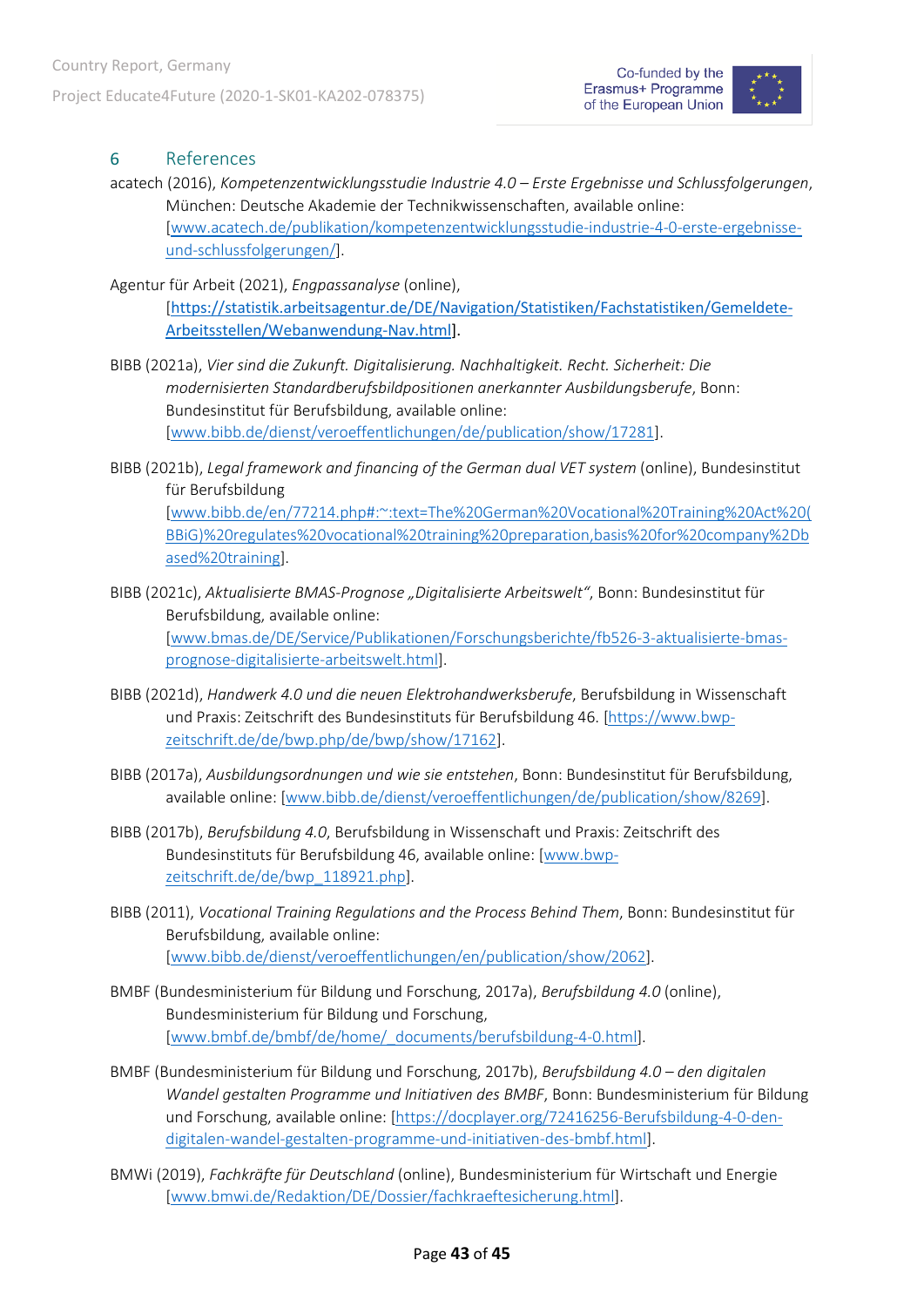

### <span id="page-42-0"></span>6 References

- acatech (2016), *Kompetenzentwicklungsstudie Industrie 4.0 – Erste Ergebnisse und Schlussfolgerungen*, München: Deutsche Akademie der Technikwissenschaften, available online: [\[www.acatech.de/publikation/kompetenzentwicklungsstudie-industrie-4-0-erste-ergebnisse](http://www.acatech.de/publikation/kompetenzentwicklungsstudie-industrie-4-0-erste-ergebnisse-und-schlussfolgerungen/)[und-schlussfolgerungen/\]](http://www.acatech.de/publikation/kompetenzentwicklungsstudie-industrie-4-0-erste-ergebnisse-und-schlussfolgerungen/).
- Agentur für Arbeit (2021), *Engpassanalyse* (online), [[https://statistik.arbeitsagentur.de/DE/Navigation/Statistiken/Fachstatistiken/Gemeldete-](https://statistik.arbeitsagentur.de/DE/Navigation/Statistiken/Fachstatistiken/Gemeldete-Arbeitsstellen/Webanwendung-Nav.html)[Arbeitsstellen/Webanwendung-Nav.html\]](https://statistik.arbeitsagentur.de/DE/Navigation/Statistiken/Fachstatistiken/Gemeldete-Arbeitsstellen/Webanwendung-Nav.html).
- BIBB (2021a), *Vier sind die Zukunft. Digitalisierung. Nachhaltigkeit. Recht. Sicherheit: Die modernisierten Standardberufsbildpositionen anerkannter Ausbildungsberufe*, Bonn: Bundesinstitut für Berufsbildung, available online: [\[www.bibb.de/dienst/veroeffentlichungen/de/publication/show/17281\]](http://www.bibb.de/dienst/veroeffentlichungen/de/publication/show/17281).
- BIBB (2021b), *Legal framework and financing of the German dual VET system* (online), Bundesinstitut für Berufsbildung [\[www.bibb.de/en/77214.php#:~:text=The%20German%20Vocational%20Training%20Act%20\(](http://www.bibb.de/en/77214.php#:%7E:text=The%20German%20Vocational%20Training%20Act%20(BBiG)%20regulates%20vocational%20training%20preparation,basis%20for%20company%2Dbased%20training) [BBiG\)%20regulates%20vocational%20training%20preparation,basis%20for%20company%2Db](http://www.bibb.de/en/77214.php#:%7E:text=The%20German%20Vocational%20Training%20Act%20(BBiG)%20regulates%20vocational%20training%20preparation,basis%20for%20company%2Dbased%20training) [ased%20training\]](http://www.bibb.de/en/77214.php#:%7E:text=The%20German%20Vocational%20Training%20Act%20(BBiG)%20regulates%20vocational%20training%20preparation,basis%20for%20company%2Dbased%20training).
- BIBB (2021c), *Aktualisierte BMAS-Prognose "Digitalisierte Arbeitswelt"*, Bonn: Bundesinstitut für Berufsbildung, available online: [\[www.bmas.de/DE/Service/Publikationen/Forschungsberichte/fb526-3-aktualisierte-bmas](http://www.bmas.de/DE/Service/Publikationen/Forschungsberichte/fb526-3-aktualisierte-bmas-prognose-digitalisierte-arbeitswelt.html)[prognose-digitalisierte-arbeitswelt.html\]](http://www.bmas.de/DE/Service/Publikationen/Forschungsberichte/fb526-3-aktualisierte-bmas-prognose-digitalisierte-arbeitswelt.html).
- BIBB (2021d), *Handwerk 4.0 und die neuen Elektrohandwerksberufe*, Berufsbildung in Wissenschaft und Praxis: Zeitschrift des Bundesinstituts für Berufsbildung 46. [\[https://www.bwp](https://www.bwp-zeitschrift.de/de/bwp.php/de/bwp/show/17162)[zeitschrift.de/de/bwp.php/de/bwp/show/17162\]](https://www.bwp-zeitschrift.de/de/bwp.php/de/bwp/show/17162).
- BIBB (2017a), *Ausbildungsordnungen und wie sie entstehen*, Bonn: Bundesinstitut für Berufsbildung, available online: [\[www.bibb.de/dienst/veroeffentlichungen/de/publication/show/8269\]](http://www.bibb.de/dienst/veroeffentlichungen/de/publication/show/8269).
- BIBB (2017b), *Berufsbildung 4.0*, Berufsbildung in Wissenschaft und Praxis: Zeitschrift des Bundesinstituts für Berufsbildung 46, available online: [\[www.bwp](http://www.bwp-zeitschrift.de/de/bwp_118921.php)[zeitschrift.de/de/bwp\\_118921.php\]](http://www.bwp-zeitschrift.de/de/bwp_118921.php).
- BIBB (2011), *Vocational Training Regulations and the Process Behind Them*, Bonn: Bundesinstitut für Berufsbildung, available online: [\[www.bibb.de/dienst/veroeffentlichungen/en/publication/show/2062\]](http://www.bibb.de/dienst/veroeffentlichungen/en/publication/show/2062).
- BMBF (Bundesministerium für Bildung und Forschung, 2017a), *Berufsbildung 4.0* (online), Bundesministerium für Bildung und Forschung, [\[www.bmbf.de/bmbf/de/home/\\_documents/berufsbildung-4-0.html\]](http://www.bmbf.de/bmbf/de/home/_documents/berufsbildung-4-0.html).
- BMBF (Bundesministerium für Bildung und Forschung, 2017b), *Berufsbildung 4.0 – den digitalen Wandel gestalten Programme und Initiativen des BMBF*, Bonn: Bundesministerium für Bildung und Forschung, available online: [\[https://docplayer.org/72416256-Berufsbildung-4-0-den](https://docplayer.org/72416256-Berufsbildung-4-0-den-digitalen-wandel-gestalten-programme-und-initiativen-des-bmbf.html)[digitalen-wandel-gestalten-programme-und-initiativen-des-bmbf.html\]](https://docplayer.org/72416256-Berufsbildung-4-0-den-digitalen-wandel-gestalten-programme-und-initiativen-des-bmbf.html).
- BMWi (2019), *Fachkräfte für Deutschland* (online), Bundesministerium für Wirtschaft und Energie [\[www.bmwi.de/Redaktion/DE/Dossier/fachkraeftesicherung.html\]](http://www.bmwi.de/Redaktion/DE/Dossier/fachkraeftesicherung.html).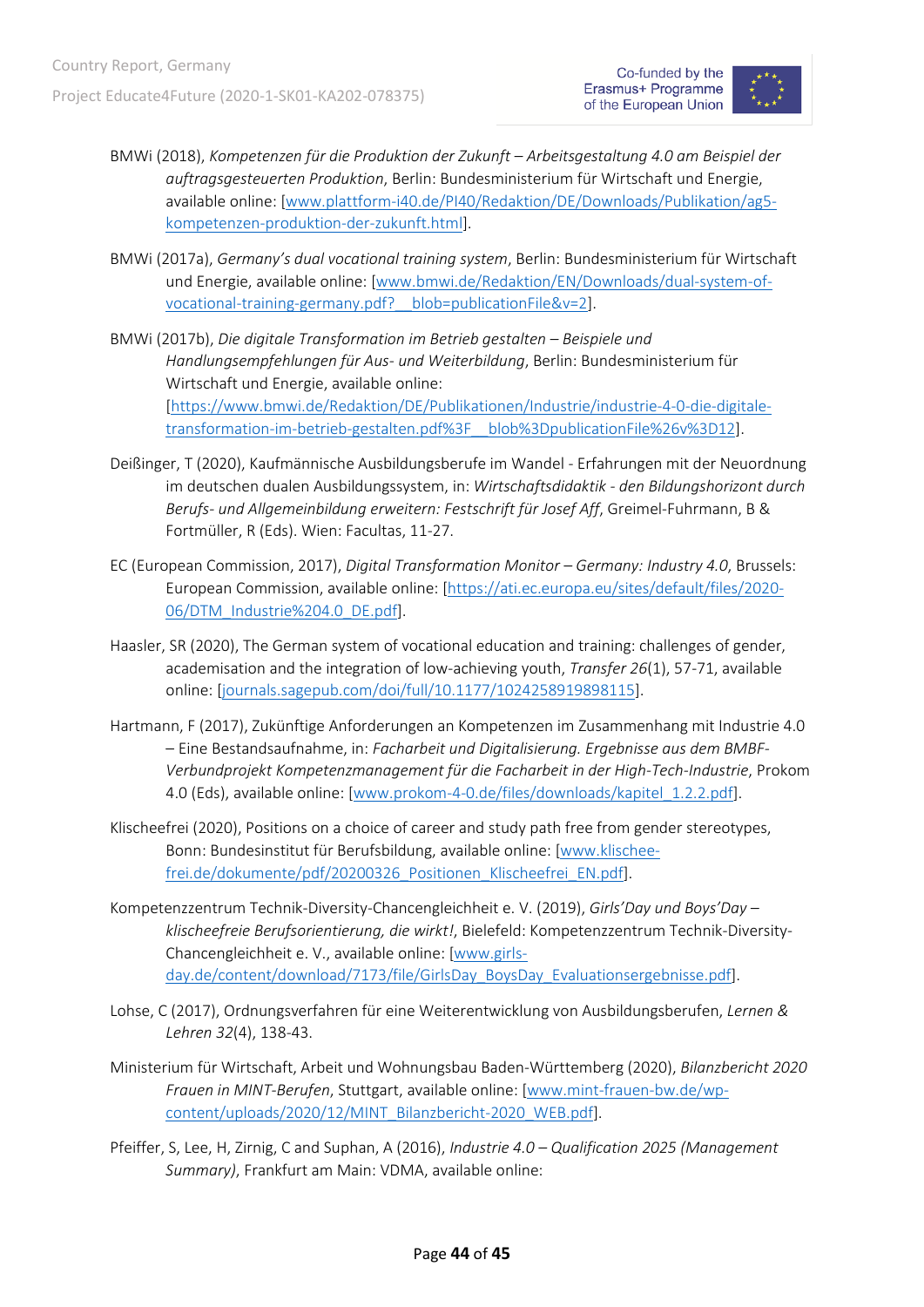

- BMWi (2018), *Kompetenzen für die Produktion der Zukunft – Arbeitsgestaltung 4.0 am Beispiel der auftragsgesteuerten Produktion*, Berlin: Bundesministerium für Wirtschaft und Energie, available online: [\[www.plattform-i40.de/PI40/Redaktion/DE/Downloads/Publikation/ag5](http://www.plattform-i40.de/PI40/Redaktion/DE/Downloads/Publikation/ag5-kompetenzen-produktion-der-zukunft.html) [kompetenzen-produktion-der-zukunft.html\]](http://www.plattform-i40.de/PI40/Redaktion/DE/Downloads/Publikation/ag5-kompetenzen-produktion-der-zukunft.html).
- BMWi (2017a), *Germany's dual vocational training system*, Berlin: Bundesministerium für Wirtschaft und Energie, available online: [\[www.bmwi.de/Redaktion/EN/Downloads/dual-system-of](http://www.bmwi.de/Redaktion/EN/Downloads/dual-system-of-vocational-training-germany.pdf?__blob=publicationFile&v=2)[vocational-training-germany.pdf?\\_\\_blob=publicationFile&v=2\]](http://www.bmwi.de/Redaktion/EN/Downloads/dual-system-of-vocational-training-germany.pdf?__blob=publicationFile&v=2).
- BMWi (2017b), *Die digitale Transformation im Betrieb gestalten – Beispiele und Handlungsempfehlungen für Aus- und Weiterbildung*, Berlin: Bundesministerium für Wirtschaft und Energie, available online: [\[https://www.bmwi.de/Redaktion/DE/Publikationen/Industrie/industrie-4-0-die-digitale](https://www.bmwi.de/Redaktion/DE/Publikationen/Industrie/industrie-4-0-die-digitale-transformation-im-betrieb-gestalten.pdf%3F__blob%3DpublicationFile%26v%3D12)[transformation-im-betrieb-gestalten.pdf%3F\\_\\_blob%3DpublicationFile%26v%3D12\]](https://www.bmwi.de/Redaktion/DE/Publikationen/Industrie/industrie-4-0-die-digitale-transformation-im-betrieb-gestalten.pdf%3F__blob%3DpublicationFile%26v%3D12).
- Deißinger, T (2020), Kaufmännische Ausbildungsberufe im Wandel Erfahrungen mit der Neuordnung im deutschen dualen Ausbildungssystem, in: *Wirtschaftsdidaktik - den Bildungshorizont durch Berufs- und Allgemeinbildung erweitern: Festschrift für Josef Aff*, Greimel-Fuhrmann, B & Fortmüller, R (Eds). Wien: Facultas, 11-27.
- EC (European Commission, 2017), *Digital Transformation Monitor – Germany: Industry 4.0*, Brussels: European Commission, available online: [\[https://ati.ec.europa.eu/sites/default/files/2020-](https://ati.ec.europa.eu/sites/default/files/2020-06/DTM_Industrie%204.0_DE.pdf) [06/DTM\\_Industrie%204.0\\_DE.pdf\]](https://ati.ec.europa.eu/sites/default/files/2020-06/DTM_Industrie%204.0_DE.pdf).
- Haasler, SR (2020), The German system of vocational education and training: challenges of gender, academisation and the integration of low-achieving youth, *Transfer 26*(1), 57-71, available online: [\[journals.sagepub.com/doi/full/10.1177/1024258919898115\]](https://journals.sagepub.com/doi/full/10.1177/1024258919898115).
- Hartmann, F (2017), Zukünftige Anforderungen an Kompetenzen im Zusammenhang mit Industrie 4.0 – Eine Bestandsaufnahme, in: *Facharbeit und Digitalisierung. Ergebnisse aus dem BMBF-Verbundprojekt Kompetenzmanagement für die Facharbeit in der High-Tech-Industrie*, Prokom 4.0 (Eds), available online: [\[www.prokom-4-0.de/files/downloads/kapitel\\_1.2.2.pdf\]](http://www.prokom-4-0.de/files/downloads/kapitel_1.2.2.pdf).
- Klischeefrei (2020), Positions on a choice of career and study path free from gender stereotypes, Bonn: Bundesinstitut für Berufsbildung, available online: [\[www.klischee](http://www.klischee-frei.de/dokumente/pdf/20200326_Positionen_Klischeefrei_EN.pdf)[frei.de/dokumente/pdf/20200326\\_Positionen\\_Klischeefrei\\_EN.pdf\]](http://www.klischee-frei.de/dokumente/pdf/20200326_Positionen_Klischeefrei_EN.pdf).
- Kompetenzzentrum Technik-Diversity-Chancengleichheit e. V. (2019), *Girls'Day und Boys'Day – klischeefreie Berufsorientierung, die wirkt!*, Bielefeld: Kompetenzzentrum Technik-Diversity-Chancengleichheit e. V., available online: [\[www.girls](http://www.girls-day.de/content/download/7173/file/GirlsDay_BoysDay_Evaluationsergebnisse.pdf)[day.de/content/download/7173/file/GirlsDay\\_BoysDay\\_Evaluationsergebnisse.pdf\]](http://www.girls-day.de/content/download/7173/file/GirlsDay_BoysDay_Evaluationsergebnisse.pdf).
- Lohse, C (2017), Ordnungsverfahren für eine Weiterentwicklung von Ausbildungsberufen, *Lernen & Lehren 32*(4), 138-43.
- Ministerium für Wirtschaft, Arbeit und Wohnungsbau Baden-Württemberg (2020), *Bilanzbericht 2020 Frauen in MINT-Berufen*, Stuttgart, available online: [\[www.mint-frauen-bw.de/wp](http://www.mint-frauen-bw.de/wp-content/uploads/2020/12/MINT_Bilanzbericht-2020_WEB.pdf)[content/uploads/2020/12/MINT\\_Bilanzbericht-2020\\_WEB.pdf\]](http://www.mint-frauen-bw.de/wp-content/uploads/2020/12/MINT_Bilanzbericht-2020_WEB.pdf).
- Pfeiffer, S, Lee, H, Zirnig, C and Suphan, A (2016), *Industrie 4.0 – Qualification 2025 (Management Summary)*, Frankfurt am Main: VDMA, available online: